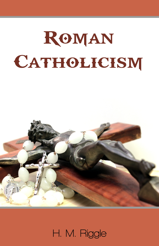

H. M. Riggle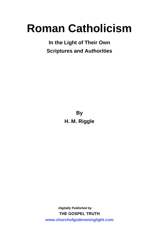# **Roman Catholicism**

**In the Light of Their Own Scriptures and Authorities**

> **By H. M. Riggle**

*Digitally Published by* **THE GOSPEL TRUTH <www.churchofgodeveninglight.com>**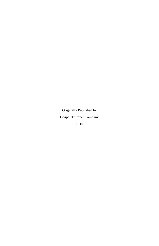Originally Published by Gospel Trumpet Company 1915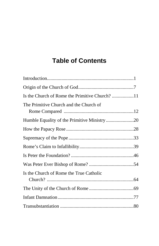# **Table of Contents**

| The Primitive Church and the Church of  |  |
|-----------------------------------------|--|
|                                         |  |
|                                         |  |
|                                         |  |
|                                         |  |
|                                         |  |
|                                         |  |
| Is the Church of Rome the True Catholic |  |
|                                         |  |
|                                         |  |
|                                         |  |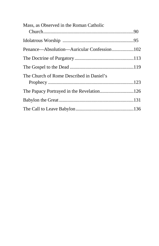| Mass, as Observed in the Roman Catholic  |  |
|------------------------------------------|--|
|                                          |  |
|                                          |  |
|                                          |  |
|                                          |  |
|                                          |  |
| The Church of Rome Described in Daniel's |  |
|                                          |  |
|                                          |  |
|                                          |  |
|                                          |  |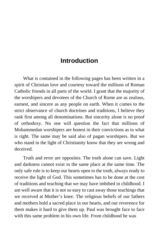# **Introduction**

<span id="page-6-0"></span>What is contained in the following pages has been written in a spirit of Christian love and courtesy toward the millions of Roman Catholic friends in all parts of the world. I grant that the majority of the worshipers and devotees of the Church of Rome are as zealous, earnest, and sincere as any people on earth. When it comes to the strict observance of church doctrines and traditions, I believe they rank first among all denominations. But sincerity alone is no proof of orthodoxy. No one will question the fact that millions of Mohammedan worshipers are honest in their convictions as to what is right. The same may be said also of pagan worshipers. But we who stand in the light of Christianity know that they are wrong and deceived.

Truth and error are opposites. The truth alone can save. Light and darkness cannot exist in the same place at the same time. The only safe rule is to keep our hearts open to the truth, always ready to receive the light of God. This sometimes has to be done at the cost of traditions and teaching that we may have imbibed in childhood. I am well aware that it is not so easy to cast away those teachings that we received at Mother's knee. The religious beliefs of our fathers and mothers hold a sacred place in our hearts, and our reverence for them makes it hard to give them up. Paul was brought face to face with this same problem in his own life. From childhood he was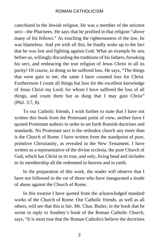catechized in the Jewish religion. He was a member of the strictest sect—the Pharisees. He says that he profited in that religion "above many of his fellows." As touching the righteousness of the law, he was blameless. And yet with all this, he finally woke up to the fact that he was lost and fighting against God. What an example he sets before us, willingly discarding the traditions of his fathers, forsaking his sect, and embracing the true religion of Jesus Christ in all its purity! Of course, in doing so he suffered loss. He says, "The things that were gain to me, the same I have counted loss for Christ. Furthermore I count all things but loss for the excellent knowledge of Jesus Christ my Lord; for whom I have suffered the loss of all things, and count them but as dung that I may gain Christ" (Phil. 3:7, 8).

To our Catholic friends, I wish further to state that I have not written this book from the Protestant point of view, neither have I quoted Protestant authors in order to set forth Romish doctrines and standards. No Protestant sect is the orthodox church any more than is the Church of Rome. I have written from the standpoint of pure, primitive Christianity, as revealed in the New Testament. I have written as a representative of the divine ecclesia, the pure Church of God, which has Christ as its true, and only, living head and includes in its membership all the redeemed in heaven and in earth.

In the preparation of this work, the reader will observe that I have not followed in the rut of those who have inaugurated a tirade of abuse against the Church of Rome.

In this treatise I have quoted from the acknowledged standard works of the Church of Rome. Our Catholic friends, as well as all others, will see that this is fair. Mr. Chas. Butler, in the book that he wrote in reply to Southey's book of the Roman Catholic Church, says, "It is most true that the Roman Catholics believe the doctrines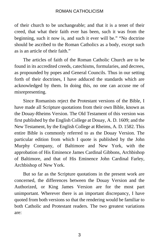of their church to be unchangeable; and that it is a tenet of their creed, that what their faith ever has been, such it was from the beginning, such it now is, and such it ever will be." "No doctrine should be ascribed to the Roman Catholics as a body, except such as is an article of their faith."

The articles of faith of the Roman Catholic Church are to be found in its accredited creeds, catechisms, formularies, and decrees, as propounded by popes and General Councils. Thus in our setting forth of their doctrines, I have adduced the standards which are acknowledged by them. In doing this, no one can accuse me of misrepresenting.

Since Romanists reject the Protestant versions of the Bible, I have made all Scripture quotations from their own Bible, known as the Douay-Rheims Version. The Old Testament of this version was first published by the English College at Douay, A. D. 1609; and the New Testament, by the English College at Rheims, A. D. 1582. This entire Bible is commonly referred to as the Douay Version. The particular edition from which I quote is published by the John Murphy Company, of Baltimore and New York, with the approbation of His Eminence James Cardinal Gibbons, Archbishop of Baltimore, and that of His Eminence John Cardinal Farley, Archbishop of New York.

But so far as the Scripture quotations in the present work are concerned, the differences between the Douay Version and the Authorized, or King James Version are for the most part unimportant. Wherever there is an important discrepancy, I have quoted from both versions so that the rendering would be familiar to both Catholic and Protestant readers. The two greatest variations are:

3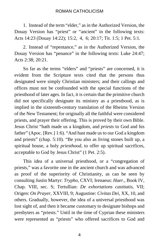1. Instead of the term "elder," as in the Authorized Version, the Douay Version has "priest" or "ancient" in the following texts: Acts 14:23 (Douay 14:22); 15:2, 4, 6; 20:17; Tit. 1:5; 1 Pet. 5:1.

2. Instead of "repentance," as in the Authorized Version, the Douay Version has "penance" in the following texts: Luke 24:47; Acts 2:38; 20:21.

So far as the terms "elders" and "priests" are concerned, it is evident from the Scripture texts cited that the persons thus designated were simply Christian ministers; and their callings and offices must not be confounded with the special functions of the priesthood of later ages. In fact, it is certain that the primitive church did not specifically designate its ministry as a priesthood, as is implied in the sixteenth-century translation of the Rheims Version of the New Testament; for originally all the faithful were considered priests, and prayer their offering. This is proved by their own Bible. Jesus Christ "hath made us a kingdom, and *priests* to God and his father" (Apoc. [Rev.] 1:6). "And hast made us to our God a kingdom and priests" (chap. 5:10). "Be you also as living stones built up, a spiritual house, a holy *priesthood*, to offer up spiritual sacrifices, acceptable to God by Jesus Christ" (1 Pet. 2:5).

This idea of a universal priesthood, or a "congregation of priests," was a favorite one in the ancient church and was advanced as proof of the superiority of Christianity, as can be seen by consulting Justin Martyr: *Trypho*, CXVI; Irenaeus: *Haer*., Book IV, Chap. VIII, sec. S; Tertullian: *De exhortations castitatis*, VII; Origen: *On Prayer*, XXVIII, 9; Augustine: *Civitas Dei*, XX, 10, and others. Gradually, however, the idea of a universal priesthood was lost sight of, and then it became customary to designate bishops and presbyters as "priests." Until in the time of Cyprian these ministers were represented as "priests" who offered sacrifices to God and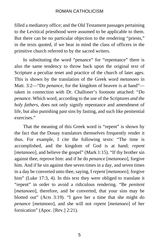filled a mediatory office; and the Old Testament passages pertaining to the Levitical priesthood were assumed to be applicable to them. But there can be no particular objection to the rendering "priests," in the texts quoted, if we bear in mind the class of officers in the primitive church referred to by the sacred writers.

In substituting the word "penance" for "repentance" there is also the same tendency to throw back upon the original text of Scripture a peculiar tenet and practice of the church of later ages. This is shown by the translation of the Greek word *metanoeo* in Matt. 3:2—"Do *penance*, for the kingdom of heaven is at hand" taken in connection with Dr. Challoner's footnote attached: "*Do penance*. Which word, according to the use of the Scriptures *and the holy fathers*, does not only signify repentance and amendment of life, but also punishing past sins by fasting, and such like penitential exercises."

That the meaning of this Greek word is "repent" is shown by the fact that the Douay translators themselves frequently render it thus. For example, I cite the following texts: "The time is accomplished, and the kingdom of God is at hand; *repent* [*metanoeo*], and believe the gospel" (Mark 1:15). "If thy brother sin against thee, reprove him: and if he do *penance* [*metanoeo*], forgive him. And if he sin against thee seven times in a day, and seven times in a day be converted unto thee, saying, I *repent* [*metanoeo*]; forgive him" (Luke 17:3, 4). In this text they were obliged to translate it "repent" in order to avoid a ridiculous rendering. "Be *penitent* [*metanoeo*], therefore, and be converted, that your sins may be blotted out" (Acts 3:19). "I gave her a time that she might do *penance* [*metanoeo*], and she will not *repent* [*metanoeo*] of her fornication" (Apoc. [Rev.] 2:21).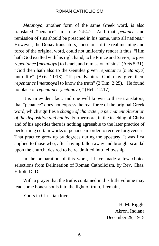*Metanoya*, another form of the same Greek word, is also translated "penance" in Luke 24:47: "And that *penance* and remission of sins should be preached in his name, unto all nations." However, the Douay translators, conscious of the real meaning and force of the original word, could not uniformly render it thus. "Him hath God exalted with his right hand, to be Prince and Savior, to give *repentance* [*metanoya*] to Israel, and remission of sins" (Acts 5:31). "God then hath also to the Gentiles given *repentance* [*metanoya*] unto life" (Acts 11:18). "If peradventure God may give them *repentance* [*metanoya*] to know the truth" (2 Tim. 2:25). "He found no place of *repentance* [*metanoya*]" (Heb. 12:17).

It is an evident fact, and one well known to these translators, that "penance" does not express the real force of the original Greek word, which signifies a *change of character*, *a permanent alteration of the disposition and habits.* Furthermore, in the teaching of Christ and of his apostles there is nothing agreeable to the later practice of performing certain works of penance in order to receive forgiveness. That practice grew up by degrees during the apostasy. It was first applied to those who, after having fallen away and brought scandal upon the church, desired to be readmitted into fellowship.

In the preparation of this work, I have made a few choice selections from Delineation of Roman Catholicism, by Rev. Chas. Elliott, D. D.

With a prayer that the truths contained in this little volume may lead some honest souls into the light of truth, I remain,

Yours in Christian love,

H. M. Riggle Akron, Indiana December 29, 1915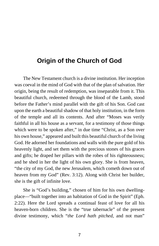# <span id="page-12-0"></span>**Origin of the Church of God**

The New Testament church is a divine institution. Her inception was coeval in the mind of God with that of the plan of salvation. Her origin, being the result of redemption, was inseparable from it. This beautiful church, redeemed through the blood of the Lamb, stood before the Father's mind parallel with the gift of his Son. God cast upon the earth a beautiful shadow of that holy institution, in the form of the temple and all its contents. And after "Moses was verily faithful in all his house as a servant, for a testimony of those things which were to be spoken after," in due time "Christ, as a Son over his own house," appeared and built this beautiful church of the living God. He adorned her foundations and walls with the pure gold of his heavenly light, and set them with the precious stones of his graces and gifts; he draped her pillars with the robes of his righteousness; and he shed in her the light of his own glory. She is from heaven, "the city of my God, the new Jerusalem, which cometh down out of heaven from my God" (Rev. 3:12). Along with Christ her builder, she is the gift of infinite love.

She is "God's building," chosen of him for his own dwellingplace—"built together into an habitation of God in the Spirit" (Eph. 2:22). Here the Lord spreads a continual feast of love for all his heaven-born children. She is the "true tabernacle" of the present divine testimony, which "*the Lord hath pitched*, and not man"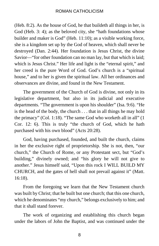(Heb. 8:2). As the house of God, he that buildeth all things in her, is God (Heb. 3: 4); as the beloved city, she "hath foundations whose builder and maker is God" (Heb. 11:10); as a visible working force, she is a kingdom set up by the God of heaven, which shall never be destroyed (Dan. 2:44). Her foundation is Jesus Christ, the divine Savior—"for other foundation can no man lay, but that which is laid; which is Jesus Christ." Her life and light is the "eternal spirit," and her creed is the pure Word of God. God's church is a "spiritual house," and to her is given the spiritual law. All her ordinances and observances are divine, and found in the New Testament.

The government of the Church of God is divine, not only in its legislative department, but also in its judicial and executive departments. "The government is upon his shoulder" (Isa. 9:6). "He is the head of the body, the church . . . that in all things he may hold the primacy" (Col. 1:18). "The same God who worketh all in all" (1 Cor. 12: 6). This is truly "the church of God, which he hath purchased with his own blood" (Acts 20:28).

God, having purchased, founded, and built the church, claims in her the exclusive right of proprietorship. She is not, then, "our church," the Church of Rome, or any Protestant sect, but "God's building," divinely owned; and "his glory he will not give to another." Jesus himself said, "Upon this rock I WILL BUILD MY CHURCH, and the gates of hell shall not prevail against it" (Matt. 16:18).

From the foregoing we learn that the New Testament church was built by Christ; that he built but one church; that this one church, which he denominates "my church," belongs exclusively to him; and that it shall stand forever.

The work of organizing and establishing this church began under the labors of John the Baptist, and was continued under the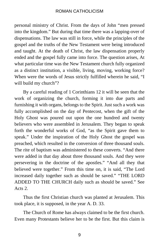personal ministry of Christ. From the days of John "men pressed into the kingdom." But during that time there was a lapping-over of dispensations. The law was still in force, while the principles of the gospel and the truths of the New Testament were being introduced and taught. At the death of Christ, the law dispensation properly ended and the gospel fully came into force. The question arises, At what particular time was the New Testament church fully organized as a distinct institution, a visible, living, moving, working force? When were the words of Jesus strictly fulfilled wherein he said, "I will build my church"?

By a careful reading of 1 Corinthians 12 it will be seen that the work of organizing the church, forming it into due parts and furnishing it with organs, belongs to the Spirit. Just such a work was fully accomplished on the day of Pentecost, when the gift of the Holy Ghost was poured out upon the one hundred and twenty believers who were assembled in Jerusalem. They began to speak forth the wonderful works of God, "as the Spirit gave them to speak." Under the inspiration of the Holy Ghost the gospel was preached, which resulted in the conversion of three thousand souls. The rite of baptism was administered to these converts. "And there were added in that day about three thousand souls. And they were persevering in the doctrine of the apostles." "And all they that believed were together." From this time on, it is said, "The Lord increased daily together such as should be saved." "THE LORD ADDED TO THE CHURCH daily such as should be saved." See Acts 2.

Thus the first Christian church was planted at Jerusalem. This took place, it is supposed, in the year A. D. 33.

The Church of Rome has always claimed to be the first church. Even many Protestants believe her to be the first. But this claim is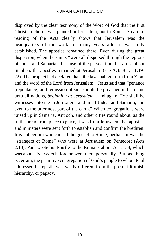disproved by the clear testimony of the Word of God that the first Christian church was planted in Jerusalem, not in Rome. A careful reading of the Acts clearly shows that Jerusalem was the headquarters of the work for many years after it was fully established. The apostles remained there. Even during the great dispersion, when the saints "were all dispersed through the regions of Judea and Samaria," because of the persecution that arose about Stephen, the apostles remained at Jerusalem (see Acts 8:1; 11:19- 22). The prophet had declared that "the law shall go forth from Zion, and the word of the Lord from Jerusalem." Jesus said that "penance [repentance] and remission of sins should be preached in his name unto all nations, *beginning at Jerusalem*"; and again, "Ye shall be witnesses unto me in Jerusalem, and in all Judea, and Samaria, and even to the uttermost part of the earth." When congregations were raised up in Samaria, Antioch, and other cities round about, as the truth spread from place to place, it was from Jerusalem that apostles and ministers were sent forth to establish and confirm the brethren. It is not certain who carried the gospel to Rome; perhaps it was the "strangers of Rome" who were at Jerusalem on Pentecost (Acts 2:10). Paul wrote his Epistle to the Romans about A. D. 58, which was about five years before he went there personally. But one thing is certain, the primitive congregation of God's people to whom Paul addressed his epistle was vastly different from the present Romish hierarchy, or papacy.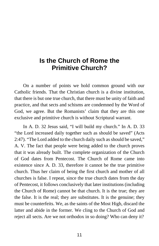# <span id="page-16-0"></span>**Is the Church of Rome the Primitive Church?**

On a number of points we hold common ground with our Catholic friends. That the Christian church is a divine institution, that there is but one true church, that there must be unity of faith and practice, and that sects and schisms are condemned by the Word of God, we agree. But the Romanists' claim that they are this one exclusive and primitive church is without Scriptural warrant.

In A. D. 32 Jesus said, "I will build my church." In A. D. 33 "the Lord increased daily together such as should be saved" (Acts 2:47). "The Lord added to the church daily such as should be saved," A. V. The fact that people were being added to the church proves that it was already built. The complete organization of the Church of God dates from Pentecost. The Church of Rome came into existence since A. D. 33, therefore it cannot be the true primitive church. Thus her claim of being the first church and mother of all churches is false. I repeat, since the true church dates from the day of Pentecost, it follows conclusively that later institutions (including the Church of Rome) cannot be that church. It is the true; they are the false. It is the real; they are substitutes. It is the genuine; they must be counterfeits. We, as the saints of the Most High, discard the latter and abide in the former. We cling to the Church of God and reject all sects. Are we not orthodox in so doing? Who can deny it?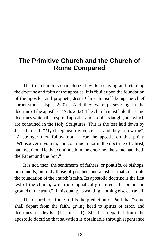# <span id="page-17-0"></span>**The Primitive Church and the Church of Rome Compared**

The true church is characterized by its receiving and retaining the doctrine and faith of the apostles. It is "built upon the foundation of the apostles and prophets, Jesus Christ himself being the chief corner-stone" (Eph. 2:20). "And they were persevering in the doctrine of the apostles" (Acts 2:42). The church must hold the same doctrines which the inspired apostles and prophets taught, and which are contained in the Holy Scriptures. This is the test laid down by Jesus himself: "My sheep hear my voice: . . . and they follow me"; "A stranger they follow not." Hear the apostle on this point: "Whosoever revolteth, and continueth not in the doctrine of Christ, hath not God. He that continueth in the doctrine, the same hath both the Father and the Son."

It is not, then, the sentiments of fathers, or pontiffs, or bishops, or councils, but only those of prophets and apostles, that constitute the foundation of the church's faith. Its apostolic doctrine is the first test of the church, which is emphatically entitled "the pillar and ground of the truth." If this quality is wanting, nothing else can avail.

The Church of Rome fulfils the prediction of Paul that "some shall depart from the faith, giving heed to spirits of error, and doctrines of devils" (1 Tim. 4:1). She has departed from the apostolic doctrine that salvation is obtainable through repentance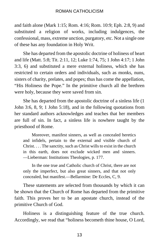and faith alone (Mark 1:15; Rom. 4:16; Rom. 10:9; Eph. 2:8, 9) and substituted a religion of works, including indulgences, the confessional, mass, extreme unction, purgatory, etc. Not a single one of these has any foundation in Holy Writ.

She has departed from the apostolic doctrine of holiness of heart and life (Matt. 5:8; Tit. 2:11, 12; Luke 1:74, 75; 1 John 4:17; 1 John 3:3, 6) and substituted a mere external holiness, which she has restricted to certain orders and individuals, such as monks, nuns, sisters of charity, prelates, and popes; thus has come the appellation, "His Holiness the Pope." In the primitive church all the brethren were holy, because they were saved from sin.

She has departed from the apostolic doctrine of a sinless life (1 John 3:6, 8, 9; 1 John 5:18), and in the following quotations from her standard authors acknowledges and teaches that her members are full of sin. In fact, a sinless life is nowhere taught by the priesthood of Rome.

Moreover, manifest sinners, as well as concealed heretics and infidels, pertain to the external and visible church of Christ. . . . The sanctity, such as Christ wills to exist in the church in this earth, does not exclude wicked men and sinners. —Lieberman: Institutions Theologies, p. 177.

In the one true and Catholic church of Christ, there are not only the imperfect, but also great sinners, and that not only concealed, but manifest.—Bellarmine: De Eccles, C, 9.

These statements are selected from thousands by which it can be shown that the Church of Rome has departed from the primitive faith. This proves her to be an apostate church, instead of the primitive Church of God.

Holiness is a distinguishing feature of the true church. Accordingly, we read that "holiness becometh thine house, O Lord,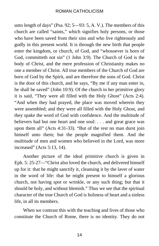unto length of days" (Psa. 92; 5—93: 5, A. V.). The members of this church are called "saints," which signifies holy persons, or those who have been saved from their sins and who live righteously and godly in this present world. It is through the new birth that people enter the kingdom, or church, of God, and "whosoever is born of God, committeth not sin" (1 John 3:9). The Church of God is the body of Christ, and the mere profession of Christianity makes no one a member of Christ. All true members of the Church of God are born of God by the Spirit, and are therefore the sons of God. Christ is the door of this church, and he says, "By me if any man enter in, he shall be saved" (John 10:9). Of the church in her primitive glory it is said, "They were all filled with the Holy Ghost" (Acts 2:4). "And when they had prayed, the place was moved wherein they were assembled; and they were all filled with the Holy Ghost, and they spake the word of God with confidence. And the multitude of believers had but one heart and one soul: . . . and great grace was upon them all" (Acts 4:31-33). "But of the rest no man durst join himself unto them; but the people magnified them. And the multitude of men and women who believed in the Lord, was more increased" (Acts 5:13, 14).

Another picture of the ideal primitive church is given in Eph. 5: 25-27—"Christ also loved the church, and delivered himself up for it: that he might sanctify it, cleansing it by the laver of water in the word of life: that he might present to himself a glorious church, not having spot or wrinkle, or any such thing; but that it should be holy, and without blemish." Thus we see that the spiritual character of the true Church of God is holiness of heart and a sinless life, in all its members.

When we contrast this with the teaching and lives of those who constitute the Church of Rome, there is no identity. They do not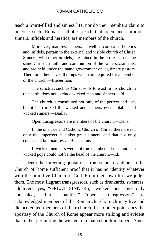teach a Spirit-filled and sinless life, nor do their members claim to practice such. Roman Catholics teach that open and notorious sinners, infidels and heretics, are members of the church.

Moreover, manifest sinners, as well as concealed heretics and infidels, pertain to the external and visible church of Christ. Sinners, with other infidels, are joined in the profession of the same Christian faith, and communion of the same sacraments, and are held under the name government of legitimate pastors. Therefore, they have all things which are required for a member of the church.—Lieberman.

The sanctity, such as Christ wills to exist in his church in this earth, does not exclude wicked men and sinners.—Id.

The church is constituted not only of the perfect and just, but it hath mixed the wicked and sinners, even notable and wicked sinners.—Bailly.

Open transgressors are members of the church.—Dens.

In the one true and Catholic Church of Christ, there are not only the imperfect, but also great sinners, and that not only concealed, but manifest.—Bellarmine.

If wicked members were not true members of the church, a wicked pope could not be the head of the church.—Id.

I deem the foregoing quotations from standard authors in the Church of Rome sufficient proof that it has no identity whatever with the primitive Church of God. From their own lips we judge them. The most flagrant transgressors, such as drunkards, swearers, adulterers, yes, "GREAT SINNERS," wicked men, "not only concealed, but manifest"—"open transgressors"—are acknowledged members of the Roman church. Such may live and die accredited members of their church. In no other point does the apostasy of the Church of Rome appear more striking and evident than in her permitting the wicked to remain church-members. Since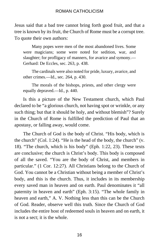Jesus said that a bad tree cannot bring forth good fruit, and that a tree is known by its fruit, the Church of Rome must be a corrupt tree. To quote their own authors:

Many popes were men of the most abandoned lives. Some were magicians; some were noted for sedition, war, and slaughter; for profligacy of manners, for avarice and symony.— Gerhard: De Eccles, sec. 263, p. 438.

The cardinals were also noted for pride, luxury, avarice, and other crimes.—Id., sec. 264, p. 430.

The morals of the bishops, priests, and other clergy were equally depraved.—Id., p. 440.

Is this a picture of the New Testament church, which Paul declared to be "a glorious church, not having spot or wrinkle, or any such thing; but that it should be holy, and without blemish"? Surely in the Church of Rome is fulfilled the prediction of Paul that an apostasy, or falling away, would come.

The Church of God is the body of Christ. "His body, which is the church" (Col. 1:24). "He is the head of the body, the church" (v. 18). "The church, which is his body" (Eph. 1:22, 23). These texts are conclusive; the church is Christ's body. This body is composed of all the saved. "You are the body of Christ, and members in particular." (1 Cor. 12:27). All Christians belong to the Church of God. You cannot be a Christian without being a member of Christ's body, and this is the church. Thus, it includes in its membership every saved man in heaven and on earth. Paul denominates it "all paternity in heaven and earth" (Eph. 3:15). "The whole family in heaven and earth," A. V. Nothing less than this can be the Church of God. Reader, observe well this truth. Since the Church of God includes the entire host of redeemed souls in heaven and on earth, it is not a sect; it is the whole.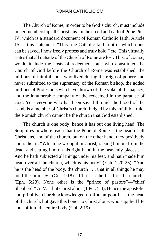The Church of Rome, in order to be God's church, must include in her membership all Christians. In the creed and oath of Pope Pius IV, which is a standard document of Roman Catholic faith, Article 15, is this statement: "This true Catholic faith, out of which none can be saved, I now freely profess and truly hold," etc. This virtually states that all outside of the Church of Rome are lost. This, of course, would include the hosts of redeemed souls who constituted the Church of God before the Church of Rome was established, the millions of faithful souls who lived during the reign of popery and never submitted to the supremacy of the Roman bishop, the added millions of Protestants who have thrown off the yoke of the papacy, and the innumerable company of the redeemed in the paradise of God. Yet everyone who has been saved through the blood of the Lamb is a member of Christ's church. Judged by this infallible rule, the Romish church cannot be the church that God established.

The church is one body; hence it has but one living head. The Scriptures nowhere teach that the Pope of Rome is the head of all Christians, and of the church, but on the other hand, they positively contradict it. "Which he wrought in Christ, raising him up from the dead, and setting him on his right hand in the heavenly places . . . And he hath subjected all things under his feet, and hath made him head over all the church, which is his body" (Eph. 1:20-23). "And he is the head of the body, the church . . . that in all things he may hold the primacy" (Col. 1:18). "Christ is the head of the church" (Eph. 5:23). None other is the "prince of pastors"—"chief Shepherd," A. V.—but Christ alone (1 Pet. 5:4). Hence the apostolic and primitive church acknowledged no Roman pontiff as the head of the church, but gave this honor to Christ alone, who supplied life and spirit to the entire body (Col. 2:19).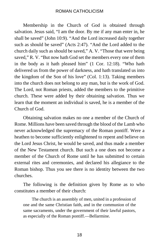Membership in the Church of God is obtained through salvation. Jesus said, "I am the door. By me if any man enter in, he shall be saved" (John 10:9). "And the Lord increased daily together such as should be saved" (Acts 2:47). "And the Lord added to the church daily such as should be saved," A. V. "Those that were being saved," R. V. "But now hath God set the members every one of them in the body as it hath pleased him" (1 Cor. 12:18). "Who hath delivered us from the power of darkness, and hath translated us into the kingdom of the Son of his love" (Col. 1:13). Taking members into the church does not belong to any man, but is the work of God. The Lord, not Roman priests, added the members to the primitive church. These were added by their obtaining salvation. Thus we learn that the moment an individual is saved, he is a member of the Church of God.

Obtaining salvation makes no one a member of the Church of Rome. Millions have been saved through the blood of the Lamb who never acknowledged the supremacy of the Roman pontiff. Were a heathen to become sufficiently enlightened to repent and believe on the Lord Jesus Christ, he would be saved, and thus made a member of the New Testament church. But such a one does not become a member of the Church of Rome until he has submitted to certain external rites and ceremonies, and declared his allegiance to the Roman bishop. Thus you see there is no identity between the two churches.

The following is the definition given by Rome as to who constitutes a member of their church:

The church is an assembly of men, united in a profession of one and the same Christian faith, and in the communion of the same sacraments, under the government of their lawful pastors, as especially of the Roman pontiff.—Bellarmine.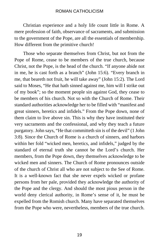Christian experience and a holy life count little in Rome. A mere profession of faith, observance of sacraments, and submission to the government of the Pope, are all the essentials of membership. How different from the primitive church!

Those who separate themselves from Christ, but not from the Pope of Rome, cease to be members of the true church, because Christ, not the Pope, is the head of the church. "If anyone abide not in me, he is cast forth as a branch" (John 15:6). "Every branch in me, that beareth not fruit, he will take away" (John 15:2). The Lord said to Moses, "He that hath sinned against me, him will I strike out of my book"; so the moment people sin against God, they cease to be members of his church. Not so with the Church of Rome. Their standard authorities acknowledge her to be filled with "manifest and great sinners, heretics and infidels." From the Pope down, none of them claim to live above sin. This is why they have instituted their very sacraments and the confessional, and why they teach a future purgatory. John says, "He that committeth sin is of the devil" (1 John 3:8). Since the Church of Rome is a church of sinners, and harbors within her fold "wicked men, heretics, and infidels," judged by the standard of eternal truth she cannot be the Lord's church. Her members, from the Pope down, they themselves acknowledge to be wicked men and sinners. The Church of Rome pronounces outside of the church of Christ all who are not subject to the See of Rome. It is a well-known fact that she never expels wicked or profane persons from her pale, provided they acknowledge the authority of the Pope and the clergy. And should the most pious person in the world deny clerical authority, in Rome's sense of it, he must be expelled from the Romish church. Many have separated themselves from the Pope who were, nevertheless, members of the true church.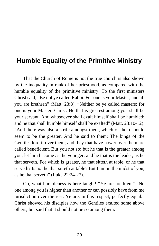# <span id="page-25-0"></span>**Humble Equality of the Primitive Ministry**

That the Church of Rome is not the true church is also shown by the inequality in rank of her priesthood, as compared with the humble equality of the primitive ministry. To the first ministers Christ said, "Be not ye called Rabbi. For one is your Master; and all you are brethren" (Matt. 23:8). "Neither be ye called masters; for one is your Master, Christ. He that is greatest among you shall be your servant. And whosoever shall exalt himself shall be humbled: and he that shall humble himself shall be exalted" (Matt. 23:10-12). "And there was also a strife amongst them, which of them should seem to be the greater. And he said to them: The kings of the Gentiles lord it over them; and they that have power over them are called beneficient. But you not so: but he that is the greater among you, let him become as the younger; and he that is the leader, as he that serveth. For which is greater, he that sitteth at table, or he that serveth? Is not he that sitteth at table? But I am in the midst of you, as he that serveth" (Luke 22:24-27).

Oh, what humbleness is here taught! "Ye are brethren." "No one among you is higher than another or can possibly have from me jurisdiction over the rest. Ye are, in this respect, perfectly equal." Christ showed his disciples how the Gentiles exalted some above others, but said that it should not be so among them.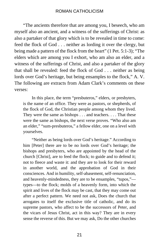"The ancients therefore that are among you, I beseech, who am myself also an ancient, and a witness of the sufferings of Christ: as also a partaker of that glory which is to be revealed in time to come: feed the flock of God . . . neither as lording it over the clergy, but being made a pattern of the flock from the heart" (1 Pet. 5:1-3); "The elders which are among you I exhort, who am also an elder, and a witness of the sufferings of Christ, and also a partaker of the glory that shall be revealed: feed the flock of God . . . neither as being lords over God's heritage, but being ensamples to the flock," A. V. The following are extracts from Adam Clark's comments on these verses:

In this place, the term "presbuteros," elders, or presbyters, is the name of an office. They were as pastors, or shepherds, of the flock of God, the Christian people among whom they lived. They were the same as bishops . . . and teachers. . . . That these were the same as bishops, the next verse proves. "Who also am an elder," "sum-presbuteros," a fellow elder, one on a level with yourselves.

"Neither as being lords over God's heritage." According to him [Peter] there are to be no lords over God's heritage; the bishops and presbyters, who are appointed by the head of the church [Christ], are to feed the flock; to guide and to defend it; not to fleece and waste it: and they are to look for their reward in another world, and the approbation of God in their consciences. And in humility, self-abasement, self-renunciation, and heavenly-mindedness, they are to be ensamples, "tupos," arrogates to itself the exclusive title of catholic, and do its

types—to the flock; molds of a heavenly form, into which the spirit and lives of the flock may be cast, that they may come out after a perfect pattern. We need not ask, Does the church that supreme pastors, who affect to be the successors of Peter, and the vicars of Jesus Christ, act in this way? They are in every sense the reverse of this. But we may ask, Do the other churches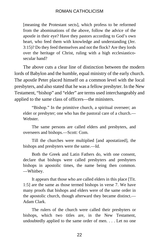[meaning the Protestant sects], which profess to be reformed from the abominations of the above, follow the advice of the apostle in their eye? Have they pastors according to God's own heart, who feed them with knowledge and understanding (Jer. 3:15)? Do they feed themselves and not the flock? Are they lords over the heritage of Christ, ruling with a high ecclesiasticosecular hand?

The above cuts a clear line of distinction between the modern lords of Babylon and the humble, equal ministry of the early church. The apostle Peter placed himself on a common level with the local presbyters, and also stated that he was a fellow presbyter. In the New Testament, "bishop" and "elder" are terms used interchangeably and applied to the same class of officers—the ministers.

"Bishop." In the primitive church, a spiritual overseer; an elder or presbyter; one who has the pastoral care of a church.— Webster.

The same persons are called elders and presbyters, and overseers and bishops.—Scott: Com.

Till the churches were multiplied [and apostatized], the bishops and presbyters were the same.—Id.

Both the Greek and Latin Fathers do, with one consent, declare that bishops were called presbyters and presbyters bishops in apostolic times, the name being then common. —Whitbey.

It appears that those who are called elders in this place [Tit. 1:5] are the same as those termed bishops in verse 7. We have many proofs that bishops and elders were of the same order in the apostolic church, though afterward they became distinct.— Adam Clark.

The rulers of the church were called their presbyters or bishops, which two titles are, in the New Testament, undoubtedly applied to the same order of men. . . . Let no one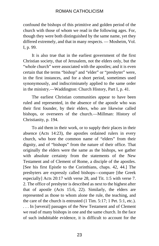confound the bishops of this primitive and golden period of the church with those of whom we read in the following ages. For, though they were both distinguished by the same name, yet they differed extremely, and that in many respects. — Mosheim, Vol. I, p. 99.

It is also true that in the earliest government of the first Christian society, that of Jerusalem, not the elders only, but the "whole church" were associated with the apostles; and it is even certain that the terms "bishop" and "elder" or "presbyter" were, in the first instances, and for a short period, sometimes used synonymously, and indiscriminately applied to the same order in the ministry.—Waddington: Church History, Part I, p. 41.

The earliest Christian communities appear to have been ruled and represented, in the absence of the apostle who was their first founder, by their elders, who are likewise called bishops, or overseers of the church.—Millman: History of Christianity, p. 194.

To aid them in their work, or to supply their places in their absence (Acts 14:23), the apostles ordained rulers in every church, who bore the common name of "elders" from their dignity, and of "bishops" from the nature of their office. That originally the elders were the same as the bishops, we gather with absolute certainty from the statements of the New Testament and of Clement of Rome, a disciple of the apostles. [See his first Epistle to the Corinthians, chaps. 42, 44.] The presbyters are expressly called bishops—compare [the Greek especially] Acts 20:17 with verse 28, and Tit. 1:5 with verse 7. 2. The office of presbyter is described as next to the highest after that of apostle (Acts 15:6, 22). Similarly, the elders are represented as those to whom alone the rule, the teaching, and the care of the church is entrusted (1 Tim. 5:17; 1 Pet. 5:1, etc.). . . . In [several] passages of the New Testament and of Clement we read of many bishops in one and the same church. In the face of such indubitable evidence, it is difficult to account for the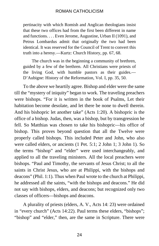pertinacity with which Romish and Anglican theologians insist that these two offices had from the first been different in name and functions. . . . Even Jerome, Augustine, Urban II (1091), and Petrus Lombardus admit that originally the two had been identical. It was reserved for the Council of Trent to convert this truth into a heresy.—Kurtz: Church History, pp. 67, 68.

The church was in the beginning a community of brethren, guided by a few of the brethren. All Christians were priests of the living God, with humble pastors as their guides.— D'Aubigne: History of the Reformation, Vol. I, pp. 35, 50.

To the above we heartily agree. Bishop and elder were the same till the "mystery of iniquity" began to work. The traveling preachers were bishops. "For it is written in the book of Psalms, Let their habitation become desolate, and let there be none to dwell therein. And his bishopric let another take" (Acts 1:20). A bishopric is the office of a bishop. Judas, then, was a bishop, but by transgression he fell. So Matthias was chosen to take his bishopric—his office of bishop. This proves beyond question that all the Twelve were properly called bishops. This included Peter and John, who also were called elders, or ancients (1 Pet. 5:1; 2 John 1; 3 John 1). So the terms "bishop" and "elder" were used interchangeably, and applied to all the traveling ministers. All the local preachers were bishops. "Paul and Timothy, the servants of Jesus Christ; to all the saints in Christ Jesus, who are at Philippi, with the bishops and deacons" (Phil. 1:1). Thus when Paul wrote to the church at Philippi, he addressed all the saints, "with the bishops and deacons." He did not say with bishops, elders, and deacons; but recognized only two classes of officers—bishops and deacons.

A plurality of priests (elders, A. V., Acts 14: 23) were ordained in "every church" (Acts 14:22). Paul terms these elders, "bishops"; "bishop" and "elder," then, are the same in Scripture. There were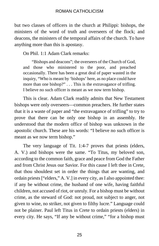but two classes of officers in the church at Philippi: bishops, the ministers of the word of truth and overseers of the flock; and deacons, the ministers of the temporal affairs of the church. To have anything more than this is apostasy.

On Phil. 1:1 Adam Clark remarks:

"Bishops and deacons"; the overseers of the Church of God, and those who ministered to the poor, and preached occasionally. There has been a great deal of paper wasted in the inquiry, "Who is meant by 'bishops' here, as no place could have more than one bishop?" . . . This is the extravagance of trifling. I believe no such officer is meant as we now term bishop.

This is clear. Adam Clark readily admits that New Testament bishops were only overseers—common preachers. He further states that it is a waste of paper and "the extravagance of trifling" to try to prove that there can be only one bishop in an assembly. He understood that the modern office of bishop was unknown in the apostolic church. These are his words: "I believe no such officer is meant as we now term bishop."

The very language of Tit. 1:4-7 proves that priests (elders, A. V.) and bishops were the same. "To Titus, my beloved son, according to the common faith, grace and peace from God the Father and from Christ Jesus our Savior. For this cause I left thee in Crete, that thou shouldest set in order the things that are wanting, and ordain priests ["elders," A. V.] in every city, as I also appointed thee: if any be without crime, the husband of one wife, having faithful children, not accused of riot, or unruly. For a bishop must be without crime, as the steward of God: not proud, not subject to anger, not given to wine, no striker, not given to filthy lucre." Language could not be plainer. Paul left Titus in Crete to ordain priests (elders) in every city. He says, "If any be without crime," "for a bishop must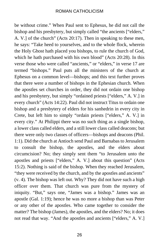be without crime." When Paul sent to Ephesus, he did not call the bishop and his presbytery, but simply called "the ancients ["elders," A. V.] of the church" (Acts 20:17). Then in speaking to these men, he says: "Take heed to yourselves, and to the whole flock, wherein the Holy Ghost hath placed you bishops, to rule the church of God, which he hath purchased with his own blood" (Acts 20:28). In this verse those who were called "ancients," or "elders," in verse 17 are termed "bishops." Paul puts all the ministers of the church at Ephesus on a common level—bishops; and this text further proves that there were a number of bishops in the Ephesian church. When the apostles set churches in order, they did not ordain one bishop and his presbytery, but simply "ordained priests ["elders," A. V.] in every church" (Acts 14:22). Paul did not instruct Titus to ordain one bishop and a presbytery of elders for his sanhedrin in every city in Crete, but left him to simply "ordain priests ["elders," A. V.] in every city." At Philippi there was no such thing as a single bishop, a lower class called elders, and a still lower class called deacons; but there were only two classes of officers—bishops and deacons (Phil. 1:1). Did the church at Antioch send Paul and Barnabas to Jerusalem to consult the bishop, the apostles, and the elders about circumcision? No; they simply sent them "to Jerusalem unto the apostles and priests ["elders," A. V.] about this question" (Acts 15:2). Nothing is said of the bishop. When they reached Jerusalem, "they were received by the church, and by the apostles and ancients" (v. 4). The bishop was left out. Why? They did not have such a high officer over them. That church was pure from the mystery of iniquity. "But," says one, "James was a bishop." James was an apostle (Gal. 1:19); hence he was no more a bishop than was Peter or any other of the apostles. Who came together to consider the matter? The bishop (James), the apostles, and the elders? No; it does not read that way. "And the apostles and ancients ["elders," A. V.]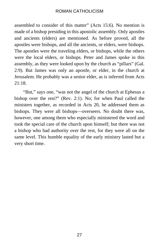assembled to consider of this matter" (Acts 15:6). No mention is made of a bishop presiding in this apostolic assembly. Only apostles and ancients (elders) are mentioned. As before proved, all the apostles were bishops, and all the ancients, or elders, were bishops. The apostles were the traveling elders, or bishops, while the others were the local elders, or bishops. Peter and James spoke in this assembly, as they were looked upon by the church as "pillars" (Gal. 2:9). But James was only an apostle, or elder, in the church at Jerusalem. He probably was a senior elder, as is inferred from Acts 21:18.

"But," says one, "was not the angel of the church at Ephesus a bishop over the rest?" (Rev. 2:1). No; for when Paul called the ministers together, as recorded in Acts 20, he addressed them as bishops. They were all bishops—overseers. No doubt there was, however, one among them who especially ministered the word and took the special care of the church upon himself; but there was not a bishop who had authority over the rest, for they were all on the same level. This humble equality of the early ministry lasted but a very short time.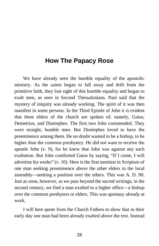# <span id="page-33-0"></span>**How The Papacy Rose**

We have already seen the humble equality of the apostolic ministry. As the saints began to fall away and drift from the primitive faith, they lost sight of this humble equality and began to exalt men, as seen in Second Thessalonians. Paul said that the mystery of iniquity was already working. The spirit of it was then manifest in some persons. In the Third Epistle of John it is evident that three elders of the church are spoken of; namely, Gaius, Demetrius, and Diotrephes. The first two John commended. They were straight, humble men. But Diotrephes loved to have the preeminence among them. He no doubt wanted to be a bishop, to be higher than the common presbytery. He did not want to receive the apostle John (v. 9), for he knew that John was against any such exaltation. But John comforted Gaius by saying, "If I come, I will advertise his works" (v. 10). Here is the first mention in Scripture of one man seeking preeminence above the other elders in the local assembly—seeking a position over the others. This was A. D. 90. Just as soon, however, as we pass beyond the sacred writings, in the second century, we find a man exalted to a higher office—a bishop over the common presbyters or elders. This was apostasy already at work.

I will here quote from the Church Fathers to show that in their early day one man had been already exalted above the rest. Instead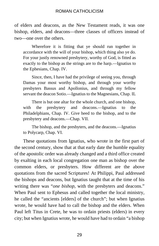of elders and deacons, as the New Testament reads, it was one bishop, elders, and deacons—three classes of officers instead of two—one over the others.

Wherefore it is fitting that ye should run together in accordance with the will of your bishop, which thing also ye do. For your justly renowned presbytery, worthy of God, is fitted as exactly to the bishop as the strings are to the harp.—Ignatius to the Ephesians, Chap. IV.

Since, then, I have had the privilege of seeing you, through Damas your most worthy bishop, and through your worthy presbyters Bassus and Apollonius, and through my fellow servant the deacon Sotio.—Ignatius to the Magnesians, Chap. IL

There is but one altar for the whole church, and one bishop, with the presbytery and deacons.—Ignatius to the Philadelphians, Chap. IV. Give heed to the bishop, and to the presbytery and deacons.—Chap. VII.

The bishop, and the presbyters, and the deacons.—Ignatius to Polycarp, Chap. VI.

These quotations from Ignatius, who wrote in the first part of the second century, show that at that early date the humble equality of the apostolic order was already changed and a third office created by exalting in each local congregation one man as bishop over the common elders, or presbyters. How different are the above quotations from the sacred Scriptures! At Philippi, Paul addressed the bishops and deacons, but Ignatius taught that at the time of his writing there was "*one bishop*, with the presbyters and deacons." When Paul sent to Ephesus and called together the local ministry, he called the "ancients [elders] of the church"; but when Ignatius wrote, he would have had to call the bishop and the elders. When Paul left Titus in Crete, he was to ordain priests (elders) in every city; but when Ignatius wrote, he would have had to ordain "a bishop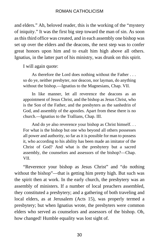and elders." Ah, beloved reader, this is the working of the "mystery of iniquity." It was the first big step toward the man of sin. As soon as this third office was created, and in each assembly one bishop was set up over the elders and the deacons, the next step was to confer great honors upon him and to exalt him high above all others. Ignatius, in the latter part of his ministry, was drunk on this spirit.

I will again quote:

As therefore the Lord does nothing without the Father . . . so do ye, neither presbyter, nor deacon, nor layman, do anything without the bishop.—Ignatius to the Magnesians, Chap. VII.

In like manner, let all reverence the deacons as an appointment of Jesus Christ, and the bishop as Jesus Christ, who is the Son of the Father, and the presbyters as the sanhedrin of God, and assembly of the apostles. Apart from these there is no church.—Ignatius to the Trallians, Chap. III.

And do ye also reverence your bishop as Christ himself. . . For what is the bishop but one who beyond all others possesses all power and authority, so far as it is possible for man to possess it, who according to his ability has been made an imitator of the Christ of God? And what is the presbytery but a sacred assembly, the counselors and assessors of the bishop?—Chap. VII.

"Reverence your bishop as Jesus Christ" and "do nothing without the bishop"—that is getting him pretty high. But such was the spirit then at work. In the early church, the presbytery was an assembly of ministers. If a number of local preachers assembled, they constituted a presbytery; and a gathering of both traveling and local elders, as at Jerusalem (Acts 15), was properly termed a presbytery; but when Ignatius wrote, the presbyters were common elders who served as counselors and assessors of the bishop. Oh, how changed! Humble equality was lost sight of.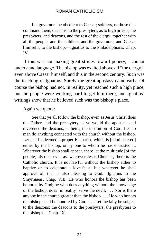Let governors be obedient to Caesar; soldiers, to those that command them; deacons, to the presbyters, as to high priests; the presbyters, and deacons, and the rest of the clergy, together with all the people, and the soldiers, and the governors, and Caesar [himself], to the bishop.—Ignatius to the Philadelphians, Chap. IV.

If this was not making great strides toward popery, I cannot understand language. The bishop was exalted above all "the clergy," even above Caesar himself, and this in the second century. Such was the teaching of Ignatius. Surely the great apostasy came early. Of course the bishop had not, in reality, yet reached such a high place, but the people were working hard to get him there, and Ignatius' writings show that he believed such was the bishop's place.

#### Again we quote:

See that ye all follow the bishop, even as Jesus Christ does the Father, and the presbytery as ye would the apostles; and reverence the deacons, as being the institution of God. Let no man do anything connected with the church without the bishop. Let that be deemed a proper Eucharist, which is [administered] either by the bishop, or by one to whom he has entrusted it. Wherever the bishop shall appear, there let the multitude [of the people] also be; even as, wherever Jesus Christ is, there is the Catholic church. It is not lawful without the bishop either to baptize or to celebrate a love-feast; but whatever he shall approve of, that is also pleasing to God.—Ignatius to the Smyrnaens, Chap, VIII. He who honors the bishop has been honored by God; he who does anything without the knowledge of the bishop, does [in reality] serve the devil. . . . Nor is there anyone in the church greater than the bishop. . . . He who honors the bishop shall be honored by God. . . . Let the laity be subject to the deacons; the deacons to the presbyters; the presbyters to the bishops.—Chap. IX.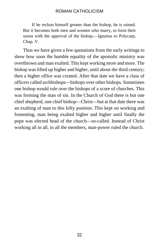If he reckon himself greater than the bishop, he is ruined. But it becomes both men and women who marry, to form their union with the approval of the bishop.—Ignatius to Polycarp, Chap. V.

Thus we have given a few quotations from the early writings to show how soon the humble equality of the apostolic ministry was overthrown and man exalted. This kept working more and more. The bishop was lifted up higher and higher, until about the third century; then a higher office was created. After that date we have a class of officers called archbishops—bishops over other bishops. Sometimes one bishop would rule over the bishops of a score of churches. This was forming the man of sin. In the Church of God there is but one chief shepherd, one chief bishop—Christ—but at that date there was an exalting of man to this lofty position. This kept on working and fomenting, man being exalted higher and higher until finally the pope was elected head of the church—so-called. Instead of Christ working all in all, in all the members, man-power ruled the church.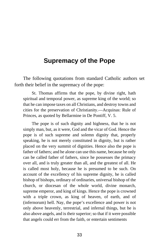## **Supremacy of the Pope**

The following quotations from standard Catholic authors set forth their belief in the supremacy of the pope:

St. Thomas affirms that the pope, by divine right, hath spiritual and temporal power, as supreme king of the world; so that he can impose taxes on all Christians, and destroy towns and cities for the preservation of Christianity.—Acquinas: Rule of Princes, as quoted by Bellarmine in De Pontiff, V. 5.

The pope is of such dignity and highness, that he is not simply man, but, as it were, God and the vicar of God. Hence the pope is of such supreme and solemn dignity that, properly speaking, he is not merely constituted in dignity, but is rather placed on the very summit of dignities. Hence also the pope is father of fathers; and he alone can use this name, because he only can be called father of fathers, since he possesses the primacy over all, and is truly greater than all, and the greatest of all. He is called most holy, because he is presumed to be such. On account of the excellency of his supreme dignity, he is called bishop of bishops, ordinary of ordinaries, universal bishop of the church, or diocesan of the whole world, divine monarch, supreme emperor, and king of kings. Hence the pope is crowned with a triple crown, as king of heaven, of earth, and of (infernorum) hell. Nay, the pope's excellence and power is not only above heavenly, terrestrial, and infernal things, but he is also above angels, and is their superior; so that if it were possible that angels could err from the faith, or entertain sentiments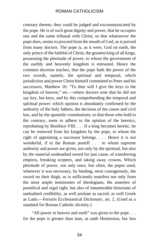contrary thereto, they could be judged and excommunicated by the pope. He is of such great dignity and power, that he occupies one and the same tribunal with Christ; so that whatsoever the pope does, seems to proceed from the mouth of God, as is proved from many doctors. The pope is, as it were, God on earth, the only prince of the faithful of Christ, the greatest king of all kings, possessing the plenitude of power, to whom the government of the earthly and heavenly kingdom is entrusted. Hence the common doctrine teaches, that the pope hath the power of the two swords, namely, the spiritual and temporal, which jurisdiction and power Christ himself committed to Peter and his successors, Matthew 16: "To thee will I give the keys to the kingdom of heaven," etc.—where doctors note that he did not say key, but keys, and by this comprehending the temporal and spiritual power: which opinion is abundantly confirmed by the authority of the holy fathers, the decision of the canon and civil law, and by the apostolic constitutions; so that those who hold to the contrary, seem to adhere to the opinion of the heretics, reprobating by Boniface VIII. . . . If a king becomes heretic, he can be removed from his kingdom by the pope, to whom the right of appointing a successor belongs. . . . Hence it is not wonderful, if to the Roman pontiff . . . to whom supreme authority and power are given, not only by the spiritual, but also by the material unsheathed sword for just cause, of transferring empires, breaking scepters, and taking away crowns. Which plenitude of power, not only once, but often, the popes used, whenever it was necessary, by binding, most courageously, the sword on their thigh, as is sufficiently manifest not only from the most ample testimonies of theologians, the asserters of pontifical and regal right, but also of innumerable historians of undoubted credibility, as well profane as sacred, as well Greek as Latin.—Ferraris Ecclesiastical Dictionary, art. 2. (Used as a standard for Roman Catholic divinity.)

"All power in heaven and earth" was given to the pope . . . for the pope is greater than man, as saith Hostensius, but less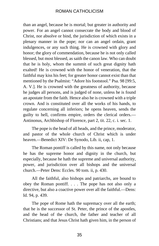than an angel, because he is mortal; but greater in authority and power. For an angel cannot consecrate the body and blood of Christ, nor absolve or bind, the jurisdiction of which exists in a plenary manner in the pope; nor can an angel ordain, grant indulgences, or any such thing. He is crowned with glory and honor; the glory of commendation, because he is not only called blessed, but most blessed, as saith the canon law. Who can doubt that he is holy, whom the summit of such great dignity hath exalted! He is crowned with the honor of veneration, that the faithful may kiss his feet; for greater honor cannot exist than that mentioned by the Psalmist: "Adore his footstool." Psa. 98 [99:5, A. V.]. He is crowned with the greatness of authority, because he judges all persons, and is judged of none, unless he is found an apostate from the faith. Hence also he is crowned with a triple crown. And is constituted over all the works of his hands, to regulate concerning all inferiors; he opens heaven, sends the guilty to hell, confirms empire, orders the clerical orders.— Antinonus, Archbishop of Florence, part 2, tit. 22, c. i. sec. 1.

The pope is the head of all heads, and the prince, moderator, and pastor of the whole church of Christ which is under heaven.—Benedict XIV: De Synodo, Lib. ii, cap, 1.

The Roman pontiff is called by this name, not only because he has the supreme honor and dignity in the church, but especially, because he hath the supreme and universal authority, power, and jurisdiction over all bishops and the universal church.—Peter Dens: Eccles. 90 tom. ii, p. 430.

All the faithful, also bishops and patriarchs, are bound to obey the Roman pontiff. . . . The pope has not also only a directive, but also a coactive power over all the faithful.—Dens: Id. 94, p. 439.

The pope of Rome hath the supremacy over all the earth; that he is the successor of St. Peter, the prince of the apostles, and the head of the church, the father and teacher of all Christians; and that Jesus Christ hath given him, in the person of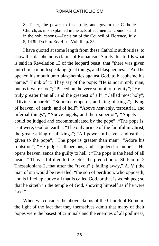St. Peter, the power to feed, rule, and govern the Catholic Church, as it is explained in the acts of ecumenical councils and in the holy canons.—Decision of the Council of Florence, July 5, 1439. Du Pin: Ec. Hist., Vol. Ill, p. 35.

I have quoted at some length from these Catholic authorities, to show the blasphemous claims of Romanism. Surely this fulfils what is said in Revelation 13 of the leopard beast, that "there was given unto him a mouth speaking great things, and blasphemies." "And he opened his mouth unto blasphemies against God, to blaspheme his name." Think of it! They say of the pope: "He is not simply man, but as it were God"; "Placed on the very summit of dignity"; "He is truly greater than all, and the greatest of all"; "Called most holy"; "Divine monarch"; "Supreme emperor, and king of kings"; "King of heaven, of earth, and of hell"; "Above heavenly, terrestrial, and infernal things"; "Above angels, and their superior"; "Angels . . . could be judged and excommunicated by the pope"; "The pope is, as it were, God on earth"; "The only prince of the faithful in Christ, the greatest king of all kings"; "All power in heaven and earth is given to the pope"; "The pope is greater than man"; "Adore his footstool"; "He judges all persons, and is judged of none"; "He opens heaven, sends the guilty to hell"; "The pope is the head of all heads." Thus is fulfilled to the letter the prediction of St. Paul in 2 Thessalonians 2, that after the "revolt" ("falling away," A. V.) the man of sin would be revealed, "the son of perdition, who opposeth, and is lifted up above all that is called God, or that is worshiped; so that he sitteth in the temple of God, showing himself as if he were God."

When we consider the above claims of the Church of Rome in the light of the fact that they themselves admit that many of their popes were the basest of criminals and the enemies of all godliness,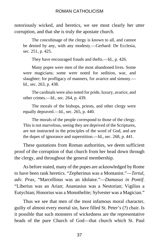notoriously wicked, and heretics, we see most clearly her utter corruption, and that she is truly the apostate church.

The concubinage of the clergy is known to all, and cannot be denied by any, with any modesty.—Gerhard: De Ecclesia, sec. 251, p. 425.

They have encouraged frauds and thefts.—Id., p. 426.

Many popes were men of the most abandoned lives. Some were magicians; some were noted for sedition, war, and slaughter; for profligacy of manners, for avarice and simony.— Id., sec. 263, p. 438.

The cardinals were also noted for pride, luxury, avarice, and other crimes.—Id., sec. 264, p. 439.

The morals of the bishops, priests, and other clergy were equally depraved.—Id., sec. 265, p. 440.

The morals of the people correspond to those of the clergy. This is not marvelous, seeing they are deprived of the Scriptures, are not instructed in the principles of the word of God, and are the dupes of ignorance and superstition.—Id., sec. 268, p. 441.

These quotations from Roman authorities, we deem sufficient proof of the corruption of that church from her head down through the clergy, and throughout the general membership.

As before stated, many of the popes are acknowledged by Rome to have been rank heretics. "Zepherinus was a Montanist."—*Tertul, adv. Prax*, "Marcellinus was an idolator."—*Damasus in Pontif*. "Liberius was an Arian; Anastasius was a Nestorian; Vigilius a Eutychian; Honorius was a Monothelite; Sylvester was a Magician."

Thus we see that men of the most infamous moral character, guilty of almost every mortal sin, have filled St. Peter's (?) chair. Is it possible that such monsters of wickedness are the representative heads of the pure Church of God—that church which St. Paul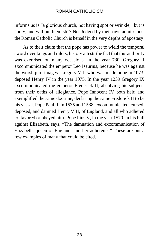informs us is "a glorious church, not having spot or wrinkle," but is "holy, and without blemish"? No. Judged by their own admissions, the Roman Catholic Church is herself in the very depths of apostasy.

As to their claim that the pope has power to wield the temporal sword over kings and rulers, history attests the fact that this authority was exercised on many occasions. In the year 730, Gregory II excommunicated the emperor Leo Isaurius, because he was against the worship of images. Gregory VII, who was made pope in 1073, deposed Henry IV in the year 1075. In the year 1239 Gregory IX excommunicated the emperor Frederick II, absolving his subjects from their oaths of allegiance. Pope Innocent IV both held and exemplified the same doctrine, declaring the same Frederick II to be his vassal. Pope Paul II, in 1535 and 1538, excommunicated, cursed, deposed, and damned Henry VIII, of England, and all who adhered to, favored or obeyed him. Pope Pius V, in the year 1570, in his bull against Elizabeth, says, "The damnation and excommunication of Elizabeth, queen of England, and her adherents." These are but a few examples of many that could be cited.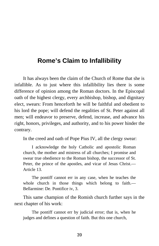# **Rome's Claim to Infallibility**

It has always been the claim of the Church of Rome that she is infallible. As to just where this infallibility lies there is some difference of opinion among the Roman doctors. In the Episcopal oath of the highest clergy, every archbishop, bishop, and dignitary elect, swears: From henceforth he will be faithful and obedient to his lord the pope; will defend the regalities of St. Peter against all men; will endeavor to preserve, defend, increase, and advance his right, honors, privileges, and authority, and to his power hinder the contrary.

In the creed and oath of Pope Pius IV, all the clergy swear:

I acknowledge the holy Catholic and apostolic Roman church, the mother and mistress of all churches; I promise and swear true obedience to the Roman bishop, the successor of St. Peter, the prince of the apostles, and vicar of Jesus Christ.— Article 13.

The pontiff cannot err in any case, when he teaches the whole church in those things which belong to faith.— Bellarmine: De. Pontifice iv, 3.

This same champion of the Romish church further says in the next chapter of his work:

The pontiff cannot err by judicial error; that is, when he judges and defines a question of faith. But this one church,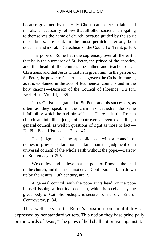because governed by the Holy Ghost, cannot err in faith and morals, it necessarily follows that all other societies arrogating to themselves the name of church, because guided by the spirit of darkness, are sunk in the most pernicious errors, both doctrinal and moral.—Catechism of the Council of Trent, p. 100.

The pope of Rome hath the supremacy over all the earth; that he is the successor of St. Peter, the prince of the apostles, and the head of the church, the father and teacher of all Christians; and that Jesus Christ hath given him, in the person of St. Peter, the power to feed, rule, and govern the Catholic church, as it is explained in the acts of Ecumenical councils and in the holy canons.—Decision of the Council of Florence, Du Pin, Eccl. Hist., Vol. III, p. 35.

Jesus Christ has granted to St. Peter and his successors, as often as they speak in the chair, ex cathedra, the same infallibility which he had himself. . . . There is in the Roman church an infallible judge of controversy, even excluding a general council, as well in questions of right as those of fact.— Du Pin, Eccl. Hist., cent. 17, p. 147.

The judgment of the apostolic see, with a council of domestic priests, is far more certain than the judgment of a universal council of the whole earth without the pope.—Barrow on Supremacy, p. 395.

We confess and believe that the pope of Rome is the head of the church, and that he cannot err.—Confession of faith drawn up by the Jesuits, 19th century, art. 2.

A general council, with the pope at its head, or the pope himself issuing a doctrinal decision, which is received by the great body of Catholic bishops, is secure from error.—End of Controversy, p. 84.

This well sets forth Rome's position on infallibility as expressed by her standard writers. This notion they base principally on the words of Jesus, "The gates of hell shall not prevail against it."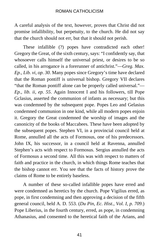A careful analysis of the text, however, proves that Christ did not promise infallibility, but perpetuity, to the church. He did not say that the church should not err, but that it should not perish.

These infallible (?) popes have contradicted each other! Gregory the Great, of the sixth century, says: "I confidently say, that whosoever calls himself the universal priest, or desires to be so called, in his arrogance is a forerunner of antichrist."—*Greg. Max. Ep., Lib. vi, op*. *30*. Many popes since Gregory's time have declared that the Roman pontiff is universal bishop. Gregory VII declares "that the Roman pontiff alone can be properly called universal."— *Ep., lib. ii, ep. 55*. Again Innocent I and his followers, till Pope Gclasius, asserted the communion of infants as necessary; but this was condemned by the subsequent pope. Popes Leo and Gelasius condemned communion in one kind, while all modern popes enjoin it. Gregory the Great condemned the worship of images and the canonicity of the books of Maccabees. These have been adopted by the subsequent popes. Stephen VI, in a provincial council held at Rome, annulled all the acts of Formosus, one of his predecessors. John IX, his successor, in a council held at Ravenna, annulled Stephen's acts with respect to Formosus. Sergius annulled the acts of Formosus a second time. All this was with respect to matters of faith and practice in the church, in which things Rome teaches that the bishop cannot err. You see that the facts of history prove the claims of Rome to be entirely baseless.

A number of these so-called infallible popes have erred and were condemned as heretics by the church. Pope Vigilius erred, as pope, in first condemning and then approving a decision of the fifth general council, held A. D. 553. (*Du Pin, Ec. Hist., Vol. I, p. 709*.) Pope Liberius, in the fourth century, erred, as pope, in condemning Athanasius, and consented to the heretical faith of the Arians, and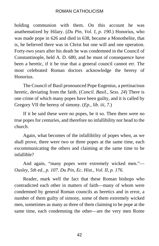holding communion with them. On this account he was anathematized by Hilary. (*Du Pin, Vol. I, p. 190*.) Honorius, who was made pope in 626 and died in 638, became a Monothelite, that is, he believed there was in Christ but one will and one operation. Forty-two years after his death he was condemned in the Council of Constantinople, held A. D. 680, and he must of consequence have been a heretic, if it be true that a general council cannot err. The most celebrated Roman doctors acknowledge the heresy of Honorius.

The Council of Basil pronounced Pope Eugenius, a pertinacious heretic, deviating from the faith. (*Concil. Basil., Sess. 24*) There is one crime of which many popes have been guilty, and it is called by Gregory VII the heresy of simony. (*Ep., lib. iii, 7*.)

If it be said these were no popes, be it so. Then there were no true popes for centuries, and therefore no infallibility nor head to the church.

Again, what becomes of the infallibility of popes when, as we shall prove, there were two or three popes at the same time, each excommunicating the others and claiming at the same time to be infallible?

And again, "many popes were extremely wicked men."— *Ousley, 5th ed., p. 107. Du Pin, Ec. Hist., Vol. II, p. 176.*

Reader, mark well the fact that these Roman bishops who contradicted each other in matters of faith—many of whom were condemned by general Roman councils as heretics and in error, a number of them guilty of simony, some of them extremely wicked men, sometimes as many as three of them claiming to be pope at the same time, each condemning the other—are the very men Rome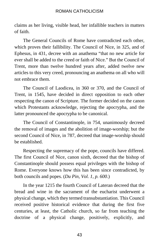claims as her living, visible head, her infallible teachers in matters of faith.

The General Councils of Rome have contradicted each other, which proves their fallibility. The Council of Nice, in 325, and of Ephesus, in 431, decree with an anathema "that no new article for ever shall be added to the creed or faith of Nice." But the Council of Trent, more than twelve hundred years after, added twelve new articles to this very creed, pronouncing an anathema on all who will not embrace them.

The Council of Laodicea, in 360 or 370, and the Council of Trent, in 1545, have decided in direct opposition to each other respecting the canon of Scripture. The former decided on the canon which Protestants acknowledge, rejecting the apocrypha, and the latter pronounced the apocrypha to be canonical.

The Council of Constantinople, in 754, unanimously decreed the removal of images and the abolition of image-worship; but the second Council of Nice, in 787, decreed that image-worship should be established.

Respecting the supremacy of the pope, councils have differed. The first Council of Nice, canon sixth, decreed that the bishop of Constantinople should possess equal privileges with the bishop of Rome. Everyone knows how this has been since contradicted, by both councils and popes. (*Du Pin, Vol. 1, p. 600*.)

In the year 1215 the fourth Council of Lateran decreed that the bread and wine in the sacrament of the eucharist underwent a physical change, which they termed transubstantiation. This Council received positive historical evidence that during the first five centuries, at least, the Catholic church, so far from teaching the doctrine of a physical change, positively, explicitly, and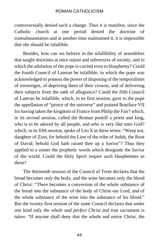controversially denied such a change. Thus it is manifest, since the Catholic church at one period denied the doctrine of transubstantiation and at another time maintained it, it is impossible that she should be infallible.

Besides, how can we believe in the infallibility of assemblies that taught doctrines at once unjust and subversive of society, and in which the adulation of the pope is carried even to blasphemy? Could the fourth Council of Lateran be infallible, in which the pope was acknowledged to possess the power of disposing of the temporalities of sovereigns, of depriving them of their crowns, and of delivering their subjects from the oath of allegiance? Could the fifth Council of Lateran be infallible, which, in its first session, gave to the pope the appellation of "prince of the universe" and praised Boniface VII for having taken the kingdom of France from Philip the Fair? which, in its second session, called the Roman pontiff a priest and king, who is to be adored by all people, and who is very like unto God? which, in its fifth session, spoke of Leo X in these terms: "Weep not, daughter of Zion, for behold the Lion of the tribe of Judah, the Root of David; behold God hath raised thee up a Savior"? Thus they applied to a sinner the prophetic words which designate the Savior of the world. Could the Holy Spirit inspire such blasphemies as these?

The thirteenth session of the Council of Trent declares that the bread becomes *only* the body, and the wine becomes *only* the blood of Christ: "There becomes a conversion of the whole substance of the bread into the substance of the body of Christ our Lord, and of the whole substance of the wine into the substance of his blood." But the twenty-first session of the same Council declares that under *one* kind only *the whole and perfect Christ* and true sacrament is taken: "If anyone shall deny that the whole and entire Christ, the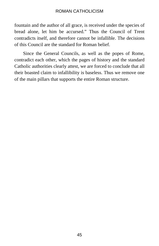fountain and the author of all grace, is received under the species of bread alone, let him be accursed." Thus the Council of Trent contradicts itself, and therefore cannot be infallible. The decisions of this Council are the standard for Roman belief.

Since the General Councils, as well as the popes of Rome, contradict each other, which the pages of history and the standard Catholic authorities clearly attest, we are forced to conclude that all their boasted claim to infallibility is baseless. Thus we remove one of the main pillars that supports the entire Roman structure.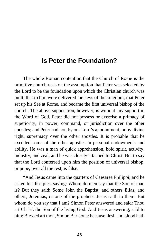## **Is Peter the Foundation?**

The whole Roman contention that the Church of Rome is the primitive church rests on the assumption that Peter was selected by the Lord to be the foundation upon which the Christian church was built; that to him were delivered the keys of the kingdom; that Peter set up his See at Rome, and became the first universal bishop of the church. The above supposition, however, is without any support in the Word of God. Peter did not possess or exercise a primacy of superiority, in power, command, or jurisdiction over the other apostles; and Peter had not, by our Lord's appointment, or by divine right, supremacy over the other apostles. It is probable that he excelled some of the other apostles in personal endowments and ability. He was a man of quick apprehension, bold spirit, activity, industry, and zeal, and he was closely attached to Christ. But to say that the Lord conferred upon him the position of universal bishop, or pope, over all the rest, is false.

"And Jesus came into the quarters of Caesarea Philippi; and he asked his disciples, saying: Whom do men say that the Son of man is? But they said: Some John the Baptist, and others Elias, and others, Jeremias, or one of the prophets. Jesus saith to them: But whom do you say that I am? Simon Peter answered and said: Thou art Christ, the Son of the living God. And Jesus answering, said to him: Blessed art thou, Simon Bar-Jona: because flesh and blood hath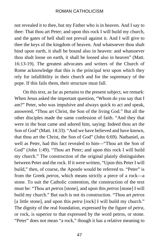not revealed it to thee, but my Father who is in heaven. And I say to thee: That thou art Peter; and upon this rock I will build my church, and the gates of hell shall not prevail against it. And I will give to thee the keys of the kingdom of heaven. And whatsoever thou shalt bind upon earth, it shall be bound also in heaven: and whatsoever thou shalt loose on earth, it shall be loosed also in heaven" (Matt. 16:13-19). The greatest advocates and writers of the Church of Rome acknowledge that this is the principal text upon which they rely for infallibility in their church and for the supremacy of the pope. If this fails them, their structure must fall.

On this text, as far as pertains to the present subject, we remark: When Jesus asked the important question, "Whom do you say that I am?" Peter, who was impulsive and always quick to act and speak, answered, "Thou art Christ, the Son of the living God." But all the other disciples made the same confession of faith. "And they that were in the boat came and adored him, saying: Indeed thou art the Son of God" (Matt. 14:33). "And we have believed and have known, that thou art the Christ, the Son of God" (John 6:69). Nathaniel, as well as Peter, had this fact revealed to him—"Thou art the Son of God" (John 1:49). "Thou art Peter; and upon this rock I will build my church." The construction of the original plainly distinguishes between Peter and the rock. If it were written, "Upon this Peter I will build," then, of course, the Apostle would be referred to. "Peter" is from the Greek *petros,* which means strictly a piece of a rock—a stone. To suit the Catholic contention, the construction of the text must be: "Thou art *petros* [stone], and upon this *petros* [stone] I will build my church." But such is not its construction. "Thou art *petros* [a little stone], and upon this *petra* [rock] I will build my church." The dignity of the real foundation, expressed by the figure of *petra,* or rock, is superior to that expressed by the word petros, or stone. "Peter" does not mean "a rock," though it has a relative meaning to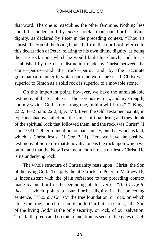that word. The one is masculine, the other feminine. Nothing less could be understood by *petra*—rock—than our Lord's divine dignity, as declared by Peter in the preceding context, "Thou art Christ, the Son of the living God." I affirm that our Lord referred to this declaration of Peter, relating to his own divine dignity, as being the true rock upon which he would build his church, and this is established by the clear distinction made by Christ between the stone—*petros*—and the rock—*petra*, and by the accurate grammatical manner in which both the words are used. Christ was superior to Simon as a solid rock is superior to a movable stone.

On this important point, however, we have the unmistakable testimony of the Scriptures. "The Lord is my rock, and my strength, and my savior. God is my strong one, in him will I trust" (2 Kings 22:2, 3—2 Sam. 22:2, 3, A. V.). Even the Old Testament saints, in type and shadow, "all drank the same spiritual drink; and they drank of the spiritual rock that followed them, and the rock was Christ" (1 Cor. 10:4). "Other foundation no man can lay, but that which is laid; which is Christ Jesus" (1 Cor. 3:11). Here we have the positive testimony of Scripture that Jehovah alone is the rock upon which we build, and that the New Testament church rests on Jesus Christ. He is its underlying rock.

The whole structure of Christianity rests upon "Christ, the Son of the living God." To apply the title "rock" to Peter, in Matthew 16, is inconsistent with the plain reference to the preceding context made by our Lord in the beginning of this verse—"*And I say to thee*"— which points to our Lord's dignity in the preceding sentence, "*Thou art Christ*," the true foundation, or rock, on which alone the true Church of God is built. Our faith in Christ, "the Son of the living God," is the only security, or rock, of our salvation. True faith, predicated on this foundation, is secure; the gates of hell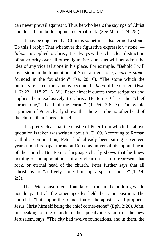can never prevail against it. Thus he who hears the sayings of Christ and does them, builds upon an eternal rock. (See Matt. 7:24, 25.)

It may be objected that Christ is sometimes also termed a stone. To this I reply: That whenever the figurative expression "stone" *lithos*—is applied to Christ, it is always with such a clear distinction of superiority over all other figurative stones as will not admit the idea of any vicarial stone in his place. For example, "Behold I will lay a stone in the foundations of Sion, a tried stone, a *corner-stone*, founded in the foundation" (Isa. 28:16). "The stone which the builders rejected; the same is become the *head* of the corner" (Psa. 117: 22—118:22, A. V.). Peter himself quotes these scriptures and applies them exclusively to Christ. He terms Christ the "chief cornerstone," "head of the corner" (1 Pet. 2:6, 7). The whole argument of Peter clearly shows that there can be no other head of the church than Christ himself.

It is pretty clear that the epistle of Peter from which the above quotation is taken was written about A. D. 60. According to Roman Catholic computation, Peter had already been sitting seventeen years upon his papal throne at Rome as universal bishop and head of the church. But Peter's language clearly shows that he knew nothing of the appointment of any vicar on earth to represent that rock, or eternal head of the church. Peter further says that all Christians are "as lively stones built up, a spiritual house" (1 Pet. 2:5).

That Peter constituted a foundation-stone in the building we do not deny. But all the other apostles held the same position. The church is "built upon the foundation of the apostles and prophets, Jesus Christ himself being the chief corner-stone" (Eph. 2:20). John, in speaking of the church in the apocalyptic vision of the new Jerusalem, says, "The city had twelve foundations, and in them, the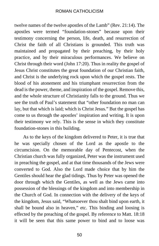twelve names of the twelve apostles of the Lamb" (Rev. 21:14). The apostles were termed "foundation-stones" because upon their testimony concerning the person, life, death, and resurrection of Christ the faith of all Christians is grounded. This truth was maintained and propagated by their preaching, by their holy practice, and by their miraculous performances. We believe on Christ through their word (John 17:20). Thus in reality the gospel of Jesus Christ constitutes the great foundation of our Christian faith, and Christ is the underlying rock upon which the gospel rests. The blood of his atonement and his triumphant resurrection from the dead is the power, theme, and inspiration of the gospel. Remove this, and the whole structure of Christianity falls to the ground. Thus we see the truth of Paul's statement that "other foundation no man can lay, but that which is laid; which is Christ Jesus." But the gospel has come to us through the apostles' inspiration and writing. It is upon their testimony we rely. This is the sense in which they constitute foundation-stones in this building.

As to the keys of the kingdom delivered to Peter, it is true that he was specially chosen of the Lord as the apostle to the circumcision. On the memorable day of Pentecost, when the Christian church was fully organized, Peter was the instrument used in preaching the gospel, and at that time thousands of the Jews were converted to God. Also the Lord made choice that by him the Gentiles should hear the glad tidings. Thus by Peter was opened the door through which the Gentiles, as well as the Jews came into possession of the blessings of the kingdom and into membership in the Church of God. In connection with the delivery of the keys of the kingdom, Jesus said, "Whatsoever thou shalt bind upon earth, it shall be bound also in heaven," etc. This binding and loosing is effected by the preaching of the gospel. By reference to Matt. 18:18 it will be seen that this same power to bind and to loose was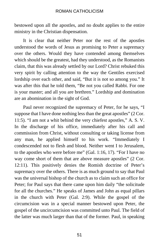bestowed upon all the apostles, and no doubt applies to the entire ministry in the Christian dispensation.

It is clear that neither Peter nor the rest of the apostles understood the words of Jesus as promising to Peter a supremacy over the others. Would they have contended among themselves which should be the greatest, had they understood, as the Romanists claim, that this was already settled by our Lord? Christ rebuked this very spirit by calling attention to the way the Gentiles exercised lordship over each other, and said, "But it is not so among you." It was after this that he told them, "Be not you called Rabbi. For one is your master; and all you are brethren." Lordship and domination are an abomination in the sight of God.

Paul never recognized the supremacy of Peter, for he says, "I suppose that I have done nothing less than the great apostles" (2 Cor. 11:5). "I am not a whit behind the very chiefest apostles," A. S. V. In the discharge of his office, immediately after his call and commission from Christ, without consulting or taking license from any man, he applied himself to his work. "Immediately I condescended not to flesh and blood. Neither went I to Jerusalem, to the apostles who were before me" (Gal. 1:16, 17). "For I have no way come short of them that are above measure apostles" (2 Cor. 12:11). This positively denies the Romish doctrine of Peter's supremacy over the others. There is as much ground to say that Paul was the universal bishop of the church as to claim such an office for Peter; for Paul says that there came upon him daily "the solicitude for all the churches." He speaks of James and John as equal pillars in the church with Peter (Gal. 2:9). While the gospel of the circumcision was in a special manner bestowed upon Peter, the gospel of the uncircumcision was committed unto Paul. The field of the latter was much larger than that of the former. Paul, in speaking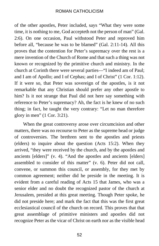of the other apostles, Peter included, says "What they were some time, it is nothing to me, God accepteth not the person of man" (Gal. 2:6). On one occasion, Paul withstood Peter and reproved him before all, "because he was to be blamed" (Gal. 2:11-14). All this proves that the contention for Peter's supremacy over the rest is a mere invention of the Church of Rome and that such a thing was not known or recognized by the primitive church and ministry. In the church at Corinth there were several parties—"I indeed am of Paul; and I am of Apollo; and I of Cephas; and I of Christ" (1 Cor. 1:12). If it were so, that Peter was sovereign of the apostles, is it not remarkable that any Christian should prefer any other apostle to him? Is it not strange that Paul did not here say something with reference to Peter's supremacy? Ah, the fact is he knew of no such thing; in fact, he taught the very contrary: "Let no man therefore glory in men" (1 Cor. 3:21).

When the great controversy arose over circumcision and other matters, there was no recourse to Peter as the supreme head or judge of controversies. The brethren sent to the apostles and priests (elders) to inquire about the question (Acts 15:2). When they arrived, "they were received by the church, and by the apostles and ancients [elders]" (v. 4). "And the apostles and ancients [elders] assembled to consider of this matter" (v. 6). Peter did not call, convene, or summon this council, or assembly, for they met by common agreement; neither did he preside in the meeting. It is evident from a careful reading of Acts 15 that James, who was a senior elder and no doubt the recognized pastor of the church at Jerusalem, presided at this great meeting. Though Peter spoke, he did not preside here; and mark the fact that this was the first great ecclesiastical council of the church on record. This proves that that great assemblage of primitive ministers and apostles did not recognize Peter as the vicar of Christ on earth nor as the visible head

52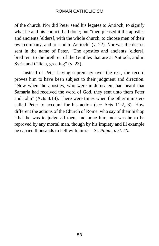of the church. Nor did Peter send his legates to Antioch, to signify what he and his council had done; but "then pleased it the apostles and ancients [elders], with the whole church, to choose men of their own company, and to send to Antioch" (v. 22). Nor was the decree sent in the name of Peter. "The apostles and ancients [elders], brethren, to the brethren of the Gentiles that are at Antioch, and in Syria and Cilicia, greeting" (v. 23).

Instead of Peter having supremacy over the rest, the record proves him to have been subject to their judgment and direction. "Now when the apostles, who were in Jerusalem had heard that Samaria had received the word of God, they sent unto them Peter and John" (Acts 8:14). There were times when the other ministers called Peter to account for his action (sec Acts 11:2, 3). How different the actions of the Church of Rome, who say of their bishop "that he was to judge all men, and none him; nor was he to be reproved by any mortal man, though by his impiety and ill example he carried thousands to hell with him."—*Si. Papa., dist. 40.*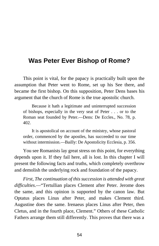## **Was Peter Ever Bishop of Rome?**

This point is vital, for the papacy is practically built upon the assumption that Peter went to Rome, set up his See there, and became the first bishop. On this supposition, Peter Dens bases his argument that the church of Rome is the true apostolic church.

Because it hath a legitimate and uninterrupted succession of bishops, especially in the very seat of Peter . . . or to the Roman seat founded by Peter.—Dens: De Eccles., No. 78, p. 402.

It is apostolical on account of the ministry, whose pastoral order, commenced by the apostles, has succeeded to our time without intermission.—Bailly: De Apostolicity Ecclesia, p. 356.

You see Romanists lay great stress on this point, for everything depends upon it. If they fail here, all is lost. In this chapter I will present the following facts and truths, which completely overthrow and demolish the underlying rock and foundation of the papacy.

*First, The continuation of this succession is attended with great difficulties*.—"Tertullian places Clement after Peter. Jerome does the same, and this opinion is supported by the canon law. But Optatus places Linus after Peter, and makes Clement third. Augustine does the same. Irenaeus places Linus after Peter, then Cletus, and in the fourth place, Clement." Others of these Catholic Fathers arrange them still differently. This proves that there was a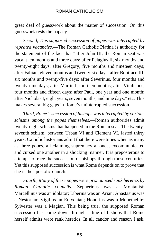great deal of guesswork about the matter of succession. On this guesswork rests the papacy.

*Second, This supposed succession of popes was interrupted by repeated vacancies.*—The Roman Catholic Platina is authority for the statement of the fact that "after John III, the Roman seat was vacant ten months and three days; after Pelagius II, six months and twenty-eight days; after Gregory, five months and nineteen days; after Fabian, eleven months and twenty-six days; after Boniface III, six months and twenty-five days; after Severinus, four months and twenty-nine days; after Martin I, fourteen months; after Vitalianus, four months and fifteen days; after Paul, one year and one month; after Nicholas I, eight years, seven months, and nine days," etc. This makes several big gaps in Rome's uninterrupted succession.

*Third, Rome's succession of bishops was interrupted by various schisms among the popes themselves*.—Roman authorities admit twenty-eight schisms that happened in the Roman seat. The twentyseventh schism, between Urban VI and Clement VI, lasted thirty years. Catholic historians admit that there were times when as many as three popes, all claiming supremacy at once, excommunicated and cursed one another in a shocking manner. It is preposterous to attempt to trace the succession of bishops through those centuries. Yet this supposed succession is what Rome depends on to prove that she is the apostolic church.

*Fourth, Many of these popes were pronounced rank heretics by Roman Catholic councils*.—Zepherinus was a Montanist; Marcellinus was an idolator; Liberius was an Arian; Anastasius was a Nestorian; Vigilius an Eutychian; Honorius was a Monethelite; Sylvester was a Magian. This being true, the supposed Roman succession has come down through a line of bishops that Rome herself admits were rank heretics. In all candor and reason I ask,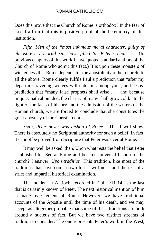Does this prove that the Church of Rome is orthodox? In the fear of God I affirm that this is positive proof of the heterodoxy of this institution.

*Fifth, Men of the "most infamous moral character, guilty of almost every mortal sin, have filled St. Peter's chair."*— (In previous chapters of this work I have quoted standard authors of the Church of Rome who admit this fact.) It is upon these monsters of wickedness that Rome depends for the apostolicity of her church. In all the above, Rome clearly fulfils Paul's prediction that "after my departure, ravening wolves will enter in among you"; and Jesus' prediction that "many false prophets shall arise . . . and because iniquity hath abounded, the charity of many shall grow cold." In the light of the facts of history and the admission of the writers of the Roman church, we are forced to conclude that she constitutes the great apostasy of the Christian era.

*Sixth, Peter never was bishop of Rome*.—This I will show. There is absolutely no Scriptural authority for such a belief. In fact, it cannot be proved from Scripture that Peter was ever at Rome.

It may well be asked, then, Upon what rests the belief that Peter established his See at Rome and became universal bishop of the church? I answer, *Upon tradition*. This tradition, like most of the traditions that have come down to us, will not stand the test of a strict and impartial historical examination.

The incident at Antioch, recorded in Gal. 2:11-14, is the last that is certainly known of Peter. The next historical mention of him is made by Clement of Rome. However, we have traditional accounts of the Apostle until the time of his death, and we may accept as altogether probable that some of these traditions are built around a nucleus of fact. But we have two distinct streams of tradition to consider. The one represents Peter's work in the West,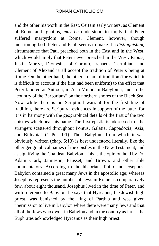and the other his work in the East. Certain early writers, as Clement of Rome and Ignatius, *may be* understood to imply that Peter suffered martyrdom at Rome. Clement, however, though mentioning both Peter and Paul, seems to make it a *distinguishing*  circumstance that Paul preached both in the East and in the West, which would imply that Peter never preached in the West. Papias, Justin Martyr, Dionysius of Corinth, Irenaeus, Tertullian, and Clement of Alexandria all accept the tradition of Peter's being at Rome. On the other hand, the other stream of tradition (for which it is difficult to account if the first had been uniform) to the effect that Peter labored at Antioch, in Asia Minor, in Babylonia, and in the "country of the Barbarians" on the northern shores of the Black Sea. Now while there is no Scriptural warrant for the first line of tradition, there are Scriptural evidences in support of the latter, for it is in harmony with the geographical details of the first of the two epistles which bear his name. The first epistle is addressed to "the strangers scattered throughout Pontus, Galatia, Cappadocia, Asia, and Bithynia" (1 Pet. 1:1). The "Babylon" from which it was obviously written (chap. 5:13) is best understood literally, like the other geographical names of the epistles in the New Testament, and as signifying the Chaldean Babylon. This is the opinion held by Dr. Adam Clark, Jamieson, Fausset, and Brown, and other able commentators. According to the historians Philo and Josephus, Babylon contained a great many Jews in the apostolic age; whereas Josephus represents the number of Jews in Rome as comparatively few, about eight thousand. Josephus lived in the time of Peter, and with reference to Babylon, he says that Hyrcanus, the Jewish high priest, was banished by the king of Parthia and was given "permission to live in Babylon where there were many Jews and that all of the Jews who dwelt in Babylon and in the country as far as the Euphrates acknowledged Hyrcanus as their high priest."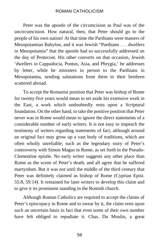Peter was the apostle of the circumcision as Paul was of the uncircumcision. How natural, then, that Peter should go to the people of his own nation! At that time the Parthians were masters of Mesopotamian Babylon, and it was Jewish "Parthians . . . dwellers in Mesopotamia" that the apostle had so successfully addressed on the day of Pentecost. His other converts on that occasion, Jewish 'dwellers in Cappadocia, Pontus, Asia, and Phrygia,' he addresses by letter, while he ministers in person to the Parthians in Mesopotamia, sending salutations from them to their brethren scattered abroad.

To accept the Romanist position that Peter was bishop of Rome for twenty-five years would mean to set aside his extensive work in the East, a work which undoubtedly rests upon a Scriptural foundation. On the other hand, to take the positive position that Peter never was in Rome would mean to ignore the direct statements of a considerable number of early writers. It is not easy to impeach the testimony of writers regarding statements of fact, although around an original fact may grow up a vast body of traditions, which are often wholly unreliable; such as the legendary story of Peter's controversy with Simon Magus in Rome, as set forth in the Pseudo-Clementine epistle. No early writer suggests any other place than Rome as the scene of Peter's death, and all agree that he suffered martyrdom. But it was not until the middle of the third century that Peter was definitely claimed as bishop of Rome (Cyprian Epist. 55:8, 59:14). It remained for later writers to develop this claim and to give it its prominent standing in the Romish church.

Although Roman Catholics are required to accept the claims of Peter's episcopacy in Rome and to swear by it, the claim rests upon such an uncertain basis in fact that even some of their own number have felt obliged to repudiate it. Chas. Du Moulin, a great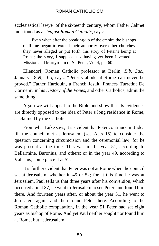ecclesiastical lawyer of the sixteenth century, whom Father Calmet mentioned as a *stedfast Roman Catholic,* says:

Even when after the breaking-up of the empire the bishops of Rome began to extend their authority over other churches, they never alleged or put forth this story of Peter's being at Rome; the story, I suppose, not having yet been invented.— Mission and Martyrdom of St. Peter, Vol 4, p. 460.

Ellendorf, Roman Catholic professor at Berlin, *Bib. Sac*., January 1859, 105, says: "Peter's abode at Rome can never be proved." Father Hardouin, a French Jesuit; Frances Turretin; De Cormeniu in his *History of the Popes*, and other Catholics, admit the same thing.

Again we will appeal to the Bible and show that its evidences are directly opposed to the idea of Peter's long residence in Rome, as claimed by the Catholics.

From what Luke says, it is evident that Peter continued in Judea till the council met at Jerusalem (see Acts 15) to consider the question concerning circumcision and the ceremonial law, for he was present at the time. This was in the year 51, according to Bellarmine, Baronius, and others; or in the year 49, according to Valesius; some place it at 52.

It is further evident that Peter was not at Rome when the council sat at Jerusalem, whether in 49 or 52; for at this time he was at Jerusalem. Paul tells us that three years after his conversion, which occurred about 37, he went to Jerusalem to see Peter, and found him there. And fourteen years after, or about the year 51, he went to Jerusalem again, and then found Peter there. According to the Roman Catholic computation, in the year 51 Peter had sat eight years as bishop of Rome. And yet Paul neither sought nor found him at Rome, but at Jerusalem.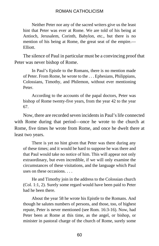Neither Peter nor any of the sacred writers give us the least hint that Peter was ever at Rome. We are told of his being at Antioch, Jerusalem, Corinth, Babylon, etc., but there is no mention of his being at Rome, the great seat of the empire.— Elliott.

The silence of Paul in particular must be a convincing proof that Peter was never bishop of Rome.

In Paul's Epistle to the Romans, there is no mention made of Peter. From Rome, he wrote to the . . . Ephesians, Philippians, Colossians, Timothy, and Philemon, without ever mentioning Peter.

According to the accounts of the papal doctors, Peter was bishop of Rome twenty-five years, from the year 42 to the year 67.

Now, there are recorded seven incidents in Paul's life connected with Rome during that period—once he wrote to the church at Rome, five times he wrote from Rome, and once he dwelt there at least two years.

There is yet no hint given that Peter was there during any of these times; and it would be hard to suppose he was there and that Paul would take no notice of him. This will appear not only extraordinary, but even incredible, if we will only examine the circumstances of these visitations, and the language which Paul uses on these occasions.

He and Timothy join in the address to the Colossian church (Col. 1:1, 2). Surely some regard would have been paid to Peter had he been there.

About the year 58 he wrote his Epistle to the Romans. And though he salutes numbers of persons, and those, too, of highest repute, Peter is never mentioned (see Rom. 16:3-16). Now, had Peter been at Rome at this time, as the angel, or bishop, or minister in pastoral charge of the church of Rome, surely some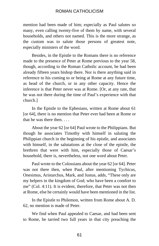mention had been made of him; especially as Paul salutes so many, even calling twenty-five of them by name, with several households, and others not named. This is the more strange, as the custom was to salute those persons of greatest note, especially ministers of the word.

Besides, in the Epistle to the Romans there is no reference made to the presence of Peter at Rome previous to the year 58, though, according to the Roman Catholic account, he had been already fifteen years bishop there. Nor is there anything said in reference to his coming to or being at Rome at any future time, as head of the church, or in any other capacity. Hence the inference is that Peter never was at Rome. [Or, at any rate, that he was not there during the time of Paul's experience with that church.]

In the Epistle to the Ephesians, written at Rome about 61 [or 64], there is no mention that Peter ever had been at Rome or that he was there then. . . .

About the year 62 [or 64] Paul wrote to the Philippians. But though he associates Timothy with himself in saluting the Philippian church in the beginning of his epistle, and associates with himself, in the salutations at the close of the epistle, the brethren that were with him, especially those of Caesar's household, there is, nevertheless, not one word about Peter.

Paul wrote to the Colossians about the year 62 [or 64]. Peter was not there then, when Paul, after mentioning Tychicus, Onesimus, Aristarchus, Mark, and Justus, adds, "These only are my helpers in the kingdom of God; who have been a comfort to me" (Col. 4:11). It is evident, therefore, that Peter was not then at Rome, else he certainly would have been mentioned in the list.

In the Epistle to Philemon, written from Rome about A. D. 62, no mention is made of Peter.

We find when Paul appealed to Caesar, and had been sent to Rome, he tarried two full years in that city preaching the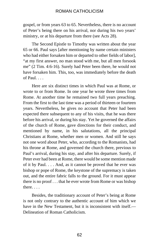gospel, or from years 63 to 65. Nevertheless, there is no account of Peter's being there on his arrival, nor during his two years' ministry, or at his departure from there (see Acts 28).

The Second Epistle to Timothy was written about the year 65 or 66. Paul says [after mentioning by name certain ministers who had either forsaken him or departed to other fields of labor], "at my first answer, no man stood with me, but all men forsook me" (2 Tim. 4:6-16). Surely had Peter been there, he would not have forsaken him. This, too, was immediately before the death of Paul.  $\ldots$ 

Here are six distinct times in which Paul was at Rome, or wrote to or from Rome. In one year he wrote three times from Rome. At another time he remained two full years preaching. From the first to the last time was a period of thirteen or fourteen years. Nevertheless, he gives no account that Peter had been expected there subsequent to any of his visits, that he was there before his arrival, or during his stay. Yet he governed the affairs of the church of Rome, gave directions for their conduct, and mentioned by name, in his salutations, all the principal Christians at Rome, whether men or women. And still he says not one word about Peter, who, according to the Romanists, had his throne at Rome, and governed the church there, previous to Paul's arrival, during his stay, and after his departure. Surely, if Peter ever had been at Rome, there would be some mention made of it by Paul. . . . And, as it cannot be proved that he ever was bishop or pope of Rome, the keystone of the supremacy is taken out, and the entire fabric falls to the ground. For it must appear there is no proof . . . that he ever wrote from Rome or was bishop there. . . .

Besides, the traditionary account of Peter's being at Rome is not only contrary to the authentic account of him which we have in the New Testament, but it is inconsistent with itself.— Delineation of Roman Catholicism.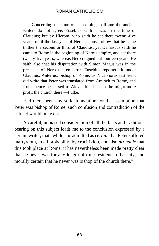Concerning the time of his coming to Rome the ancient writers do not agree. Eusebius saith it was in the time of Claudius; but by Hierom, who saith he sat there twenty-five years, until the last year of Nero, it must follow that he came thither the second or third of Claudius: yet Damascus saith he came to Rome in the beginning of Nero's empire, and sat there twenty-five years; whereas Nero reigned but fourteen years. He saith also that his disputation with Simon Magus was in the presence of Nero the emperor. Eusebius reporteth it under Claudius. Anterius, bishop of Rome, as Nicephorus testifieth, did write that Peter was translated from Antioch to Rome, and from thence he passed to Alexandria, because he might more profit the church there.—Fulke.

Had there been any solid foundation for the assumption that Peter was bishop of Rome, such confusion and contradiction of the subject would not exist.

A careful, unbiased consideration of all the facts and traditions bearing on this subject leads me to the conclusion expressed by a certain writer, that "while it is admitted as *certain* that Peter suffered martyrdom, in all probability by crucifixion, and also *probable* that this took place at Rome, it has nevertheless been made pretty clear that he never was for any length of time resident in that city, and morally certain that he never was bishop of the church there."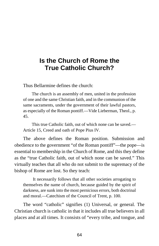# **Is the Church of Rome the True Catholic Church?**

Thus Bellarmine defines the church:

The church is an assembly of men, united in the profession of one and the same Christian faith, and in the communion of the same sacraments, under the government of their lawful pastors, as especially of the Roman pontiff.—Vide Lieberman, Theol., p. 45.

This true Catholic faith, out of which none can be saved.— Article 15, Creed and oath of Pope Pius IV.

The above defines the Roman position. Submission and obedience to the government "of the Roman pontiff"—the pope—is essential to membership in the Church of Rome, and this they define as the "true Catholic faith, out of which none can be saved." This virtually teaches that all who do not submit to the supremacy of the bishop of Rome are lost. So they teach:

It necessarily follows that all other societies arrogating to themselves the name of church, because guided by the spirit of darkness, are sunk into the most pernicious errors, both doctrinal and moral.—Catechism of the Council of Trent, p. 100.

The word "catholic" signifies (1) Universal, or general. The Christian church is catholic in that it includes all true believers in all places and at all times. It consists of "every tribe, and tongue, and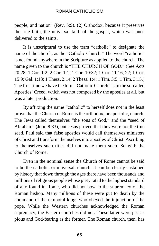people, and nation" (Rev. 5:9). (2) Orthodox, because it preserves the true faith, the universal faith of the gospel, which was once delivered to the saints.

It is unscriptural to use the term "catholic" to designate the name of the church, as the "Catholic Church." The word "catholic" is not found anywhere in the Scripture as applied to the church. The name given to the church is "THE CHURCH OF GOD." (See Acts 20:28; 1 Cor. 1:2; 2 Cor. 1:1; 1 Cor. 10:32; 1 Cor. 11:16, 22; 1 Cor. 15:9; Gal. 1:13; 1 Thess. 2:14; 2 Thess. 1:4; 1 Tim. 3:5; 1 Tim. 3:15.) The first time we have the term "Catholic Church" is in the so-called Apostles' Creed, which was not composed by the apostles at all, but was a later production.

By affixing the name "catholic" to herself does not in the least prove that the Church of Rome is the orthodox, or apostolic, church. The Jews called themselves "the sons of God," and the "seed of Abraham" (John 8:33), but Jesus proved that they were not the true seed. Paul said that false apostles would call themselves ministers of Christ and transform themselves into apostles of Christ. Ascribing to themselves such titles did not make them such. So with the Church of Rome.

Even in the nominal sense the Church of Rome cannot be said to be the catholic, or universal, church. It can be clearly sustained by history that down through the ages there have been thousands and millions of religious people whose piety rated to the highest standard of any found in Rome, who did not bow to the supremacy of the Roman bishop. Many millions of these were put to death by the command of the temporal kings who obeyed the injunction of the pope. While the Western churches acknowledged the Roman supremacy, the Eastern churches did not. These latter were just as pious and God-fearing as the former. The Roman church, then, has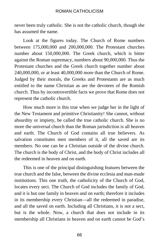never been truly catholic. She is not the catholic church, though she has assumed the name.

Look at the figures today. The Church of Rome numbers between 175,000,000 and 200,000,000. The Protestant churches number about 150,000,000. The Greek church, which is bitter against the Roman supremacy, numbers about 90,000,000. Thus the Protestant churches and the Greek church together number about 240,000,000, or at least 40,000,000 more than the Church of Rome. Judged by their morals, the Greeks and Protestants are as much entitled to the name Christian as are the devotees of the Romish church. Thus by incontrovertible facts we prove that Rome does not represent the catholic church.

How much more is this true when we judge her in the light of the New Testament and primitive Christianity! She cannot, without absurdity or impiety, be called the true catholic church. She is no more the universal church than the Roman jurisdiction is all heaven and earth. The Church of God contains all true believers. As salvation constitutes men members of it, all the saved are its members. No one can be a Christian outside of the divine church. The church is the body of Christ, and the body of Christ includes all the redeemed in heaven and on earth.

This is one of the principal distinguishing features between the true church and the false, between the divine ecclesia and man-made institutions. This one truth, the catholicity of the Church of God, locates every sect. The Church of God includes the family of God, and it is but one family in heaven and on earth; therefore it includes in its membership every Christian—all the redeemed in paradise, and all the saved on earth. Including all Christians, it is not a sect, but is the whole. Now, a church that does not include in its membership all Christians in heaven and on earth cannot be God's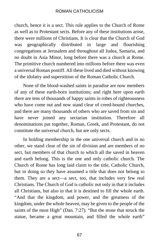church, hence it is a sect. This rule applies to the Church of Rome as well as to Protestant sects. Before any of these institutions arose, there were millions of Christians. It is clear that the Church of God was geographically distributed in large and flourishing congregations at Jerusalem and throughout all Judea, Samaria, and no doubt in Asia Minor, long before there was a church at Rome. The primitive church numbered into millions before there was even a universal Roman pontiff. All these lived and died without knowing of the idolatry and superstition of the Roman Catholic Church.

None of the blood-washed saints in paradise are now members of any of these earth-born institutions; and right here upon earth there are tens of thousands of happy saints in robes of righteousness who have come out and now stand clear of creed-bound churches. and there are many thousands of others who are saved from sin and have never joined any sectarian institution. Therefore all denominations put together, Roman, Greek, and Protestant, do not constitute the universal church, but are only sects.

In holding membership in the one universal church and in no other, we stand clear of the sin of division and are members of no sect, but members of that church to which all the saved in heaven and earth belong. This is the one and only catholic church. The Church of Rome has long laid claim to the title, Catholic Church, but in doing so they have assumed a title that does not belong to them. They are a sect—a sect, too, that includes very few real Christians. The Church of God is catholic not only in that it includes all Christians, but also in that it is destined to fill the whole earth. "And that the kingdom, and power, and the greatness of the kingdom, under the whole heaven, may be given to the people of the saints of the most High" (Dan. 7:27). "But the stone that struck the statue, became a great mountain, and filled the whole earth"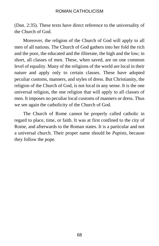(Dan. 2:35). These texts have direct reference to the universality of the Church of God.

Moreover, the religion of the Church of God will apply to all men of all nations. The Church of God gathers into her fold the rich and the poor, the educated and the illiterate, the high and the low; in short, all classes of men. These, when saved, are on one common level of equality. Many of the religions of the world are local in their nature and apply only to certain classes. These have adopted peculiar customs, manners, and styles of dress. But Christianity, the religion of the Church of God, is not local in any sense. It is the one universal religion, the one religion that will apply to all classes of men. It imposes no peculiar local customs of manners or dress. Thus we see again the catholicity of the Church of God.

The Church of Rome cannot be properly called catholic in regard to place, time, or faith. It was at first confined to the city of Rome, and afterwards to the Roman states. It is a particular and not a universal church. Their proper name should be *Papists*, because they follow the pope.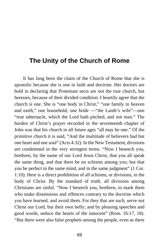## **The Unity of the Church of Rome**

It has long been the claim of the Church of Rome that she is apostolic because she is one in faith and doctrine. Her doctors are bold in declaring that Protestant sects are not the true church, but heresies, because of their divided condition. I heartily agree that the church is one. She is "one body in Christ," "one family in heaven and earth," one household, one bride —"the Lamb's wife"—one "true tabernacle, which the Lord hath pitched, and not man." The burden of Christ's prayer recorded in the seventeenth chapter of John was that his church in all future ages "all may be one." Of the primitive church it is said, "And the multitude of believers had but one heart and one soul" (Acts 4:32). In the New Testament, divisions are condemned in the very strongest terms. "Now I beseech you, brethren, by the name of our Lord Jesus Christ, that you all speak the same thing, and that there be no schisms among you; but that you be perfect in the same mind, and in the same judgment" (1 Cor. 1:10). Here is a direct prohibition of all schisms, or divisions, in the body of Christ. By the standard of truth, all divisions among Christians are sinful. "Now I beseech you, brethren, to mark them who make dissensions and offences contrary to the doctrine which you have learned, and avoid them. For they that are such, serve not Christ our Lord, but their own belly; and by pleasing speeches and good words, seduce the hearts of the innocent" (Rom. 16:17, 18). "But there were also false prophets among the people, even as there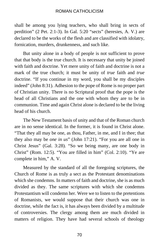shall be among you lying teachers, who shall bring in sects of perdition" (2 Pet. 2:1-3). In Gal. 5:20 "sects" (heresies, A. V.) are declared to be the works of the flesh and are classified with idolatry, fornication, murders, drunkenness, and such like.

But unity alone in a body of people is not sufficient to prove that that body is the true church. It is necessary that unity be joined with faith and doctrine. Yet mere unity of faith and doctrine is not a mark of the true church; it must be unity of *true* faith and *true* doctrine. "If you continue in my word, you shall be my disciples indeed" (John 8:31). Adhesion to the pope of Rome is no proper part of Christian unity. There is no Scriptural proof that the pope is the head of all Christians and the one with whom they are to be in communion. Time and again Christ alone is declared to be the living head of his church.

The New Testament basis of unity and that of the Roman church are in no sense identical. In the former, it is found in Christ alone. "That they all may be one, as thou, Father, in me, and I in thee; that they also may be *one in us*" (John 17:21). "For you are all one in Christ Jesus" (Gal. 3:28). "So we being many, are one body in Christ" (Rom. 12:5). "You are filled in him" (Col. 2:10). "Ye are complete in him," A. V.

Measured by the standard of all the foregoing scriptures, the Church of Rome is as truly a sect as the Protestant denominations which she condemns. In matters of faith and doctrine, she is as much divided as they. The same scriptures with which she condemns Protestantism will condemn her. Were we to listen to the pretentions of Romanists, we would suppose that their church was one in doctrine, while the fact is, it has always been divided by a multitude of controversies. The clergy among them are much divided in matters of religion. They have had several schools of theology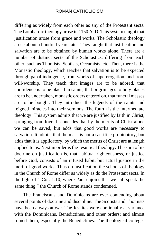differing as widely from each other as any of the Protestant sects. The Lombardic theology arose in 1150 A. D. This system taught that justification arose from grace and works. The Scholastic theology arose about a hundred years later. They taught that justification and salvation are to be obtained by human works alone. There are a number of distinct sects of the Scholastics, differing from each other, such as Thomists, Scotists, Occamists, etc. Then, there is the Monastic theology, which teaches that salvation is to be expected through papal indulgence, from works of supererogation, and from will-worship. They teach that images are to be adored, that confidence is to be placed in saints, that pilgrimages to holy places are to be undertaken, monastic orders entered on, that funeral masses are to be bought. They introduce the legends of the saints and feigned miracles into their sermons. The fourth is the Intermediate theology. This system admits that we are justified by faith in Christ, springing from love. It concedes that by the merits of Christ alone we can be saved, but adds that good works are necessary to salvation. It admits that the mass is not a sacrifice propitiatory, but adds that it is applicatory, by which the merits of Christ are at length applied to us. Next in order is the Jesuitical theology. The sum of its doctrine on justification is, that habitual righteousness, or justice before God, consists of an infused habit, but actual justice in the merit of good works. Thus on justification the schools of theology in the Church of Rome differ as widely as do the Protestant sects. In the light of 1 Cor. 1:10, where Paul enjoins that we "all speak the same thing," the Church of Rome stands condemned.

The Franciscans and Dominicans are ever contending about several points of doctrine and discipline. The Scotists and Thomists have been always at war. The Jesuites were continually at variance with the Dominicans, Benedictines, and other orders; and almost ruined them, especially the Benedictines. The theological colleges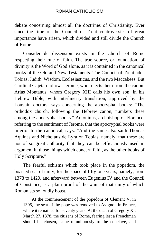debate concerning almost all the doctrines of Christianity. Ever since the time of the Council of Trent controversies of great importance have arisen, which divided and still divide the Church of Rome.

Considerable dissension exists in the Church of Rome respecting their rule of faith. The true source, or foundation, of divinity is the Word of God alone, as it is contained in the canonical books of the Old and New Testaments. The Council of Trent adds Tobias, Judith, Wisdom, Ecclesiasticus, and the two Maccabees. But Cardinal Cajetan follows Jerome, who rejects them from the canon. Arias Montanus, whom Gregory XIII calls his own son, in his Hebrew Bible, with interlineary translation, approved by the Louvain doctors, says concerning the apocryphal books: "The orthodox church, following the Hebrew canon, numbers these among the apocryphal books." Antoninus, archbishop of Florence, referring to the sentiment of Jerome, that the apocryphal books were inferior to the canonical, says: "And the same also saith Thomas Aquinas and Nicholaus de Lyra on Tobias, namely, that these are not of so great authority that they can be efficaciously used in argument in those things which concern faith, as the other books of Holy Scripture."

The fearful schisms which took place in the popedom, the boasted seat of unity, for the space of fifty-one years, namely, from 1378 to 1429, and afterward between Eugenius IV and the Council of Constance, is a plain proof of the want of that unity of which Romanists so loudly boast.

At the commencement of the popedom of Clement V, in 1305, the seat of the pope was removed to Avignon in France, where it remained for seventy years. At the death of Gregory XI, March 27, 1378, the citizens of Rome, fearing lest a Frenchman should be chosen, came tumultuously to the conclave, and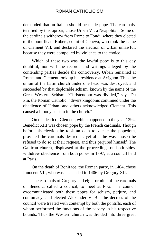demanded that an Italian should be made pope. The cardinals, terrified by this uproar, chose Urban VI, a Neapolitan. Some of the cardinals withdrew from Rome to Fondi, where they elected to the pontificate Robert, count of Geneva, who took the name of Clement VII, and declared the election of Urban unlawful, because they were compelled by violence to the choice.

Which of these two was the lawful pope is to this day doubtful; nor will the records and writings alleged by the contending parties decide the controversy. Urban remained at Rome, and Clement took up his residence at Avignon. Thus the union of the Latin church under one head was destroyed, and succeeded by that deplorable schism, known by the name of the Great Western Schism. "Christendom was divided," says Du Pin, the Roman Catholic: "divers kingdoms continued under the obedience of Urban, and others acknowledged Clement. This caused a bloody schism in the church."

On the death of Clement, which happened in the year 1394, Benedict XIII was chosen pope by the French cardinals. Though before his election he took an oath to vacate the popedom, provided the cardinals desired it, yet after he was chosen he refused to do so at their request, and thus perjured himself. The Gallican church, displeased at the proceedings on both sides, withdrew obedience from both popes in 1397, at a council held at Paris.

On the death of Boniface, the Roman party, in 1404, chose Innocent VII, who was succeeded in 1406 by Gregory XII.

The cardinals of Gregory and eight or nine of the cardinals of Benedict called a council, to meet at Pisa. The council excommunicated both these popes for schism, perjury, and contumacy, and elected Alexander V. But the decrees of the council were treated with contempt by both the pontiffs, each of whom performed the functions of the papacy in his respective bounds. Thus the Western church was divided into three great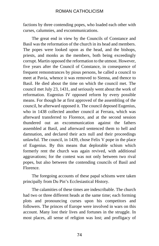factions by three contending popes, who loaded each other with curses, calumnies, and excommunications.

The great end in view by the Councils of Constance and Basil was the reformation of the church in its head and members. The popes were looked upon as the head, and the bishops, priests, and monks as the members, both being exceedingly corrupt. Martin opposed the reformation to the utmost. However, five years after the Council of Constance, in consequence of frequent remonstrances by pious persons, he called a council to meet at Pavia, whence it was removed to Sienna, and thence to Basil. He died about the time on which the council met. The council met July 23, 1431, and seriously went about the work of reformation. Eugenius IV opposed reform by every possible means. For though he at first approved of the assembling of the council, he afterward opposed it. The council deposed Eugenius, who in 1438 collected another council at Ferrara, which was afterward transferred to Florence, and at the second session thundered out an excommunication against the fathers assembled at Basil, and afterward sentenced them to hell and damnation, and declared their acts null and their proceedings unlawful. The council, in 1439, chose Felix V pope in the place of Eugenius. By this means that deplorable schism which formerly rent the church was again revived, with additional aggravations; for the contest was not only between two rival popes, but also between the contending councils of Basil and Florence.

The foregoing accounts of these papal schisms were taken principally from Du Pin's Ecclesiastical History.

The calamities of these times are indescribable. The church had two or three different heads at the same time; each forming plots and pronouncing curses upon his competitors and followers. The princes of Europe were involved in wars on this account. Many lost their lives and fortunes in the struggle. In most places, all sense of religion was lost; and profligacy of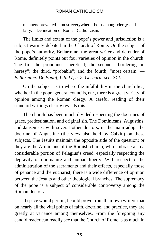manners prevailed almost everywhere, both among clergy and laity.—Delineation of Roman Catholicism.

The limits and extent of the pope's power and jurisdiction is a subject warmly debated in the Church of Rome. On the subject of the pope's authority, Bellarmine, the great writer and defender of Rome, definitely points out four varieties of opinion in the church. The first he pronounces heretical; the second, "bordering on heresy"; the third, "probable"; and the fourth, "most certain."— *Bellarmine: De Pontif, Lib. IV, c. 2. Gerhard: sec. 242.*

On the subject as to where the infallibility in the church lies, whether in the pope, general councils, etc., there is a great variety of opinion among the Roman clergy. A careful reading of their standard writings clearly reveals this.

The church has been much divided respecting the doctrines of grace, predestination, and original sin. The Dominicans, Augustins, and Jansenists, with several other doctors, in the main adopt the doctrine of Augustine (the view also held by Calvin) on these subjects. The Jesuits maintain the opposite side of the question; or they are the Arminians of the Romish church, who embrace also a considerable portion of Pelagius's creed, especially respecting the depravity of our nature and human liberty. With respect to the administration of the sacraments and their effects, especially those of penance and the eucharist, there is a wide difference of opinion between the Jesuits and other theological branches. The supremacy of the pope is a subject of considerable controversy among the Roman doctors.

If space would permit, I could prove from their own writers that on nearly all the vital points of faith, doctrine, and practice, they are greatly at variance among themselves. From the foregoing any candid reader can readily see that the Church of Rome is as much in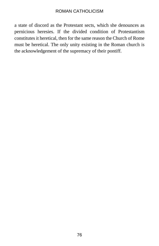a state of discord as the Protestant sects, which she denounces as pernicious heresies. If the divided condition of Protestantism constitutes it heretical, then for the same reason the Church of Rome must be heretical. The only unity existing in the Roman church is the acknowledgement of the supremacy of their pontiff.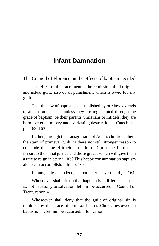# **Infant Damnation**

The Council of Florence on the effects of baptism decided:

The effect of this sacrament is the remission of all original and actual guilt; also of all punishment which is owed for any guilt.

That the law of baptism, as established by our law, extends to all, insomuch that, unless they are regenerated through the grace of baptism, be their parents Christians or infidels, they are born to eternal misery and everlasting destruction.—Catechism, pp. 162, 163.

If, then, through the transgression of Adam, children inherit the stain of primeval guilt, is there not still stronger reason to conclude that the efficacious merits of Christ the Lord must impart to them that justice and those graces which will give them a title to reign in eternal life? This happy consummation baptism alone can accomplish.—Id., p. 163.

Infants, unless baptized, cannot enter heaven.—Id., p. 164.

Whosoever shall affirm that baptism is indifferent . . . that is, not necessary to salvation; let him be accursed.—Council of Trent, canon 4.

Whosoever shall deny that the guilt of original sin is remitted by the grace of our Lord Jesus Christ, bestowed in baptism; . . . let him be accursed.—Id., canon 5.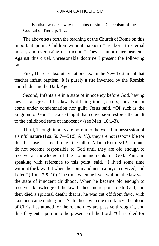Baptism washes away the stains of sin.—Catechism of the Council of Trent, p. 152.

The above sets forth the teaching of the Church of Rome on this important point. Children without baptism "are born to eternal misery and everlasting destruction." They "cannot enter heaven." Against this cruel, unreasonable doctrine I present the following facts:

First, There is absolutely not one text in the New Testament that teaches infant baptism. It is purely a rite invented by the Romish church during the Dark Ages.

Second, Infants are in a state of innocency before God, having never transgressed his law. Not being transgressors, they cannot come under condemnation nor guilt. Jesus said, "Of such is the kingdom of God." He also taught that conversion restores the adult to the childhood state of innocency (see Matt. 18:1-3).

Third, Though infants are born into the world in possession of a sinful nature (Psa. 50:7—51:5, A. V.), they are not responsible for this, because it came through the fall of Adam (Rom. 5:12). Infants do not become responsible to God until they are old enough to receive a knowledge of the commandments of God. Paul, in speaking with reference to this point, said, "I lived some time without the law. But when the commandment came, sin revived, and I died" (Rom. 7:9, 10). The time when he lived without the law was the state of innocent childhood. When he became old enough to receive a knowledge of the law, he became responsible to God, and then died a spiritual death; that is, he was cut off from favor with God and came under guilt. As to those who die in infancy, the blood of Christ has atoned for them, and they are passive through it, and thus they enter pure into the presence of the Lord. "Christ died for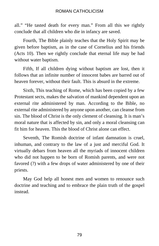all." "He tasted death for every man." From all this we rightly conclude that all children who die in infancy are saved.

Fourth, The Bible plainly teaches that the Holy Spirit may be given before baptism, as in the case of Cornelius and his friends (Acts 10). Then we rightly conclude that eternal life may be had without water baptism.

Fifth, If all children dying without baptism are lost, then it follows that an infinite number of innocent babes are barred out of heaven forever, without their fault. This is absurd in the extreme.

Sixth, This teaching of Rome, which has been copied by a few Protestant sects, makes the salvation of mankind dependent upon an external rite administered by man. According to the Bible, no external rite administered by anyone upon another, can cleanse from sin. The blood of Christ is the only clement of cleansing. It is man's moral nature that is affected by sin, and only a moral cleansing can fit him for heaven. This the blood of Christ alone can effect.

Seventh, The Romish doctrine of infant damnation is cruel, inhuman, and contrary to the law of a just and merciful God. It virtually debars from heaven all the myriads of innocent children who did not happen to be born of Romish parents, and were not favored (?) with a few drops of water administered by one of their priests.

May God help all honest men and women to renounce such doctrine and teaching and to embrace the plain truth of the gospel instead.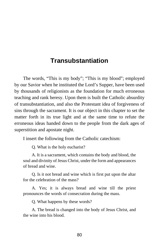## **Transubstantiation**

The words, "This is my body"; "This is my blood"; employed by our Savior when he instituted the Lord's Supper, have been used by thousands of religionists as the foundation for much erroneous teaching and rank heresy. Upon them is built the Catholic absurdity of transubstantiation, and also the Protestant idea of forgiveness of sins through the sacrament. It is our object in this chapter to set the matter forth in its true light and at the same time to refute the erroneous ideas handed down to the people from the dark ages of superstition and apostate night.

I insert the following from the Catholic catechism:

Q. What is the holy eucharist?

A. It is a sacrament, which contains the body and blood, the soul and divinity of Jesus Christ, under the form and appearances of bread and wine.

Q. Is it not bread and wine which is first put upon the altar for the celebration of the mass?

A. Yes; it is always bread and wine till the priest pronounces the words of consecration during the mass.

Q. What happens by these words?

A. The bread is changed into the body of Jesus Christ, and the wine into his blood.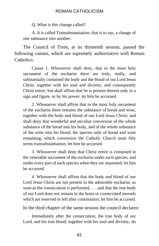Q. What is this change called?

A. It is called Transubstantiation; that is to say, a change of one substance into another.

The Council of Trent, at its thirteenth session, passed the following canons, which are supremely authoritative with Roman Catholics:

Canon 1. Whosoever shall deny, that in the most holy sacrament of the eucharist there are truly, really, and substantially contained the body and the blood of our Lord Jesus Christ, together with his soul and divinity, and consequently Christ entire; but shall affirm that he is present therein only in a sign and figure, or by his power; let him be accursed.

2. Whosoever shall affirm that in the most holy sacrament of the eucharist there remains the substance of bread and wine, together with the body and blood of our Lord Jesus Christ; and shall deny that wonderful and peculiar conversion of the whole substance of the bread into his body, and of the whole substance of the wine into his blood, the species only of bread and wine remaining, which conversion the Catholic Church most fitly terms transubstantiation; let him be accursed.

3. Whosoever shall deny that Christ entire is contained in the venerable sacrament of the eucharist under each species, and under every part of each species when they are separated; let him be accursed.

4. Whosoever shall affirm that the body and blood of our Lord Jesus Christ are not present in the admirable eucharist, as soon as the consecration is performed, . . . and that the true body of our Lord does not remain in the hosts or consecrated morsels which are reserved or left after communion; let him be accursed.

In the third chapter of the same session the council declares:

Immediately after the consecration, the true body of our Lord, and his true blood, together with his soul and divinity, do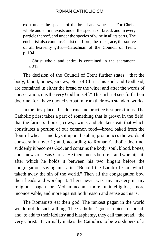exist under the species of the bread and wine. . . . For Christ, whole and entire, exists under the species of bread, and in every particle thereof, and under the species of wine in all its parts. The eucharist also contains Christ our Lord, the true grace, the source of all heavenly gifts.—Catechism of the Council of Trent, p. 194.

Christ whole and entire is contained in the sacrament. —p. 212.

The decision of the Council of Trent further states, "that the body, blood, bones, sinews, etc., of Christ, his soul and Godhead, are contained in either the bread or the wine; and after the words of consecration, it is the very God himself." This in brief sets forth their doctrine, for I have quoted verbatim from their own standard works.

In the first place, this doctrine and practice is superstitious. The Catholic priest takes a part of something that is grown in the field, that the farmers' horses, cows, swine, and chickens eat, that which constitutes a portion of our common food—bread baked from the flour of wheat—and lays it upon the altar, pronounces the words of consecration over it; and, according to Roman Catholic doctrine, suddenly it becomes God, and contains the body, soul, blood, bones, and sinews of Jesus Christ. He then kneels before it and worships it, after which he holds it between his two fingers before the congregation, saying in Latin, "Behold the Lamb of God which taketh away the sin of the world." Then all the congregation bow their heads and worship it. There never was any mystery in any religion, pagan or Mohammedan, more unintelligible, more inconceivable, and more against both reason and sense as this is.

The Romanists eat their god. The rankest pagan in the world would not do such a thing. The Catholics' god is a piece of bread; and, to add to their idolatry and blasphemy, they call that bread, "the very Christ." It virtually makes the Catholics to be worshipers of a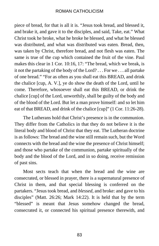piece of bread, for that is all it is. "Jesus took bread, and blessed it, and brake it, and gave it to the disciples, and said, Take, eat." What Christ took he broke, what he broke he blessed, and what he blessed was distributed, and what was distributed was eaten. Bread, then, was taken by Christ, therefore bread, and not flesh was eaten. The same is true of the cup which contained the fruit of the vine. Paul makes this clear in 1 Cor. 10:16, 17: "The bread, which we break, is it not the partaking of the body of the Lord? . . . For we . . . all partake of one bread." "For as often as you shall eat this BREAD, and drink the chalice [cup, A. V.], ye do show the death of the Lord, until he come. Therefore, whosoever shall eat this BREAD, or drink the chalice [cup] of the Lord, unworthily, shall be guilty of the body and of the blood of the Lord. But let a man prove himself: and so let him eat of that BREAD, and drink of the chalice [cup]" (1 Cor. 11:26-28).

The Lutherans hold that Christ's presence is in the communion. They differ from the Catholics in that they do not believe it is the literal body and blood of Christ that they eat. The Lutheran doctrine is as follows: The bread and the wine still remain such, but the Word connects with the bread and the wine the presence of Christ himself; and those who partake of the communion, partake spiritually of the body and the blood of the Lord, and in so doing, receive remission of past sins.

Most sects teach that when the bread and the wine are consecrated, or blessed in prayer, there is a supernatural presence of Christ in them, and that special blessing is conferred on the partakers. "Jesus took bread, and *blessed*, and broke: and gave to his disciples" (Matt. 26:26; Mark 14:22). It is held that by the term "blessed" is meant that Jesus somehow changed the bread, consecrated it, or connected his spiritual presence therewith, and

83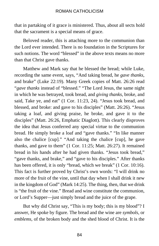that in partaking of it grace is ministered. Thus, about all sects hold that the sacrament is a special means of grace.

Beloved reader, this is attaching more to the communion than the Lord ever intended. There is no foundation in the Scriptures for such notions. The word "blessed" in the above texts means no more than that Christ gave thanks.

Matthew and Mark say that he blessed the bread; while Luke, recording the same event, says, "And taking bread, he *gave thanks*, and brake" (Luke 22:19). Many Greek copies of Matt. 26:26 read "*gave thanks* instead of "blessed." "The Lord Jesus, the same night in which he was betrayed, took bread, and *giving thanks*, broke, and said, Take ye, and eat" (1 Cor. 11:23, 24). "Jesus took bread, and blessed, and broke: and gave to his disciples" (Matt. 26:26). "Jesus taking a loaf, and giving praise, he broke, and gave it to the disciples" (Matt. 26:26, Emphatic Diaglott). This clearly disproves the idea that Jesus conferred any special virtue to the communion bread. He simply broke a loaf and "gave thanks." "In like manner also the chalice [cup]." "And taking the chalice [cup], he gave thanks, and gave to them" (1 Cor. 11:25; Matt. 26:27). It remained bread in his hands after he had given thanks. "Jesus took bread," "gave thanks, and brake," and "gave to his disciples." After thanks has been offered, it is only "bread, which we break" (1 Cor. 10:16). This fact is further proved by Christ's own words: "I will drink no more of the fruit of the vine, until that day when I shall drink it new in the kingdom of God" (Mark 14:25). The thing, then, that we drink is "the fruit of the vine." Bread and wine constitute the communion, or Lord's Supper—just simply bread and the juice of the grape.

But why did Christ say, "This is my body; this is my blood"? I answer, He spoke by figure. The bread and the wine are *symbols*, or *emblems*, of the broken body and the shed blood of Christ. It is the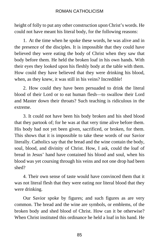height of folly to put any other construction upon Christ's words. He could not have meant his literal body, for the following reasons:

1. At the time when he spoke these words, he was alive and in the presence of the disciples. It is impossible that they could have believed they were eating the body of Christ when they saw that body before them. He held the broken loaf in his own hands. With their eyes they looked upon his fleshly body at the table with them. How could they have believed that they were drinking his blood, when, as they knew, it was still in his veins? Incredible!

2. How could they have been persuaded to drink the literal blood of their Lord or to eat human flesh—to swallow their Lord and Master down their throats? Such teaching is ridiculous in the extreme.

3. It could not have been his body broken and his shed blood that they partook of; for he was at that very time alive before them. His body had not yet been given, sacrificed, or broken, for them. This shows that it is impossible to take these words of our Savior literally. Catholics say that the bread and the wine contain the body, soul, blood, and divinity of Christ. How, I ask, could the loaf of bread in Jesus' hand have contained his blood and soul, when his blood was yet coursing through his veins and not one drop had been shed?

4. Their own sense of taste would have convinced them that it was not literal flesh that they were eating nor literal blood that they were drinking.

Our Savior spoke by figures; and such figures as are very common. The bread and the wine are symbols, or emblems, of the broken body and shed blood of Christ. How can it be otherwise? When Christ instituted this ordinance he held a loaf in his hand. He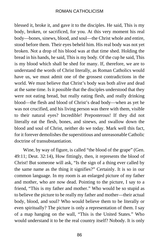blessed it, broke it, and gave it to the disciples. He said, This is my body, broken, or sacrificed, for you. At this very moment his real body—bones, sinews, blood, and soul—the Christ whole and entire, stood before them. Their eyes beheld him. His real body was not yet broken. Not a drop of his blood was at that time shed. Holding the bread in his hands, he said, This is my body. Of the cup he said, This is my blood which shall be shed for many. If, therefore, we are to understand the words of Christ literally, as Roman Catholics would have us, we must admit one of the grossest contradictions in the world. We must believe that Christ's body was both alive and dead at the same time. Is it possible that the disciples understood that they were not eating bread, but really eating flesh, and really drinking blood—the flesh and blood of Christ's dead body—when as yet he was not crucified, and his living person was there with them, visible to their natural eyes? Incredible! Preposterous! If they did not literally eat the flesh, bones, and sinews, and swallow down the blood and soul of Christ, neither do we today. Mark well this fact, for it forever demolishes the superstitious and unreasonable Catholic doctrine of transubstantiation.

Wine, by way of figure, is called "the blood of the grape" (Gen. 49:11; Deut. 32:14), How fittingly, then, it represents the blood of Christ! But someone will ask, "Is the sign of a thing ever called by the same name as the thing it signifies?" Certainly. It is so in our common language. In my room is an enlarged picture of my father and mother, who are now dead. Pointing to the picture, I say to a friend, "This is my father and mother." Who would be so stupid as to believe the picture to be really my father and mother—their actual body, blood, and soul? Who would believe them to be literally or even spiritually? The picture is only a representation of them. I say of a map hanging on the wall, "This is the United States." Who would understand it to be the real country itself? Nobody. It is only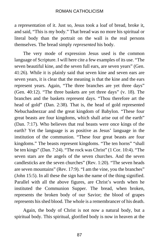a representation of it. Just so, Jesus took a loaf of bread, broke it, and said, "This is my body." That bread was no more his spiritual or literal body than the portrait on the wall is the real persons themselves. The bread simply *represented* his body.

The very mode of expression Jesus used is the common language of Scripture. I will here cite a few examples of its use. "The seven beautiful kine, and the seven full ears, are seven years" (Gen. 41:26). While it is plainly said that seven kine and seven ears are seven years, it is clear that the meaning is that the kine and the ears represent years. Again, "The three branches are yet three days" (Gen. 40:12). "The three baskets are yet three days" (v. 18). The branches and the baskets represent days. "Thou therefore art the head of gold" (Dan. 2:38). That is, the head of gold represented Nebuchadnezzar and the great kingdom of Babylon. "These four great beasts are four kingdoms, which shall arise out of the earth" (Dan. 7:17). Who believes that real beasts were once kings of the earth? Yet the language is as positive as Jesus' language in the institution of the communion. "These four great beasts are four kingdoms." The beasts represent kingdoms. "The ten horns" "shall be ten kings" (Dan. 7:24). "The rock was Christ" (1 Cor. 10:4). "The seven stars are the angels of the seven churches. And the seven candlesticks are the seven churches" (Rev. 1:20). "The seven heads are seven mountains" (Rev. 17:9). "I am the vine, you the branches" (John 15:5). In all these the sign has the name of the thing signified. Parallel with all the above figures, are Christ's words when he instituted the Communion Supper. The bread, when broken, represents the broken body of our Savior; the blood of grapes represents his shed blood. The whole is a remembrancer of his death.

Again, the body of Christ is not now a natural body, but a spiritual body. This spiritual, glorified body is now in heaven at the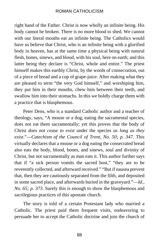right hand of the Father. Christ is now wholly an infinite being. His body cannot be broken. There is no more blood to shed. We cannot with our literal mouths eat an infinite being. The Catholics would have us believe that Christ, who is an infinite being with a glorified body in heaven, has at the same time a physical being with natural flesh, bones, sinews, and blood, with his soul, here on earth; and this latter being they declare is "Christ, whole and entire." The priest himself makes this earthly Christ, by the words of consecration, out of a piece of bread and a cup of grape-juice. After making what they are pleased to term "the very God himself," and worshiping him, they put him in their mouths, chew him between their teeth, and swallow him into their stomachs. In this we boldly charge them with a practice that is blasphemous.

Peter Dens, who is a standard Catholic author and a teacher of theology, says, "A mouse or a dog, eating the sacramental species, does not eat them sacramentally; yet this proves that the body of Christ *does not cease to exist* under the species *as long as they exist*."—*Catechism of the Council of Trent, No. 50; p. 347.* This virtually declares that a mouse or a dog eating the consecrated bread also eats the body, blood, bones, and sinews, soul and divinity of Christ, but not sacramentally as man eats it. This author further says that if "a sick person vomits the sacred host," "they are to be reverently collected, and afterward received." "But if nausea prevent that, then they are cautiously separated from the filth, and deposited in some sacred place, and afterwards buried in the graveyard."—*Id., No. 65; p. 373*. Surely this is enough to show the blasphemous and sacrilegious practices of this apostate church.

The story is told of a certain Protestant lady who married a Catholic. The priest paid them frequent visits, endeavoring to persuade her to accept the Catholic doctrine and join the church of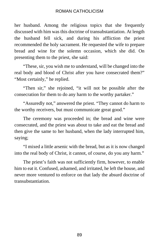her husband. Among the religious topics that she frequently discussed with him was this doctrine of transubstantiation. At length the husband fell sick, and during his affliction the priest recommended the holy sacrament. He requested the wife to prepare bread and wine for the solemn occasion, which she did. On presenting them to the priest, she said:

"These, sir, you wish me to understand, will be changed into the real body and blood of Christ after you have consecrated them?" "Most certainly," he replied.

"Then sir," she rejoined, "it will not be possible after the consecration for them to do any harm to the worthy partaker."

"Assuredly not," answered the priest. "They cannot do harm to the worthy receivers, but must communicate great good."

The ceremony was proceeded in; the bread and wine were consecrated, and the priest was about to take and eat the bread and then give the same to her husband, when the lady interrupted him, saying;

"I mixed a little arsenic with the bread, but as it is now changed into the real body of Christ, it cannot, of course, do you any harm."

The priest's faith was not sufficiently firm, however, to enable him to eat it. Confused, ashamed, and irritated, he left the house, and never more ventured to enforce on that lady the absurd doctrine of transubstantiation.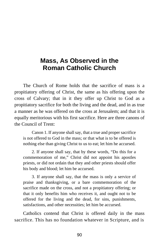# **Mass, As Observed in the Roman Catholic Church**

The Church of Rome holds that the sacrifice of mass is a propitiatory offering of Christ, the same as his offering upon the cross of Calvary; that in it they offer up Christ to God as a propitiatory sacrifice for both the living and the dead, and in as true a manner as he was offered on the cross at Jerusalem; and that it is equally meritorious with his first sacrifice. Here are three canons of the Council of Trent:

Canon 1. If anyone shall say, that a true and proper sacrifice is not offered to God in the mass; or that what is to be offered is nothing else than giving Christ to us to eat; let him he accursed.

2. If anyone shall say, that by these words, "Do this for a commemoration of me," Christ did not appoint his apostles priests, or did not ordain that they and other priests should offer his body and blood; let him be accursed.

3. If anyone shall say, that the mass is only a service of praise and thanksgiving, or a bare commemoration of the sacrifice made on the cross, and not a propitiatory offering; or that it only benefits him who receives it, and ought not to be offered for the living and the dead, for sins, punishments, satisfactions, and other necessities; let him be accursed.

Catholics contend that Christ is offered daily in the mass sacrifice. This has no foundation whatever in Scripture, and is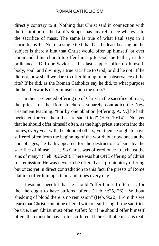directly contrary to it. Nothing that Christ said in connection with the institution of the Lord's Supper has any reference whatever to the sacrifice of mass. The same is true of what Paul says in 1 Corinthians 11. Not in a single text that has the least bearing on the subject is there a hint that Christ would offer up himself, or ever commanded his church to offer him up to God the Father, in this ordinance. "Did our Savior, at his last supper, offer up himself, body, soul, and divinity, a true sacrifice to God, or did he not? If he did not, how shall we dare to offer him up in our observance of the rite? If he did, as the Roman Catholics say he did, to what purpose did he afterwards offer himself upon the cross?"

In their pretended offering up of Christ in the sacrifice of mass, the priests of the Romish church squarely contradict the New Testament teaching. "For by one oblation [offering, A. V.] he hath perfected forever them that are sanctified" (Heb. 10:14). "Nor yet that he should offer himself often, as the high priest entereth into the holies, every year with the blood of others; For then he ought to have suffered often from the beginning of the world: but now once at the end of ages, he hath appeared for the destruction of sin, by the sacrifice of himself. . . . So Christ was offered once to exhaust the sins of many" (Heb. 9:25-28). There was but ONE offering of Christ for remission. He was never to be offered as a propitiatory offering but once; yet in direct contradiction to this fact, the priests of Rome claim to offer him up a thousand times every day.

It was not needful that he should "offer himself often . . . for then he ought to have suffered often" (Heb. 9:25, 26). "Without shedding of blood there is no remission" (Heb. 9:22). From this we learn that Christ cannot be offered without suffering. If the sacrifice be true, then Christ must often suffer; for if he should offer himself often, then must he have often suffered. If the Catholic mass is real,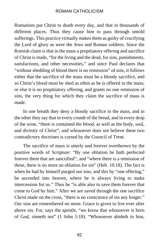Romanists put Christ to death every day, and that in thousands of different places. Thus they cause him to pass through untold sufferings. This practice virtually makes them as guilty of crucifying the Lord of glory as were the Jews and Roman soldiers. Since the Romish claim is that in the mass a propitiatory offering and sacrifice of Christ is made, "for the living and the dead, for sins, punishments, satisfactions, and other necessities," and since Paul declares that "without shedding of blood there is no remission" of sins, it follows either that the sacrifice of the mass must be a bloody sacrifice, and so Christ's blood must be shed as often as he is offered in the mass; or else it is no propitiatory offering, and grants no one remission of sins, the very thing for which they claim the sacrifice of mass is made.

In one breath they deny a bloody sacrifice in the mass, and in the other they say that in every crumb of the bread, and in every drop of the wine, "there is contained *the blood*, as well as the body, soul, and divinity of Christ"; and whosoever does not believe these two contradictory doctrines is cursed by the Council of Trent.

The sacrifice of mass is utterly and forever overthrown by the positive words of Scripture: "By one oblation he hath perfected forever them that are sanctified"; and "where there is a remission of these, there is no more an oblation for sin" (Heb. 10:18). The fact is when he had by himself purged our sins, and this by "one offering," he ascended into heaven, where he is always living to make intercession for us." Thus he "is able also to save them forever that come to God by him." After we are saved through the one sacrifice Christ made on the cross, "there is no conscience of sin any longer." Our sins are remembered no more. Grace is given to live ever after above sin. For, says the apostle, "we know that whosoever is born of God, sinneth not" (1 John 5:18). "Whosoever abideth in him,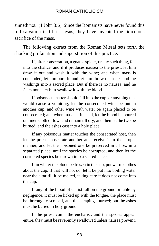sinneth not" (1 John 3:6). Since the Romanists have never found this full salvation in Christ Jesus, they have invented the ridiculous sacrifice of the mass.

The following extract from the Roman Missal sets forth the shocking profanation and superstition of this practice.

If, after consecration, a gnat, a spider, or any such thing, fall into the chalice, and if it produces nausea to the priest, let him draw it out and wash it with the wine; and when mass is concluded, let him burn it, and let him throw the ashes and the washings into a sacred place. But if there is no nausea, and he fears none, let him swallow it with the blood.

If poisonous matter should fall into the cup, or anything that would cause a vomiting, let the consecrated wine be put in another cup, and other wine with water be again placed to be consecrated; and when mass is finished, let the blood be poured on linen cloth or tow, and remain till dry, and then let the two be burned, and the ashes cast into a holy place.

If any poisonous matter touches the consecrated host, then let the priest consecrate another and receive it in the proper manner, and let the poisoned one be preserved in a box, in a separated place, until the species be corrupted, and then let the corrupted species be thrown into a sacred place.

If in winter the blood be frozen in the cup, put warm clothes about the cup; if that will not do, let it be put into boiling water near the altar till it be melted, taking care it does not come into the cup.

If any of the blood of Christ fall on the ground or table by negligence, it must be licked up with the tongue, the place must be thoroughly scraped, and the scrapings burned; but the ashes must be buried in holy ground.

If the priest vomit the eucharist, and the species appear entire, they must be reverently swallowed unless nausea prevent;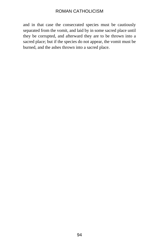and in that case the consecrated species must be cautiously separated from the vomit, and laid by in some sacred place until they be corrupted, and afterward they are to be thrown into a sacred place; but if the species do not appear, the vomit must be burned, and the ashes thrown into a sacred place.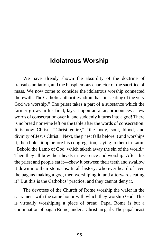## **Idolatrous Worship**

We have already shown the absurdity of the doctrine of transubstantiation, and the blasphemous character of the sacrifice of mass. We now come to consider the idolatrous worship connected therewith. The Catholic authorities admit that "it is eating of the very God we worship." The priest takes a part of a substance which the farmer grows in his field, lays it upon an altar, pronounces a few words of consecration over it, and suddenly it turns into a god! There is no bread nor wine left on the table after the words of consecration. It is now Christ—"Christ entire," "the body, soul, blood, and divinity of Jesus Christ." Next, the priest falls before it and worships it, then holds it up before his congregation, saying to them in Latin, "Behold the Lamb of God, which taketh away the sin of the world." Then they all bow their heads in reverence and worship. After this the priest and people eat it—chew it between their teeth and swallow it down into their stomachs. In all history, who ever heard of even the pagans making a god, then worshiping it, and afterwards eating it? But this is the Catholics' practice, and they cannot deny it.

The devotees of the Church of Rome worship the wafer in the sacrament with the same honor with which they worship God. This is virtually worshiping a piece of bread. Papal Rome is but a continuation of pagan Rome, under a Christian garb. The papal beast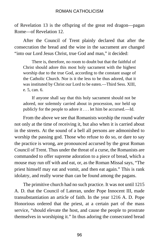of Revelation 13 is the offspring of the great red dragon—pagan Rome—of Revelation 12.

After the Council of Trent plainly declared that after the consecration the bread and the wine in the sacrament are changed "into our Lord Jesus Christ, true God and man," it decided:

There is, therefore, no room to doubt but that the faithful of Christ should adore this most holy sacrament with the highest worship due to the true God, according to the constant usage of the Catholic Church. Nor is it the less to be thus adored, that it was instituted by Christ our Lord to be eaten.—Third Sess. XIII, e. 5, can. 6.

If anyone shall say that this holy sacrament should not be adored, nor solemnly carried about in procession, nor held up publicly for the people to adore it . . . let him be accursed.—Id.

From the above we see that Romanists worship the round wafer not only at the time of receiving it, but also when it is carried about in the streets. At the sound of a bell all persons are admonished to worship the passing god. Those who refuse to do so, or dare to say the practice is wrong, are pronounced accursed by the great Roman Council of Trent. Thus under the threat of a curse, the Romanists are commanded to offer supreme adoration to a piece of bread, which a mouse may run off with and eat, or, as the Roman Missal says, "The priest himself may eat and vomit, and then eat again." This is rank idolatry, and really worse than can be found among the pagans.

The primitive church had no such practice. It was not until 1215 A. D. that the Council of Lateran, under Pope Innocent III, made transubstantiation an article of faith. In the year 1216 A. D. Pope Honorious ordered that the priest, at a certain part of the mass service, "should elevate the host, and cause the people to prostrate themselves in worshiping it." In thus adoring the consecrated bread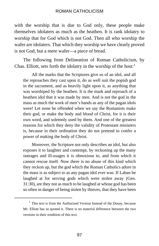with the worship that is due to God only, these people make themselves idolaters as much as the heathen. It is rank idolatry to worship that for God which is not God. Then all who worship the wafer are idolaters. That which they worship we have clearly proved is not God, but a mere wafer—a piece of bread.

The following from Delineation of Roman Catholicism, by Chas. Elliott, sets forth the idolatry in the worship of the host:<sup>[1](#page-102-0)</sup>

All the marks that the Scriptures give us of an idol, and all the reproaches they cast upon it, do as well suit the popish god in the sacrament, and as heavily light upon it, as anything that was worshiped by the heathen. It is the mark and reproach of a heathen idol that it was made by men. And is not the god in the mass as much the work of men's hands as any of the pagan idols were! Let none be offended when we say the Romanists make their god, or make the body and blood of Christ, for it is their own word, and solemnly used by them. And one of the greatest reasons for which they deny the validity of Protestant ministers is, because in their ordination they do not pretend to confer a power of making the body of Christ.

Moreover, the Scripture not only describes an idol, but also exposes it to laughter and contempt, by reckoning up the many outrages and ill-usages it is obnoxious to, and from which it cannot rescue itself. Now there is no abuse of this kind which they reckon up, but the god which the Roman Catholics adore in the mass is as subject to as any pagan idol ever was. If Laban be laughed at for serving gods which were stolen away (Gen. 31:30), are they not as much to be laughed at whose god has been so often in danger of being stolen by thieves, that they have been

<span id="page-102-0"></span>l

 $<sup>1</sup>$  This text is from the Authorized Version Instead of the Douay, because</sup> Mr. Elliott has so quoted it. There is no material difference between the two versions in their rendition of this text.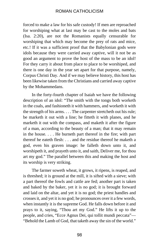forced to make a law for his safe custody! If men are reproached for worshiping what at last may be cast to the moles and bats (Isa. 2:20), are not the Romanists equally censurable for worshiping that which may become the prey of rats and mice, etc.! If it was a sufficient proof that the Babylonian gods were idols because they were carried away captive, will it not be as good an argument to prove the host of the mass to be an idol! For they carry it about from place to place to be worshiped, and there is one day in the year set apart for that purpose, namely, Corpus Christi Day. And if we may believe history, this host has been likewise taken from the Christians and carried away captive by the Mohammedans.

In the forty-fourth chapter of Isaiah we have the following description of an idol: "The smith with the tongs both worketh in the coals, and fashioneth it with hammers, and worketh it with the strength of his arms. . . . The carpenter stretcheth out his rule; be marketh it out with a line; he fitteth it with planes, and he marketh it out with the compass, and maketh it after the figure of a man, according to the beauty of a man; that it may remain in the house. . . . He burneth part thereof in the fire; with part thereof he eateth flesh: . . . and the residue thereof he maketh a god, even his graven image: he falleth down unto it, and worshipeth it, and prayeth unto it, and saith, Deliver me, for thou art my god." The parallel between this and making the host and its worship is very striking.

The farmer soweth wheat, it grows, it ripens, is reaped, and is threshed; it is ground at the mill, it is sifted with a sieve; with a part thereof the fowls and cattle are fed; another part is taken and baked by the baker, yet it is no god; it is brought forward and laid on the altar, and yet it is no god; the priest handles and crosses it, and yet it is no god; he pronounces over it a few words, when instantly it is the supreme God. He falls down before it and prays to it, saying, "Thou art my God." He lifts it up to the people, and cries, "Ecce Agnus Dei, qui tollit mundi peccata"— "Behold the Lamb of God, that taketh away the sin of the world."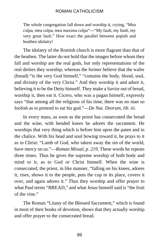The whole congregation fall down and worship it, crying, "Mea culpa, mea culpa, mea maxima culpa"—"My fault, my fault, my very great fault." How exact the parallel between popish and heathen idolatry!

The idolatry of the Romish church is more flagrant than that of the heathen. The latter do not hold that the images before whom they fall and worship are the real gods, but only representations of the real deities they worship; whereas the former believe that the wafer (bread) "is the very God himself," "contains the body, blood, soul, and divinity of the very Christ." And they worship it and adore it, believing it to be the Deity himself. They make a Savior out of bread, worship it, then eat it. Cicero, who was a pagan himself, expressly says "that among all the religions of his time, there was no man so foolish as to pretend to eat his god."—*De Nat. Deorum, lib. iii.*

In every mass, as soon as the priest has consecrated the bread and the wine, with bended knees he adores the sacrament. He worships that very thing which is before him upon the paten and in the chalice. With his head and soul bowing toward it, he prays to it as to Christ: "Lamb of God, who takest away the sin of the world, have mercy on us."—*Roman Missal, p. 219*. These words he repeats three times. Thus he gives the supreme worship of both body and mind to it, as to God or Christ himself. When the wine is consecrated, the priest, in like manner, "falling on his knees, adores it, rises, shows it to the people, puts the cup in its place, covers it over, and again adores it." Thus they worship and offer prayer to what Paul terms "BREAD," and what Jesus himself said is "the fruit of the vine."

The Roman "Litany of the Blessed Sacrament," which is found in most of their books of devotion, shows that they actually worship and offer prayer to the consecrated bread.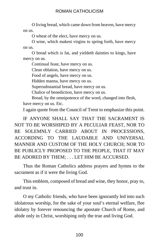O living bread, which came down from heaven, have mercy on us.

O wheat of the elect, have mercy on us.

O wine, which makest virgins to spring forth, have mercy on us.

O bread which is fat, and yieldeth dainties to kings, have mercy on us.

Continual feast, have mercy on us.

Clean oblation, have mercy on us.

Food of angels, have mercy on us.

Hidden manna, have mercy on us.

Supersubstantial bread, have mercy on us.

Chalice of benediction, have mercy on us.

Bread, by the omnipotence of the word, changed into flesh, have mercy on us. Etc.

I again quote from the Council of Trent to emphasize this point.

IF ANYONE SHALL SAY THAT THE SACRAMENT IS NOT TO BE WORSHIPED BY A PECULIAR FEAST, NOR TO BE SOLEMNLY CARRIED ABOUT IN PROCESSIONS, ACCORDING TO THE LAUDABLE AND UNIVERSAL MANNER AND CUSTOM OF THE HOLY CHURCH; NOR TO BE PUBLICLY PROPOSED TO THE PEOPLE, THAT IT MAY BE ADORED BY THEM; . . . LET HIM BE ACCURSED.

Thus the Roman Catholics address prayers and hymns to the sacrament as if it were the living God.

This emblem, composed of bread and wine, they honor, pray to, and trust in.

O my Catholic friends, who have been ignorantly led into such idolatrous worship, for the sake of your soul's eternal welfare, flee idolatry by forever renouncing the apostate Church of Rome, and abide only in Christ, worshiping only the true and living God.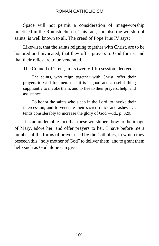Space will not permit a consideration of image-worship practiced in the Romish church. This fact, and also the worship of saints, is well known to all. The creed of Pope Pius IV says:

Likewise, that the saints reigning together with Christ, are to be honored and invocated, that they offer prayers to God for us; and that their relics are to be venerated.

The Council of Trent, in its twenty-fifth session, decreed:

The saints, who reign together with Christ, offer their prayers to God for men: that it is a good and a useful thing suppliantly to invoke them, and to flee to their prayers, help, and assistance.

To honor the saints who sleep in the Lord, to invoke their intercession, and to venerate their sacred relics and ashes . . . tends considerably to increase the glory of God.—Id., p. 329.

It is an undeniable fact that these worshipers bow to the image of Mary, adore her, and offer prayers to her. I have before me a number of the forms of prayer used by the Catholics, in which they beseech this "holy mother of God" to deliver them, and to grant them help such as God alone can give.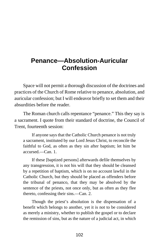# **Penance—Absolution-Auricular Confession**

Space will not permit a thorough discussion of the doctrines and practices of the Church of Rome relative to penance, absolution, and auricular confession; but I will endeavor briefly to set them and their absurdities before the reader.

The Roman church calls repentance "penance." This they say is a sacrament. I quote from their standard of doctrine, the Council of Trent, fourteenth session:

If anyone says that the Catholic Church penance is not truly a sacrament, instituted by our Lord Jesus Christ, to reconcile the faithful to God, as often as they sin after baptism; let him be  $accussed = Can 1$ .

If these [baptized persons] afterwards defile themselves by any transgression, it is not his will that they should be cleansed by a repetition of baptism, which is on no account lawful in the Catholic Church, but they should be placed as offenders before the tribunal of penanco, that they may be absolved by the sentence of the priests, not once only, but as often as they flee thereto, confessing their sins.—Can. 2.

Though the priest's absolution is the dispensation of a benefit which belongs to another, yet it is not to be considered as merely a ministry, whether to publish the gospel or to declare the remission of sins, but as the nature of a judicial act, in which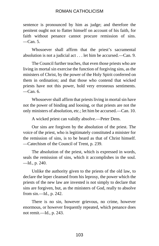sentence is pronounced by him as judge; and therefore the penitent ought not to flatter himself on account of his faith, for faith without penance cannot procure remission of sins.  $\equiv$ Can. 5.

Whosoever shall affirm that the priest's sacramental absolution is not a judicial act . . . let him be accursed.—Can. 9.

The Council further teaches, that even those priests who are living in mortal sin exercise the function of forgiving sins, as the ministers of Christ, by the power of the Holy Spirit conferred on them in ordination; and that those who contend that wicked priests have not this power, hold very erroneous sentiments. —Can. 6.

Whosoever shall affirm that priests living in mortal sin have not the power of binding and loosing, or that priests are not the only ministers of absolution, etc.; let him be accursed.—Can. 10.

A wicked priest can validly absolve.—Peter Dens.

Our sins are forgiven by the absolution of the priest. The voice of the priest, who is legitimately constituted a minister for the remission of sins, is to be heard as that of Christ himself. —Catechism of the Council of Trent, p. 239.

The absolution of the priest, which is expressed in words, seals the remission of sins, which it accomplishes in the soul. —Id., p. 240.

Unlike the authority given to the priests of the old law, to declare the leper cleansed from his leprosy, the power which the priests of the new law are invested is not simply to declare that sins are forgiven, but, as the ministers of God, really to absolve from sin.—Id., p. 242.

There is no sin, however grievous, no crime, however enormous, or however frequently repeated, which penance does not remit.—Id., p. 243.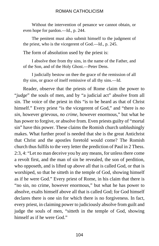Without the intervention of penance we cannot obtain, or even hope for pardon.—Id., p. 244.

The penitent must also submit himself to the judgment of the priest, who is the vicegerent of God.—Id., p. 245.

The form of absolution used by the priest is:

I absolve thee from thy sins, in the name of the Father, and of the Son, and of the Holy Ghost.—Peter Dens.

I judicially bestow on thee the grace of the remission of all thy sins, or grace of itself remissive of all thy sins.—Id.

Reader, observe that the priests of Rome claim the power to "*judge*" the souls of men, and by "a judicial act" absolve from all sin. The voice of the priest in this "is to be heard as that of Christ himself." Every priest "is the vicegerent of God," and "there is *no sin*, however grievous, *no crime*, however enormous," but what he has power to forgive, or absolve from. Even priests guilty of "mortal sin" have this power. These claims the Romish church unblushingly makes. What further proof is needed that she is the great Antichrist that Christ and the apostles foretold would come? The Romish church thus fulfils to the very letter the prediction of Paul in 2 Thess. 2:3, 4: "Let no man deceive you by any means, for unless there come a revolt first, and the man of sin be revealed, the son of perdition, who opposeth, and is lifted up above all that is called God, or that is worshiped, so that he sitteth in the temple of God, showing himself as if he were God." Every priest of Rome, in his claim that there is "no sin, no crime, however enormous," but what he has power to absolve, exalts himself above all that is called God; for God himself declares there is one sin for which there is no forgiveness. In fact, every priest, in claiming power to judiciously absolve from guilt and judge the souls of men, "sitteth in the temple of God, showing himself as if he were God."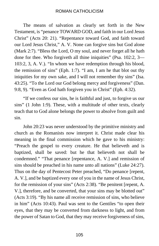The means of salvation as clearly set forth in the New Testament, is "penance TOWARD GOD, and faith in our Lord Jesus Christ" (Acts 20: 21). "Repentance toward God, and faith toward our Lord Jesus Christ," A. V. None can forgive sins but God alone (Mark 2:7). "Bless the Lord, O my soul, and never forget all he hath done for thee. Who forgiveth all thine iniquities" (Psa. 102:2, 3— 103:2, 3, A. V.). "In whom we have redemption through his blood, the remission of sins" (Eph. 1:7). "I am, I am he that blot out thy iniquities for my own sake, and I will not remember thy sins" (Isa. 43:25). "To the Lord our God belong mercy and forgiveness" (Dan. 9:8, 9). "Even as God hath forgiven you in Christ" (Eph. 4:32).

"If we confess our sins, he is faithful and just, to forgive us our sins" (1 John 1:9). These, with a multitude of other texts, clearly teach that to God alone belongs the power to absolve from guilt and sin.

John 20:23 was never understood by the primitive ministry and church as the Romanists now interpret it. Christ made clear his meaning in the final commission which he gave to his ministry: "Preach the gospel to every creature. He that believeth and is baptized, shall be saved: but he that believeth not shall be condemned." "That penance [repentance, A. V.] and remission of sins should be preached in his name unto all nations" (Luke 24:27). Thus on the day of Pentecost Peter preached, "Do penance [repent, A. V.], and be baptized every one of you in the name of Jesus Christ, for the remission of your sins" (Acts 2:38). "Be penitent [repent, A. V.], therefore, and be converted, that your sins may be blotted out" (Acts 3:19). "By his name all receive remission of sins, who believe in him" (Acts 10:43). Paul was sent to the Gentiles "to open their eyes, that they may be converted from darkness to light, and from the power of Satan to God, that they may receive forgiveness of sins,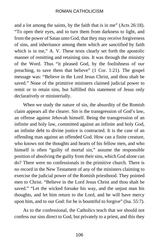and a lot among the saints, by the faith that is in me" (Acts 26:18). "To open their eyes, and to turn them from darkness to light, and from the power of Satan unto God, that they may receive forgiveness of sins, and inheritance among them which are sanctified by faith which is in me," A. V. These texts clearly set forth the apostolic manner of remitting and retaining sins. It was through the ministry of the Word. Thus "it pleased God, by the foolishness of our preaching, to save them that believe" (1 Cor. 1:21). The gospel message was: "Believe in the Lord Jesus Christ, and thou shalt be saved." None of the primitive ministers claimed judicial power to remit or to retain sins, but fulfilled this statement of Jesus only declaratively or ministerially.

When we study the nature of sin, the absurdity of the Romish claim appears all the clearer. Sin is the transgression of God's law, an offense against Jehovah himself. Being the transgression of an infinite and holy law, committed against an infinite and holy God, an infinite debt to divine justice is contracted. It is the case of an offending man against an offended God. How can a finite creature, who knows not the thoughts and hearts of his fellow men, and who himself is often "guilty of mortal sin," assume the responsible position of absolving the guilty from their sins, which God alone can do? There were no confessionals in the primitive church. There is no record in the New Testament of any of the ministers claiming to exercise the judicial power of the Romish priesthood. They pointed men to Christ. "Believe in the Lord Jesus Christ and thou shalt be saved." "Let the wicked forsake his way, and the unjust man his thoughts, and let him return to the Lord, and he will have mercy upon him, and to our God: for he is bountiful to forgive" (Isa. 55:7).

As to the confessional, the Catholics teach that we should not confess our sins direct to God, but privately to a priest, and this they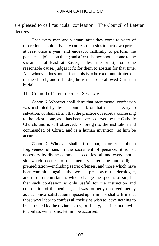are pleased to call "auricular confession." The Council of Lateran decrees:

That every man and woman, after they come to years of discretion, should privately confess their sins to their own priest, at least once a year, and endeavor faithfully to perform the penance enjoined on them; and after this they should come to the sacrament at least at Easter, unless the priest, for some reasonable cause, judges it fit for them to abstain for that time. And whoever does not perform this is to be excommunicated out of the church, and if he die, he is not to be allowed Christian burial.

The Council of Trent decrees, Sess. xiv:

Canon 6. Whoever shall deny that sacramental confession was instituted by divine command, or that it is necessary to salvation; or shall affirm that the practice of secretly confessing to the priest alone, as it has been ever observed by the Catholic Church, and is still observed, is foreign to the institution and commanded of Christ, and is a human invention: let him be accursed.

Canon 7. Whoever shall affirm that, in order to obtain forgiveness of sins in the sacrament of penance, it is not necessary by divine command to confess all and every mortal sin which occurs to the memory after due and diligent premeditation—including secret offenses, and those which have been committed against the two last precepts of the decalogue, and those circumstances which change the species of sin; but that such confession is only useful for the instruction and consolation of the penitent, and was formerly observed merely as a canonical satisfaction imposed upon him; or shall affirm that those who labor to confess all their sins wish to leave nothing to be pardoned by the divine mercy; or finally, that it is not lawful to confess venial sins; let him be accursed.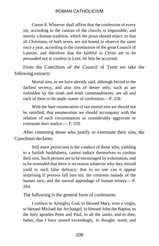Canon 8. Whoever shall affirm that the confession of every sin, according to the custom of the church, is impossible, and merely a human tradition, which the pious should reject; or that all Christians, of both sexes, are not bound to observe the same once a year, according to the constitution of the great Council of Lateran; and therefore that the faithful in Christ are to be persuaded not to confess in Lent; let him be accursed.

From the Catechism of the Council of Trent we take the following extracts:

Mortal sins, as we have already said, although buried in the darkest secrecy, and also sins of desire only, such as are forbidden by the ninth and tenth commandments, are all and each of them to be made matter of confession —P. 258.

With the bare enumeration of our mortal sins we should not be satisfied; that enumeration we should accompany with the relation of such circumstances as considerably aggravate or extenuate their malice.— P. 259.

After censuring those who justify or extenuate their sins, the Catechism declares:

Still more pernicious is the conduct of those who, yielding to a foolish bashfulness, cannot induce themselves to confess their sins. Such persons are to be encouraged by exhortation, and to be reminded that there is no reason whatever why they should yield to such false delicacy; that to no one can it appear surprising if persons fall into sin, the common malady of the human race, and the natural appendage of human misery.—P. 264.

The following is the general form of confession:

I confess to Almighty God, to blessed Mary, ever a virgin, to blessed Michael the Archangel, to blessed John the Baptist, to the holy apostles Peter and Paul, to all the saints, and to thee, father, that I have sinned exceedingly, in thought, word, and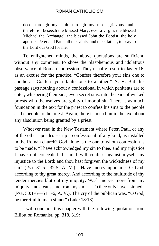deed, through my fault, through my most grievous fault: therefore I beseech the blessed Mary, ever a virgin, the blessed Michael the Archangel, the blessed John the Baptist, the holy apostles Peter and Paul, all the saints, and thee, father, to pray to the Lord our God for me.

To enlightened minds, the above quotations are sufficient, without any comment, to show the blasphemous and idolatrous observance of Roman confession. They usually resort to Jas. 5:16, as an excuse for the practice. "Confess therefore your sins one to another." "Confess your faults one to another," A. V. But this passage says nothing about a confessional in which penitents are to enter, whispering their sins, even secret sins, into the ears of wicked priests who themselves are guilty of mortal sin. There is as much foundation in the text for the priest to confess his sins to the people as the people to the priest. Again, there is not a hint in the text about any absolution being granted by a priest.

Whoever read in the New Testament where Peter, Paul, or any of the other apostles set up a confessional of any kind, as installed in the Roman church? God alone is the one to whom confession is to be made. "I have acknowledged my sin to thee, and my injustice I have not concealed. I said I will confess against myself my injustice to the Lord: and thou hast forgiven the wickedness of my sin" (Psa. 31:5—32:5, A. V.). "Have mercy upon me, O God, according to thy great mercy. And according to the multitude of thy tender mercies blot out my iniquity. Wash me yet more from my iniquity, and cleanse me from my sin. . . . To thee only have I sinned" (Psa. 50:1-6—51:1-6, A. V.). The cry of the publican was, "O God, be merciful to me a sinner" (Luke 18:13).

I will conclude this chapter with the following quotation from Elliott on Romanist, pp. 318, 319: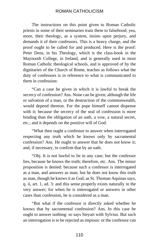The instructions on this point given to Roman Catholic priests in some of their seminaries train them to falsehood; yea, more, their theology, as a system, insists upon perjury, and demands it of their confessors. This is a heavy charge, and the proof ought to be called for and produced. Here is the proof: Peter Dens, in his Theology, which is the class-book in the Maynooth College, in Ireland, and is generally used in most Roman Catholic theological schools, and is approved of by the dignitaries of the Church of Rome, teaches as follows what the duty of confessors is in reference to what is communicated to them in confession:

"Can a case be given in which it is lawful to break the secrecy of confession? Ans. None can be given; although the life or salvation of a man, or the destruction of the commonwealth, would depend thereon. For the pope himself cannot dispense with it; because the secrecy of the seal of confession is more binding than the obligation of an oath, a vow, a natural secret, etc.; and it depends on the positive will of God.

"What then ought a confessor to answer when interrogated respecting any truth which he knows only by sacramental confession? Ans. He ought to answer that he does not know it; and, if necessary, to confirm that by an oath.

"Obj. It is not lawful to lie in any case; but the confessor lies, because he knows the truth; therefore, etc. Ans. The minor proposition is denied: because such a confessor is interrogated as a man, and answers as man; but he does not know this truth as man, though he knows it as God; as St. Thoman Aquinas says, q. ii, art. 1, ad. 3: and this sense properly exists naturally in the very answer; for when he is interrogated or answers in other cases than confession, he is considered as a man.

"But what if the confessor is directly asked whether he knows that by sacramental confession? Ans. In this case he ought to answer nothing: so says Steyart with Sylvius. But such an interrogation is to be rejected as impious: or the confessor can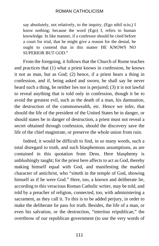say absolutely, not relatively, to the inquiry, (Ego nihil scio,) I know nothing; because the word (Ego) I, refers to human knowledge. In like manner, if a confessor should be cited before a court for trial, that he might give a reason for the denial, he ought to contend that in this matter HE KNOWS NO SUPERIOR BUT GOD."

From the foregoing, it follows that the Church of Rome teaches and practices that (1) what a priest knows in confession, he knows it not as man, but as God; (2) hence, if a priest hears a thing in confession, and if, being asked and sworn, he shall say he never heard such a thing, he neither lies nor is perjured; (3) it is not lawful to reveal anything that is told only in confession, though it be to avoid the greatest evil, such as the death of a man, his damnation, the destruction of the commonwealth, etc. Hence we infer, that should the life of the president of the United States be in danger, or should states be in danger of destruction, a priest must not reveal a secret obtained through confession, should the discovery save the life of the chief magistrate, or preserve the whole union from ruin.

Indeed, it would be difficult to find, in so many words, such a total disregard to truth, and such blasphemous assumptions, as are contained in this quotation from Dens. Here blasphemy is unblushingly taught; for the priest here affects to act as God, thereby making himself equal with God, and manifesting the marked character of antichrist, who "sitteth in the temple of God, showing himself as if he were God." Here, too, a known and deliberate lie, according to this veracious Roman Catholic writer, may be told, and told by a preacher of religion, connected, too, with administering a sacrament, as they call it. To this is to be added perjury, in order to make the deliberate lie pass for truth. Besides, the life of a man, or even his salvation, or the destruction, "interitus reipublicae," the overthrow of our republican government (to use the very words of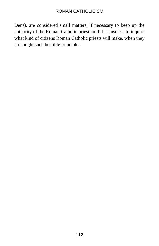Dens), are considered small matters, if necessary to keep up the authority of the Roman Catholic priesthood! It is useless to inquire what kind of citizens Roman Catholic priests will make, when they are taught such horrible principles.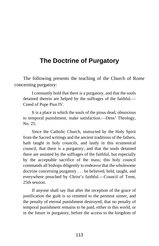# **The Doctrine of Purgatory**

The following presents the teaching of the Church of Rome concerning purgatory:

I constantly hold that there is a purgatory, and that the souls detained therein are helped by the suffrages of the faithful.— Creed of Pope Pius IV.

It is a place in which the souls of the pious dead, obnoxious to temporal punishment, make satisfaction.—Dens' Theology, No. 25.

Since the Catholic Church, instructed by the Holy Spirit from the Sacred writings and the ancient traditions of the fathers, hath taught in holy councils, and lastly in this ecumenical council, that there is a purgatory; and that the souls detained there are assisted by the suffrages of the faithful, but especially by the acceptable sacrifice of the mass; this holy council commands all bishops diligently to endeavor that the wholesome doctrine concerning purgatory . . . be believed, held, taught, and everywhere preached by Christ's faithful.—Council of Trent, 25th session.

If anyone shall say that after the reception of the grace of justification the guilt is so remitted to the penitent sinner, and the penalty of eternal punishment destroyed, that no penalty of temporal punishment remains to be paid, either in this world, or in the future in purgatory, before the access to the kingdom of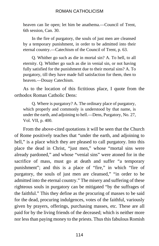heaven can lie open; let him be anathema.—Council of Trent, 6th session, Can. 30.

In the fire of purgatory, the souls of just men are cleansed by a temporary punishment, in order to be admitted into their eternal country.—Catechism of the Council of Trent, p. 63.

Q. Whither go such as die in mortal sin? A. To hell, to all eternity. Q. Whither go such as die in venial sin, or not having fully satisfied for the punishment due to their mortal sins? A. To purgatory, till they have made full satisfaction for them, then to heaven.—Douay Catechism.

As to the location of this fictitious place, I quote from the orthodox Roman Catholic Dens:

Q. Where is purgatory? A. The ordinary place of purgatory, which properly and commonly is understood by that name, is under the earth, and adjoining to hell.—Dens, Purgatory, No. 27, Vol. VII, p. 400.

From the above-cited quotations it will be seen that the Church of Rome positively teaches that "under the earth, and adjoining to hell," is a place which they are pleased to call purgatory. Into this place the dead in Christ, "just men," whose "mortal sins were already pardoned," and whose "venial sins" were atoned for in the sacrifice of mass, must go at death and suffer "a temporary punishment"; and this is a place of "fire," in which "fire of purgatory, the souls of just men are cleansed," "in order to be admitted into the eternal country." The misery and suffering of these righteous souls in purgatory can be mitigated "by the suffrages of the faithful." This they define as the procuring of masses to be said for the dead, procuring indulgences, votes of the faithful, variously given by prayers, offerings, purchasing masses, etc. These are all paid for by the living friends of the deceased; which is neither more nor less than paying money to the priests. Thus this fabulous Romish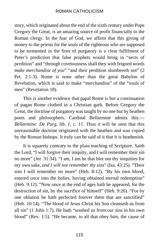story, which originated about the end of the sixth century under Pope Gregory the Great, is an amazing source of profit financially to the Roman clergy. In the fear of God, we affirm that this giving of money to the priests for the souls of the righteous who are supposed to be tormented in the fires of purgatory is a clear fulfilment of Peter's prediction that false prophets would bring in "sects of perdition" and "through covetousness shall they with feigned words *make merchandise of you*" "and their perdition slumbereth not" (2) Pet. 2:1-3). Rome is none other than the great Babylon of Revelation, which is said to make "merchandise" of the "souls of men" (Revelation 18).

This is another evidence that papal Rome is but a continuation of pagan Rome clothed in a Christian garb. Before Gregory the Great, the doctrine of purgatory was taught by no one but by heathen poets and philosophers. Cardinal Bellarmine admits this.— *Bellarmine: De Purg, lib. 1, c. 11*. Thus it will be seen that this unreasonable doctrine originated with the heathen and was copied by the Roman bishops. It truly can be said of it that it is heathenish.

It is squarely contrary to the plain teaching of Scripture. Saith the Lord, "I will forgive their iniquity, and I will remember their sin no more" (Jer. 31:34). "I am, I am he that blot out thy iniquities for my own sake, *and I will not remember thy sins*" (Isa. 43:25). "Their sins I will remember no more" (Heb. 8:12). "By his own blood, entered once into the holies, having obtained eternal redemption" (Heb. 9:12). "Now once at the end of ages hath he appeared, for the destruction of sin, by the sacrifice of himself" (Heb. 9:26). "For by one oblation he hath perfected forever them that are sanctified" (Heb. 10:14). "The blood of Jesus Christ his Son cleanseth us from all sin" (1 John 1:7). He hath "washed us from our sins in his own blood" (Rev. 1:5). "He became, to all that obey him, the cause of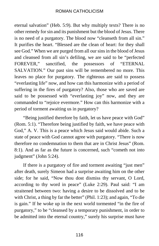eternal salvation" (Heb. 5:9). But why multiply texts? There is no other remedy for sin and its punishment but the blood of Jesus. There is no need of a purgatory. The blood now "cleanseth from all sin." It purifies the heart. "Blessed are the clean of heart: for they shall see God." When we are purged from all our sins in the blood of Jesus and cleansed from all sin's defiling, we are said to be "perfected FOREVER," sanctified, the possessors of "ETERNAL SALVATION." Our past sins will be remembered no more. This leaves no place for purgatory. The righteous are said to possess "everlasting life" now, and how can this harmonize with a period of suffering in the fires of purgatory? Also, those who are saved are said to be possessed with "everlasting joy" now, and they are commanded to "rejoice evermore." How can this harmonize with a period of torment awaiting us in purgatory?

"Being justified therefore by faith, let us have peace with God" (Rom. 5:1). "Therefore being justified by faith, we have peace with God," A. V. This is a peace which Jesus said would abide. Such a state of peace with God cannot agree with purgatory. "There is now therefore no condemnation to them that are in Christ Jesus" (Rom. 8:1). And as far as the future is concerned, such "cometh not into judgment" (John 5:24).

If there is a purgatory of fire and torment awaiting "just men" after death, surely Simeon had a surprise awaiting him on the other side; for he said, "Now thou dost dismiss thy servant, O Lord, according to thy word in peace" (Luke 2:29). Paul said: "I am straitened between two: having a desire to be dissolved and to be with Christ, a thing by far the better" (Phil. 1:23); and again, "To die is gain." If he woke up in the next world tormented "in the fire of purgatory," to be "cleansed by a temporary punishment, in order to be admitted into the eternal country," surely his surprise must have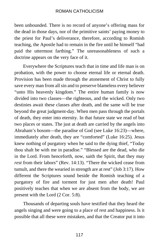been unbounded. There is no record of anyone's offering mass for the dead in those days, nor of the primitive saints' paying money to the priest for Paul's deliverance, therefore, according to Romish teaching, the Apostle had to remain in the fire until he himself "had paid the uttermost farthing." The unreasonableness of such a doctrine appears on the very face of it.

Everywhere the Scriptures teach that in time and life man is on probation, with the power to choose eternal life or eternal death. Provision has been made through the atonement of Christ to fully save every man from all sin and to preserve blameless every believer "unto His heavenly kingdom." The entire human family is now divided into two classes—the righteous, and the wicked. Only two destinies await these classes after death, and the same will be true beyond the great judgment-day. When men pass through the portals of death, they enter into eternity. In that future state we read of but two places or states. The just at death are carried by the angels into Abraham's bosom—the paradise of God (see Luke 16:23)—where, immediately after death, they are "comforted" (Luke 16:25). Jesus knew nothing of purgatory when he said to the dying thief, "Today thou shalt be with me in paradise." "Blessed are the dead, who die in the Lord. From henceforth, now, saith the Spirit, that they may *rest* from their labors" (Rev. 14:13). "There the wicked cease from tumult, and there the wearied in strength are at rest" (Job 3:17). How different the Scriptures sound beside the Romish teaching of a purgatory of fire and torment for just men after death! Paul positively teaches that when we are absent from the body, we are present with the Lord (2 Cor. 5:8).

Thousands of departing souls have testified that they heard the angels singing and were going to a place of rest and happiness. Is it possible that all these were mistaken, and that the Creator put it into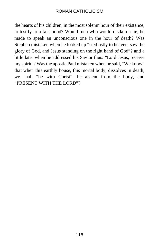the hearts of his children, in the most solemn hour of their existence, to testify to a falsehood? Would men who would disdain a lie, be made to speak an unconscious one in the hour of death? Was Stephen mistaken when he looked up "stedfastly to heaven, saw the glory of God, and Jesus standing on the right hand of God"? and a little later when he addressed his Savior thus: "Lord Jesus, receive my spirit"? Was the apostle Paul mistaken when he said, "We know" that when this earthly house, this mortal body, dissolves in death, we shall "be with Christ"—be absent from the body, and "PRESENT WITH THE LORD"?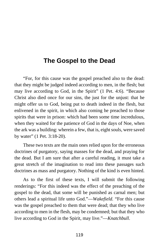# **The Gospel to the Dead**

"For, for this cause was the gospel preached also to the dead: that they might be judged indeed according to men, in the flesh; but may live according to God, in the Spirit" (1 Pet. 4:6). "Because Christ also died once for our sins, the just for the unjust: that he might offer us to God, being put to death indeed in the flesh, but enlivened in the spirit, in which also coming he preached to those spirits that were in prison: which had been some time incredulous, when they waited for the patience of God in the days of Noe, when the ark was a building: wherein a few, that is, eight souls, were saved by water" (1 Pet. 3:18-20).

These two texts are the main ones relied upon for the erroneous doctrines of purgatory, saying masses for the dead, and praying for the dead. But I am sure that after a careful reading, it must take a great stretch of the imagination to read into these passages such doctrines as mass and purgatory. Nothing of the kind is even hinted.

As to the first of these texts, I will submit the following renderings: "For this indeed was the effect of the preaching of the gospel to the dead, that some will be punished as carnal men; but others lead a spiritual life unto God."—*Wakefield.* "For this cause was the gospel preached to them that were dead; that they who live according to men in the flesh, may be condemned; but that they who live according to God in the Spirit, may live."—*Knatchbull*.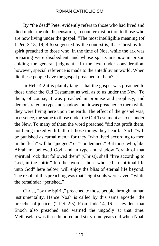By "the dead" Peter evidently refers to those who had lived and died under the old dispensation, in counter-distinction to those who are now living under the gospel. "The most intelligible meaning (of 1 Pet. 3:18, 19; 4:6) suggested by the context is, that Christ by his spirit preached to those who, in the time of Noe, while the ark was preparing were disobedient, and whose spirits are *now* in prison abiding the general judgment." In the text under consideration, however, special reference is made to the antediluvian world. When did these people have the gospel preached to them?

In Heb. 4:2 it is plainly taught that the gospel was preached to those under the Old Testament as well as to us under the New. To them, of course, it was preached in promise and prophecy, and demonstrated in type and shadow; but it was preached to them while they were living here upon the earth. The effect of the gospel was, in essence, the same to those under the Old Testament as to us under the New. To many of them the word preached "did not profit them, not being mixed with faith of those things they heard." Such "will be punished as carnal men," for they "who lived according to men in the flesh" will be "judged," or "condemned." But those who, like Abraham, believed God, and in type and shadow "drank of that spiritual rock that followed them" (Christ), shall "live according to God, in the spirit." In other words, those who led "a spiritual life unto God" here below, will enjoy the bliss of eternal life beyond. The result of this preaching was that "eight souls were saved," while the remainder "perished."

Christ, "by the Spirit," preached to those people through human instrumentality. Hence Noah is called by this same apostle "the preacher of justice" (2 Pet. 2:5). From Jude 14, 16 it is evident that Enoch also preached and warned the ungodly at that time. Methuselah was three hundred and sixty-nine years old when Noah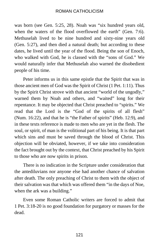was born (see Gen. 5:25, 28). Noah was "six hundred years old, when the waters of the flood overflowed the earth" (Gen. 7:6). Methuselah lived to be nine hundred and sixty-nine years old (Gen. 5:27), and then died a natural death; but according to these dates, he lived until the year of the flood. Being the son of Enoch, who walked with God, he is classed with the "sons of God." We would naturally infer that Methuselah also warned the disobedient people of his time.

Peter informs us in this same epistle that the Spirit that was in those ancient men of God was the Spirit of Christ (1 Pet. 1:11). Thus by the Spirit Christ strove with that ancient "world of the ungodly," warned them by Noah and others, and "waited" long for their repentance. It may be objected that Christ preached to "spirits." We read that the Lord is the "God of the spirits of all flesh" (Num. 16:22), and that he is "the Father of spirits" (Heb. 12:9), and in these texts reference is made to men who are yet in the flesh. The soul, or spirit, of man is the volitional part of his being. It is that part which sins and must be saved through the blood of Christ. This objection will be obviated, however, if we take into consideration the fact brought out by the context, that Christ preached by his Spirit to those who are now spirits in prison.

There is no indication in the Scripture under consideration that the antediluvians nor anyone else had another chance of salvation after death. The only preaching of Christ to them with the object of their salvation was that which was offered them "in the days of Noe, when the ark was a building."

Even some Roman Catholic writers are forced to admit that 1 Pet. 3:18-20 is no good foundation for purgatory or masses for the dead.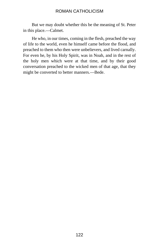But we may doubt whether this be the meaning of St. Peter in this place.—Calmet.

He who, in our times, coming in the flesh, preached the way of life to the world, even he himself came before the flood, and preached to them who then were unbelievers, and lived carnally. For even he, by his Holy Spirit, was in Noah, and in the rest of the holy men which were at that time, and by their good conversation preached to the wicked men of that age, that they might be converted to better manners.—Bede.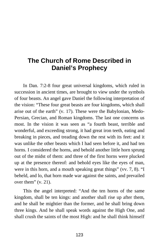# **The Church of Rome Described in Daniel's Prophecy**

In Dan. 7:2-8 four great universal kingdoms, which ruled in succession in ancient times, are brought to view under the symbols of four beasts. An angel gave Daniel the following interpretation of the vision: "These four great beasts are four kingdoms, which shall arise out of the earth" (v. 17). These were the Babylonian, Medo-Persian, Grecian, and Roman kingdoms. The last one concerns us most. In the vision it was seen as "a fourth beast, terrible and wonderful, and exceeding strong, it had great iron teeth, eating and breaking in pieces, and treading down the rest with its feet: and it was unlike the other beasts which I had seen before it, and had ten horns. I considered the horns, and behold another little horn sprung out of the midst of them: and three of the first horns were plucked up at the presence thereof: and behold eyes like the eyes of man, were in this horn, and a mouth speaking great things" (vv. 7, 8). "I beheld, and lo, that horn made war against the saints, and prevailed over them" (v. 21).

This the angel interpreted: "And the ten horns of the same kingdom, shall be ten kings: and another shall rise up after them, and he shall be mightier than the former, and he shall bring down three kings. And he shall speak words against the High One, and shall crush the saints of the most High: and he shall think himself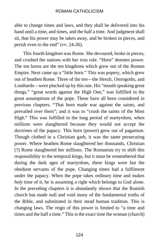able to change times and laws, and they shall be delivered into his hand until a time, and times, and the half a time. And judgment shall sit, that his power may be taken away, and be broken in pieces, and perish even to the end" (vv. 24-26).

This fourth kingdom was Rome. She devoured, broke in pieces, and crushed the nations with her iron rule. "Horn" denotes power. The ten horns are the ten kingdoms which grew out of the Roman Empire. Next came up a "little horn." This was popery, which grew out of heathen Rome. Three of the ten—the Heruli, Ostrogoths, and Lombards—were plucked up by this one. His "mouth speaking great things," "great words against the High One," was fulfilled in the great assumptions of the pope. These have all been considered in previous chapters. "That horn made war against the saints, and prevailed over them"; and it was to "crush the saints of the Most High." This was fulfilled in the long period of martyrdom, when millions were slaughtered because they would not accept the doctrines of the papacy. This horn (power) grew out of paganism. Though clothed in a Christian garb, it was the same persecuting power. Where heathen Rome slaughtered her thousands, Christian (?) Rome slaughtered her millions. The Romanists try to shift this responsibility to the temporal kings, but it must be remembered that during the dark ages of martyrdom, these kings were but the obedient servants of the pope. Changing times had a fulfilment under the papacy. When the pope takes ordinary time and makes *holy* time of it, he is assuming a right which belongs to God alone. In the preceding chapters it is abundantly shown that the Romish church has made null and void many of the fundamental truths of the Bible, and substituted in their stead human tradition. This is changing laws. The reign of this power is limited to "a time and times and the half a time." This is the exact time the woman (church)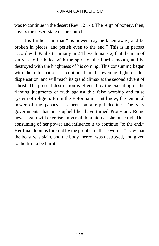was to continue in the desert (Rev. 12:14). The reign of popery, then, covers the desert state of the church.

It is further said that "his power may be taken away, and be broken in pieces, and perish even to the end." This is in perfect accord with Paul's testimony in 2 Thessalonians 2, that the man of sin was to be killed with the spirit of the Lord's mouth, and be destroyed with the brightness of his coming. This consuming began with the reformation, is continued in the evening light of this dispensation, and will reach its grand climax at the second advent of Christ. The present destruction is effected by the executing of the flaming judgments of truth against this false worship and false system of religion. From the Reformation until now, the temporal power of the papacy has been on a rapid decline. The very governments that once upheld her have turned Protestant. Rome never again will exercise universal dominion as she once did. This consuming of her power and influence is to continue "to the end." Her final doom is foretold by the prophet in these words: "I saw that the beast was slain, and the body thereof was destroyed, and given to the fire to be burnt."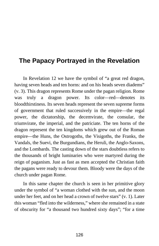# **The Papacy Portrayed in the Revelation**

In Revelation 12 we have the symbol of "a great red dragon, having seven heads and ten horns: and on his heads seven diadems" (v. 3). This dragon represents Rome under the pagan religion. Rome was truly a dragon power. Its color—red—denotes its bloodthirstiness. Its seven heads represent the seven supreme forms of government that ruled successively in the empire—the regal power, the dictatorship, the decemvirate, the consular, the triumvirate, the imperial, and the patriciate. The ten horns of the dragon represent the ten kingdoms which grew out of the Roman empire—the Huns, the Ostrogoths, the Visigoths, the Franks, the Vandals, the Suevi, the Burgundians, the Heruli, the Anglo-Saxons, and the Lombards. The casting down of the stars doubtless refers to the thousands of bright luminaries who were martyred during the reign of paganism. Just as fast as men accepted the Christian faith the pagans were ready to devour them. Bloody were the days of the church under pagan Rome.

In this same chapter the church is seen in her primitive glory under the symbol of "a woman clothed with the sun, and the moon under her feet, and on her head a crown of twelve stars" (v. 1). Later this woman "fled into the wilderness," where she remained in a state of obscurity for "a thousand two hundred sixty days"; "for a time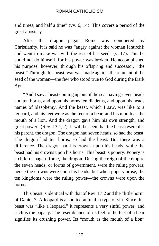and times, and half a time" (vv. 6, 14). This covers a period of the great apostasy.

After the dragon—pagan Rome—was conquered by Christianity, it is said he was "angry against the woman [church]: and went to make war with the rest of her seed" (v. 17). This he could not do himself, for his power was broken. He accomplished his purpose, however, through his offspring and successor, "the beast." Through this beast, war was made against the remnant of the seed of the woman—the few who stood true to God during the Dark Ages.

"And I saw a beast coming up out of the sea, having seven heads and ten horns, and upon his horns ten diadems, and upon his heads names of blasphemy. And the beast, which I saw, was like to a leopard, and his feet were as the feet of a bear, and his mouth as the mouth of a lion. And the dragon gave him his own strength, and great power" (Rev. 13:1, 2). It will be seen that the beast resembles his parent, the dragon. The dragon had seven heads, so had the beast. The dragon had ten horns, so had the beast. But there was a difference. The dragon had his crowns upon his heads, while the beast had his crowns upon his horns. This beast is popery. Popery is a child of pagan Rome, the dragon. During the reign of the empire the seven heads, or forms of government, were the ruling powers; hence the crowns were upon his heads: but when popery arose, the ten kingdoms were the ruling power—the crowns were upon the horns.

This beast is identical with that of Rev. 17:2 and the "little horn" of Daniel 7. A leopard is a spotted animal, a type of sin. Since this beast was "like a leopard," it represents a very sinful power; and such is the papacy. The resemblance of its feet to the feet of a bear signifies its crushing power. Its "mouth as the mouth of a lion"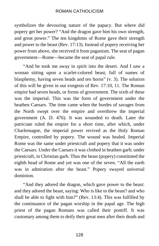symbolizes the devouring nature of the papacy. But where did popery get her power? "And the dragon gave him his own strength, and great power." The ten kingdoms of Rome gave their strength and power to the beast (Rev. 17:13). Instead of popery receiving her power from above, she received it from paganism. The seat of pagan government—Rome—became the seat of papal rule.

"And he took me away in spirit into the desert. And I saw a woman sitting upon a scarlet-colored beast, full of names of blasphemy, having seven heads and ten horns" (v. 3). The solution of this will be given in our exegesis of Rev. 17:10, 11. The Roman empire had seven heads, or forms of government. The sixth of these was the imperial. This was the form of government under the heathen Caesars. The time came when the hordes of savages from the North swept over the empire and overthrew the imperial government (A. D. 476). It was wounded to death. Later the patriciate ruled the empire for a short time, after which, under Charlemagne, the imperial power revived as the Holy Roman Empire, controlled by popery. The wound was healed. Imperial Rome was the same under priestcraft and popery that it was under the Caesars. Under the Caesars it was clothed in heathen garb; under priestcraft, in Christian garb. Thus the beast (popery) constituted the eighth head of Rome and yet was one of the seven. "All the earth was in admiration after the beast." Popery swayed universal dominion.

"And they adored the dragon, which gave power to the beast: and they adored the beast, saying: Who is like to the beast? and who shall be able to fight with him?" (Rev. 13:4). This was fulfilled by the continuance of the pagan worship in the papal age. The high priest of the pagan Romans was called their pontiff. It was customary among them to deify their great men after their death and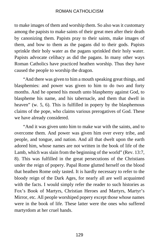to make images of them and worship them. So also was it customary among the papists to make saints of their great men after their death by canonizing them. Papists pray to their saints, make images of them, and bow to them as the pagans did to their gods. Papists sprinkle their holy water as the pagans sprinkled their holy water. Papists advocate celibacy as did the pagans. In many other ways Roman Catholics have practiced heathen worship. Thus they have caused the people to worship the dragon.

"And there was given to him a mouth speaking great things, and blasphemies: and power was given to him to do two and forty months. And he opened his mouth unto blasphemy against God, to blaspheme his name, and his tabernacle, and them that dwell in heaven" (w. 5, 6). This is fulfilled in popery by the blasphemous claims of the pope, who claims various prerogatives of God. These we have already considered.

"And it was given unto him to make war with the saints, and to overcome them. And power was given him over every tribe, and people, and tongue, and nation. And all that dwelt upon the earth adored him, whose names are not written in the book of life of the Lamb, which was slain from the beginning of the world" (Rev. 13:7, 8). This was fulfilled in the great persecutions of the Christians under the reign of popery. Papal Rome glutted herself on the blood that heathen Rome only tasted. It is hardly necessary to refer to the bloody reign of the Dark Ages, for nearly all are well acquainted with the facts. I would simply refer the reader to such histories as Fox's Book of Martyrs, Christian Heroes and Martyrs, Martyr's Mirror, etc. All people worshiped popery except those whose names were in the book of life. These latter were the ones who suffered martyrdom at her cruel hands.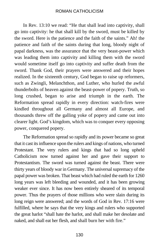In Rev. 13:10 we read: "He that shall lead into captivity, shall go into captivity: he that shall kill by the sword, must be killed by the sword. Here is the patience and the faith of the saints." Ah! the patience and faith of the saints during that long, bloody night of papal darkness, was the assurance that the very beast-power which was leading them into captivity and killing them with the sword would sometime itself go into captivity and suffer death from the sword. Thank God, their prayers were answered and their hopes realized. In the sixteenth century, God began to raise up reformers, such as Zwingli, Melanchthon, and Luther, who hurled the awful thunderbolts of heaven against the beast-power of popery. Truth, so long crushed, began to arise and triumph in the earth. The Reformation spread rapidly in every direction: watch-fires were kindled throughout all Germany and almost all Europe, and thousands threw off the galling yoke of popery and came out into clearer light. God's kingdom, which was to conquer every opposing power, conquered popery.

The Reformation spread so rapidly and its power became so great that it cast its influence upon the rulers and kings of nations, who turned Protestant. The very rulers and kings that had so long upheld Catholicism now turned against her and gave their support to Protestantism. The sword was turned against the beast. There were thirty years of bloody war in Germany. The universal supremacy of the papal power was broken. That beast which had ruled the earth for 1260 long years was left bleeding and wounded, and it has been growing weaker ever since. It has now been entirely sheared of its temporal power. Thus the prayers of those millions who were slain during its long reign were answered; and the words of God in Rev. 17:16 were fulfilled, where he says that the very kings and rulers who supported the great harlot "shall hate the harlot, and shall make her desolate and naked, and shall eat her flesh, and shall burn her with fire."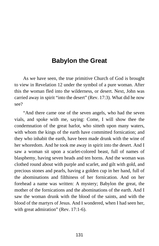## **Babylon the Great**

As we have seen, the true primitive Church of God is brought to view in Revelation 12 under the symbol of a pure woman. After this the woman fled into the wilderness, or desert. Next, John was carried away in spirit "into the desert" (Rev. 17:3). What did he now see?

"And there came one of the seven angels, who had the seven vials, and spoke with me, saying: Come, I will show thee the condemnation of the great harlot, who sitteth upon many waters, with whom the kings of the earth have committed fornication; and they who inhabit the earth, have been made drunk with the wine of her whoredom. And he took me away in spirit into the desert. And I saw a woman sit upon a scarlet-colored beast, full of names of blasphemy, having seven heads and ten horns. And the woman was clothed round about with purple and scarlet, and gilt with gold, and precious stones and pearls, having a golden cup in her hand, full of the abominations and filthiness of her fornication. And on her forehead a name was written: A mystery; Babylon the great, the mother of the fornications and the abominations of the earth. And I saw the woman drunk with the blood of the saints, and with the blood of the martyrs of Jesus. And I wondered, when I had seen her, with great admiration" (Rev. 17:1-6).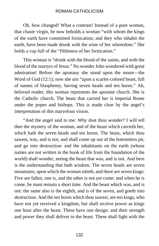Oh, how changed! What a contrast! Instead of a pure woman, that chaste virgin, he now beholds a woman "with whom the kings of the earth have committed fornication; and they who inhabit the earth, have been made drunk with the wine of her whoredom." She holds a cup full of the "filthiness of her fornication."

This woman is "drunk with the blood of the saints, and with the blood of the martyrs of Jesus." No wonder John wondered with great admiration! Before the apostasy she stood upon the moon—the Word of God (12:1); now she sits "upon a scarlet-colored beast, full of names of blasphemy, having seven heads and ten horns." Ah, beloved reader, this woman represents the apostate church. She is the Catholic church. The beast that carried her is imperial Rome under the popes and bishops. This is made clear by the angel's interpretation of this marvelous vision.

"And the angel said to me: Why dost thou wonder? I will tell thee the mystery of the woman, and of the beast which carrieth her, which hath the seven heads and ten horns. The beast, which thou sawest, was, and is not, and shall come up out of the bottomless pit, and go into destruction: and the inhabitants on the earth (whose names are not written in the book of life from the foundation of the world) shall wonder, seeing the beast that was, and is not. And here is the understanding that hath wisdom. The seven heads are seven mountains, upon which the woman sitteth, and there are seven kings: Five are fallen, one is, and the other is not yet come: and when he is come, he must remain a short time. And the beast which was, and is not: the same also is the eighth, and is of the seven, and goeth into destruction. And the ten horns which thou sawest, are ten kings, who have not yet received a kingdom, but shall receive power as kings one hour after the beast. These have one design: and their strength and power they shall deliver to the beast. These shall fight with the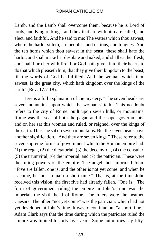Lamb, and the Lamb shall overcome them, because he is Lord of lords, and King of kings, and they that are with him are called, and elect, and faithful. And he said to me: The waters which thou sawest, where the harlot sitteth, are peoples, and nations, and tongues. And the ten horns which thou sawest in the beast: these shall hate the harlot, and shall make her desolate and naked, and shall eat her flesh, and shall burn her with fire. For God hath given into their hearts to do that which pleaseth him; that they give their kingdom to the beast, till the words of God be fulfilled. And the woman which thou sawest, is the great city, which hath kingdom over the kings of the earth" (Rev. 17:7-18).

Here is a full explanation of the mystery. "The seven heads are seven mountains, upon which the woman sitteth." This no doubt refers to the city of Rome, built upon seven hills, or mountains. Rome was the seat of both the pagan and the papel governments, and on her sat this woman and ruled, or reigned, over the kings of the earth. Thus she sat on seven mountains. But the seven heads have another signification. "And they are seven kings." These refer to the seven supreme forms of government which the Roman empire had: (1) the regal, (2) the dictatorial, (3) the decemviral, (4) the consular, (5) the triumviral, (6) the imperial, and (7) the patrician. These were the ruling powers of the empire. The angel thus informed John: "Five are fallen, one is, and the other is not yet come: and when he is come, he must remain a short time." That is, at the time John received this vision, the first five had already fallen. "One is." The form of government ruling the empire in John's time was the imperial, the sixth head of Rome. The rulers were the heathen Caesars. The other "not yet come" was the patrician, which had not yet developed at John's time. It was to continue but "a short time." Adam Clark says that the time during which the patriciate ruled the empire was limited to forty-five years. Some authorities say fifty-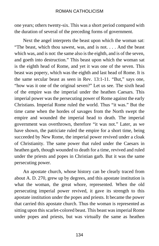one years; others twenty-six. This was a short period compared with the duration of several of the preceding forms of government.

Next the angel interprets the beast upon which the woman sat: "The beast, which thou sawest, was, and is not. . . . And the beast which was, and is not: the same also is the eighth, and is of the seven, and goeth into destruction." This beast upon which the woman sat is the eighth head of Rome, and yet it was one of the seven. This beast was popery, which was the eighth and last head of Rome. It is the same secular beast as seen in Rev. 13:1-11. "But," says one, "how was it one of the original seven?" Let us see. The sixth head of the empire was the imperial under the heathen Caesars. This imperial power was the persecuting power of Rome against the early Christians. Imperial Rome ruled the world. Thus "it was." But the time came when the hordes of savages from the North swept the empire and wounded the imperial head to death. The imperial government was overthrown, therefore "it was not." Later, as we have shown, the patriciate ruled the empire for a short time, being succeeded by New Rome, the imperial power revived under a cloak of Christianity. The same power that ruled under the Caesars in heathen garb, though wounded to death for a time, revived and ruled under the priests and popes in Christian garb. But it was the same persecuting power.

An apostate church, whose history can be clearly traced from about A. D. 270, grew up by degrees, and this apostate institution is what the woman, the great whore, represented. When the old persecuting imperial power revived, it gave its strength to this apostate institution under the popes and priests. It became the power that carried this apostate church. Thus the woman is represented as sitting upon this scarlet-colored beast. This beast was imperial Rome under popes and priests, but was virtually the same as heathen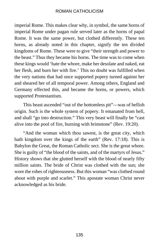imperial Rome. This makes clear why, in symbol, the same horns of imperial Rome under pagan rule served later as the horns of papal Rome. It was the same power, but clothed differently. These ten horns, as already noted in this chapter, signify the ten divided kingdoms of Rome. These were to give "their strength and power to the beast." Thus they became his horns. The time was to come when these kings would 'hate the whore, make her desolate and naked, eat her flesh, and burn her with fire.' This no doubt was fulfilled when the very nations that had once supported popery turned against her and sheared her of all temporal power. Among others, England and Germany effected this, and became the horns, or powers, which supported Protestantism.

This beast ascended "out of the bottomless pit"—was of hellish origin. Such is the whole system of popery. It emanated from hell, and shall "go into destruction." This very beast will finally be "cast alive into the pool of fire, burning with brimstone" (Rev. 19:20).

"And the woman which thou sawest, is the great city, which hath kingdom over the kings of the earth" (Rev. 17:18). This is Babylon the Great, the Roman Catholic sect. She is the great whore. She is guilty of "the blood of the saints, and of the martyrs of Jesus." History shows that she glutted herself with the blood of nearly fifty million saints. The bride of Christ was clothed with the sun; she wore the robes of righteousness. But this woman "was clothed round about with purple and scarlet." This apostate woman Christ never acknowledged as his bride.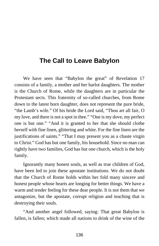# **The Call to Leave Babylon**

We have seen that "Babylon the great" of Revelation 17 consists of a family, a mother and her harlot daughters. The mother is the Church of Rome, while the daughters are in particular the Protestant sects. This fraternity of so-called churches, from Rome down to the latest born daughter, does not represent the pure bride, "the Lamb's wife." Of his bride the Lord said, "Thou art all fair, O my love, and there is not a spot in thee." "One is my dove, my perfect one is but one." "And it is granted to her that she should clothe herself with fine linen, glittering and white. For the fine linen are the justifications of saints." "That I may present you as a chaste virgin to Christ." God has but one family, his household. Since no man can rightly have two families, God has but one church, which is the holy family.

Ignorantly many honest souls, as well as true children of God, have been led to join these apostate institutions. We do not doubt that the Church of Rome holds within her fold many sincere and honest people whose hearts are longing for better things. We have a warm and tender feeling for these dear people. It is not them that we antagonize, but the apostate, corrupt religion and teaching that is destroying their souls.

"And another angel followed, saying: That great Babylon is fallen, is fallen; which made all nations to drink of the wine of the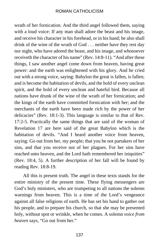wrath of her fornication. And the third angel followed them, saying with a loud voice: If any man shall adore the beast and his image, and receive his character in his forehead, or in his hand; he also shall drink of the wine of the wrath of God . . . neither have they rest day nor night, who have adored the beast, and his image, and whosoever receiveth the character of his name" (Rev. 14:8-11). "And after these things, I saw another angel come down from heaven, having great power: and the earth was enlightened with his glory. And he cried out with a strong voice, saying: Babylon the great is fallen, is fallen; and is become the habitation of devils, and the hold of every unclean spirit, and the hold of every unclean and hateful bird. Because all nations have drunk of the wine of the wrath of her fornication; and the kings of the earth have committed fornication with her; and the merchants of the earth have been made rich by the power of her delicacies" (Rev. 18:1-3). This language is similar to that of Rev. 17:2-5. Practically the same things that are said of the woman of Revelation 17 are here said of the great Babylon which is the habitation of devils. "And I heard another voice from heaven, saying: Go out from her, my people; that you be not partakers of her sins, and that you receive not of her plagues. For her sins have reached unto heaven, and the Lord hath remembered her iniquities" (Rev. 18:4, 5). A further description of her fall will be found by reading Rev. 18:8-19.

All this is present truth. The angel in these texts stands for the entire ministry of the present time. These flying messengers are God's holy ministers, who are trumpeting to all nations the solemn warnings from heaven. This is a time of the Lord's vengeance against all false religions of earth. He has set his hand to gather out his people, and to prepare his church, so that she may be presented holy, without spot or wrinkle, when he comes. A solemn *voice from heaven* says, "Go out from her."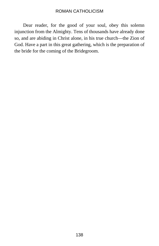Dear reader, for the good of your soul, obey this solemn injunction from the Almighty. Tens of thousands have already done so, and are abiding in Christ alone, in his true church—the Zion of God. Have a part in this great gathering, which is the preparation of the bride for the coming of the Bridegroom.